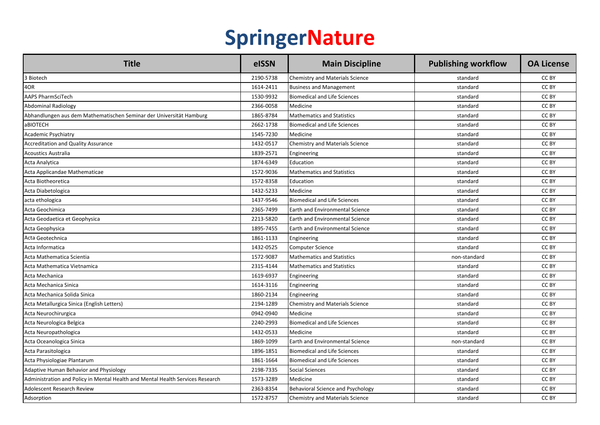## **SpringerNature**

| <b>Title</b>                                                                   | elSSN     | <b>Main Discipline</b>                 | <b>Publishing workflow</b> | <b>OA License</b> |
|--------------------------------------------------------------------------------|-----------|----------------------------------------|----------------------------|-------------------|
| 3 Biotech                                                                      | 2190-5738 | <b>Chemistry and Materials Science</b> | standard                   | CC BY             |
| 4OR                                                                            | 1614-2411 | <b>Business and Management</b>         | standard                   | CC BY             |
| <b>AAPS PharmSciTech</b>                                                       | 1530-9932 | <b>Biomedical and Life Sciences</b>    | standard                   | CC BY             |
| Abdominal Radiology                                                            | 2366-0058 | Medicine                               | standard                   | CC BY             |
| Abhandlungen aus dem Mathematischen Seminar der Universität Hamburg            | 1865-8784 | <b>Mathematics and Statistics</b>      | standard                   | CC BY             |
| aBIOTECH                                                                       | 2662-1738 | Biomedical and Life Sciences           | standard                   | CC BY             |
| Academic Psychiatry                                                            | 1545-7230 | Medicine                               | standard                   | CC BY             |
| <b>Accreditation and Quality Assurance</b>                                     | 1432-0517 | <b>Chemistry and Materials Science</b> | standard                   | CC BY             |
| <b>Acoustics Australia</b>                                                     | 1839-2571 | Engineering                            | standard                   | CC BY             |
| Acta Analytica                                                                 | 1874-6349 | Education                              | standard                   | CC BY             |
| Acta Applicandae Mathematicae                                                  | 1572-9036 | <b>Mathematics and Statistics</b>      | standard                   | CC BY             |
| Acta Biotheoretica                                                             | 1572-8358 | Education                              | standard                   | CC BY             |
| Acta Diabetologica                                                             | 1432-5233 | Medicine                               | standard                   | CC BY             |
| acta ethologica                                                                | 1437-9546 | Biomedical and Life Sciences           | standard                   | CC BY             |
| Acta Geochimica                                                                | 2365-7499 | <b>Earth and Environmental Science</b> | standard                   | CC BY             |
| Acta Geodaetica et Geophysica                                                  | 2213-5820 | Earth and Environmental Science        | standard                   | CC BY             |
| Acta Geophysica                                                                | 1895-7455 | <b>Earth and Environmental Science</b> | standard                   | CC BY             |
| Acta Geotechnica                                                               | 1861-1133 | Engineering                            | standard                   | CC BY             |
| Acta Informatica                                                               | 1432-0525 | Computer Science                       | standard                   | CC BY             |
| Acta Mathematica Scientia                                                      | 1572-9087 | <b>Mathematics and Statistics</b>      | non-standard               | CC BY             |
| Acta Mathematica Vietnamica                                                    | 2315-4144 | <b>Mathematics and Statistics</b>      | standard                   | CC BY             |
| Acta Mechanica                                                                 | 1619-6937 | Engineering                            | standard                   | CC BY             |
| Acta Mechanica Sinica                                                          | 1614-3116 | Engineering                            | standard                   | CC BY             |
| Acta Mechanica Solida Sinica                                                   | 1860-2134 | Engineering                            | standard                   | CC BY             |
| Acta Metallurgica Sinica (English Letters)                                     | 2194-1289 | Chemistry and Materials Science        | standard                   | CC BY             |
| Acta Neurochirurgica                                                           | 0942-0940 | Medicine                               | standard                   | CC BY             |
| Acta Neurologica Belgica                                                       | 2240-2993 | <b>Biomedical and Life Sciences</b>    | standard                   | CC BY             |
| Acta Neuropathologica                                                          | 1432-0533 | Medicine                               | standard                   | CC BY             |
| Acta Oceanologica Sinica                                                       | 1869-1099 | <b>Earth and Environmental Science</b> | non-standard               | CC BY             |
| Acta Parasitologica                                                            | 1896-1851 | Biomedical and Life Sciences           | standard                   | CC BY             |
| Acta Physiologiae Plantarum                                                    | 1861-1664 | Biomedical and Life Sciences           | standard                   | CC BY             |
| Adaptive Human Behavior and Physiology                                         | 2198-7335 | Social Sciences                        | standard                   | CC BY             |
| Administration and Policy in Mental Health and Mental Health Services Research | 1573-3289 | Medicine                               | standard                   | CC BY             |
| Adolescent Research Review                                                     | 2363-8354 | Behavioral Science and Psychology      | standard                   | CC BY             |
| Adsorption                                                                     | 1572-8757 | Chemistry and Materials Science        | standard                   | CC BY             |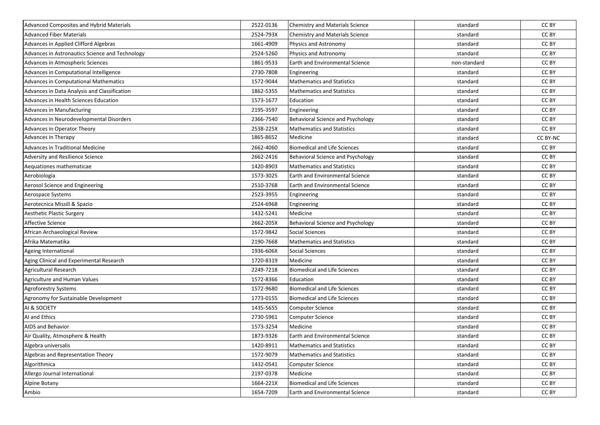| Advanced Composites and Hybrid Materials        | 2522-0136 | Chemistry and Materials Science        | standard     | CC BY    |
|-------------------------------------------------|-----------|----------------------------------------|--------------|----------|
| <b>Advanced Fiber Materials</b>                 | 2524-793X | Chemistry and Materials Science        | standard     | CC BY    |
| Advances in Applied Clifford Algebras           | 1661-4909 | Physics and Astronomy                  | standard     | CC BY    |
| Advances in Astronautics Science and Technology | 2524-5260 | <b>Physics and Astronomy</b>           | standard     | CC BY    |
| Advances in Atmospheric Sciences                | 1861-9533 | Earth and Environmental Science        | non-standard | CC BY    |
| Advances in Computational Intelligence          | 2730-7808 | Engineering                            | standard     | CC BY    |
| Advances in Computational Mathematics           | 1572-9044 | <b>Mathematics and Statistics</b>      | standard     | CC BY    |
| Advances in Data Analysis and Classification    | 1862-5355 | <b>Mathematics and Statistics</b>      | standard     | CC BY    |
| Advances in Health Sciences Education           | 1573-1677 | Education                              | standard     | CC BY    |
| Advances in Manufacturing                       | 2195-3597 | Engineering                            | standard     | CC BY    |
| Advances in Neurodevelopmental Disorders        | 2366-7540 | Behavioral Science and Psychology      | standard     | CC BY    |
| Advances in Operator Theory                     | 2538-225X | <b>Mathematics and Statistics</b>      | standard     | CC BY    |
| Advances in Therapy                             | 1865-8652 | Medicine                               | standard     | CC BY-NC |
| Advances in Traditional Medicine                | 2662-4060 | <b>Biomedical and Life Sciences</b>    | standard     | CC BY    |
| Adversity and Resilience Science                | 2662-2416 | Behavioral Science and Psychology      | standard     | CC BY    |
| Aequationes mathematicae                        | 1420-8903 | <b>Mathematics and Statistics</b>      | standard     | CC BY    |
| Aerobiologia                                    | 1573-3025 | <b>Earth and Environmental Science</b> | standard     | CC BY    |
| Aerosol Science and Engineering                 | 2510-3768 | <b>Earth and Environmental Science</b> | standard     | CC BY    |
| Aerospace Systems                               | 2523-3955 | Engineering                            | standard     | CC BY    |
| Aerotecnica Missili & Spazio                    | 2524-6968 | Engineering                            | standard     | CC BY    |
| Aesthetic Plastic Surgery                       | 1432-5241 | Medicine                               | standard     | CC BY    |
| Affective Science                               | 2662-205X | Behavioral Science and Psychology      | standard     | CC BY    |
| African Archaeological Review                   | 1572-9842 | Social Sciences                        | standard     | CC BY    |
| Afrika Matematika                               | 2190-7668 | <b>Mathematics and Statistics</b>      | standard     | CC BY    |
| Ageing International                            | 1936-606X | <b>Social Sciences</b>                 | standard     | CC BY    |
| Aging Clinical and Experimental Research        | 1720-8319 | Medicine                               | standard     | CC BY    |
| Agricultural Research                           | 2249-7218 | <b>Biomedical and Life Sciences</b>    | standard     | CC BY    |
| Agriculture and Human Values                    | 1572-8366 | Education                              | standard     | CC BY    |
| Agroforestry Systems                            | 1572-9680 | <b>Biomedical and Life Sciences</b>    | standard     | CC BY    |
| Agronomy for Sustainable Development            | 1773-0155 | <b>Biomedical and Life Sciences</b>    | standard     | CC BY    |
| AI & SOCIETY                                    | 1435-5655 | Computer Science                       | standard     | CC BY    |
| AI and Ethics                                   | 2730-5961 | <b>Computer Science</b>                | standard     | CC BY    |
| AIDS and Behavior                               | 1573-3254 | Medicine                               | standard     | CC BY    |
| Air Quality, Atmosphere & Health                | 1873-9326 | <b>Earth and Environmental Science</b> | standard     | CC BY    |
| Algebra universalis                             | 1420-8911 | <b>Mathematics and Statistics</b>      | standard     | CC BY    |
| Algebras and Representation Theory              | 1572-9079 | <b>Mathematics and Statistics</b>      | standard     | CC BY    |
| Algorithmica                                    | 1432-0541 | Computer Science                       | standard     | CC BY    |
| Allergo Journal International                   | 2197-0378 | Medicine                               | standard     | CC BY    |
| Alpine Botany                                   | 1664-221X | <b>Biomedical and Life Sciences</b>    | standard     | CC BY    |
| Ambio                                           | 1654-7209 | Earth and Environmental Science        | standard     | CC BY    |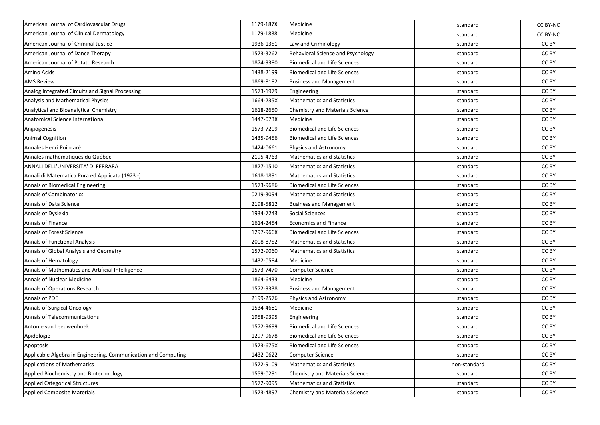| American Journal of Cardiovascular Drugs                       | 1179-187X | Medicine                               | standard     | CC BY-NC        |
|----------------------------------------------------------------|-----------|----------------------------------------|--------------|-----------------|
| American Journal of Clinical Dermatology                       | 1179-1888 | Medicine                               | standard     | <b>CC BY-NC</b> |
| American Journal of Criminal Justice                           | 1936-1351 | Law and Criminology                    | standard     | CC BY           |
| American Journal of Dance Therapy                              | 1573-3262 | Behavioral Science and Psychology      | standard     | CC BY           |
| American Journal of Potato Research                            | 1874-9380 | <b>Biomedical and Life Sciences</b>    | standard     | CC BY           |
| Amino Acids                                                    | 1438-2199 | <b>Biomedical and Life Sciences</b>    | standard     | CC BY           |
| <b>AMS Review</b>                                              | 1869-8182 | <b>Business and Management</b>         | standard     | CC BY           |
| Analog Integrated Circuits and Signal Processing               | 1573-1979 | Engineering                            | standard     | CC BY           |
| Analysis and Mathematical Physics                              | 1664-235X | <b>Mathematics and Statistics</b>      | standard     | CC BY           |
| Analytical and Bioanalytical Chemistry                         | 1618-2650 | <b>Chemistry and Materials Science</b> | standard     | CC BY           |
| <b>Anatomical Science International</b>                        | 1447-073X | Medicine                               | standard     | CC BY           |
| Angiogenesis                                                   | 1573-7209 | <b>Biomedical and Life Sciences</b>    | standard     | CC BY           |
| <b>Animal Cognition</b>                                        | 1435-9456 | <b>Biomedical and Life Sciences</b>    | standard     | CC BY           |
| Annales Henri Poincaré                                         | 1424-0661 | Physics and Astronomy                  | standard     | CC BY           |
| Annales mathématiques du Québec                                | 2195-4763 | <b>Mathematics and Statistics</b>      | standard     | CC BY           |
| ANNALI DELL'UNIVERSITA' DI FERRARA                             | 1827-1510 | <b>Mathematics and Statistics</b>      | standard     | CC BY           |
| Annali di Matematica Pura ed Applicata (1923 -)                | 1618-1891 | <b>Mathematics and Statistics</b>      | standard     | CC BY           |
| Annals of Biomedical Engineering                               | 1573-9686 | <b>Biomedical and Life Sciences</b>    | standard     | CC BY           |
| <b>Annals of Combinatorics</b>                                 | 0219-3094 | <b>Mathematics and Statistics</b>      | standard     | CC BY           |
| Annals of Data Science                                         | 2198-5812 | <b>Business and Management</b>         | standard     | CC BY           |
| Annals of Dyslexia                                             | 1934-7243 | <b>Social Sciences</b>                 | standard     | CC BY           |
| Annals of Finance                                              | 1614-2454 | <b>Economics and Finance</b>           | standard     | CC BY           |
| Annals of Forest Science                                       | 1297-966X | Biomedical and Life Sciences           | standard     | CC BY           |
| <b>Annals of Functional Analysis</b>                           | 2008-8752 | <b>Mathematics and Statistics</b>      | standard     | CC BY           |
| Annals of Global Analysis and Geometry                         | 1572-9060 | <b>Mathematics and Statistics</b>      | standard     | CC BY           |
| Annals of Hematology                                           | 1432-0584 | Medicine                               | standard     | CC BY           |
| Annals of Mathematics and Artificial Intelligence              | 1573-7470 | <b>Computer Science</b>                | standard     | CC BY           |
| <b>Annals of Nuclear Medicine</b>                              | 1864-6433 | Medicine                               | standard     | CC BY           |
| Annals of Operations Research                                  | 1572-9338 | <b>Business and Management</b>         | standard     | CC BY           |
| Annals of PDE                                                  | 2199-2576 | Physics and Astronomy                  | standard     | CC BY           |
| Annals of Surgical Oncology                                    | 1534-4681 | Medicine                               | standard     | CC BY           |
| Annals of Telecommunications                                   | 1958-9395 | Engineering                            | standard     | CC BY           |
| Antonie van Leeuwenhoek                                        | 1572-9699 | Biomedical and Life Sciences           | standard     | CC BY           |
| Apidologie                                                     | 1297-9678 | Biomedical and Life Sciences           | standard     | CC BY           |
| Apoptosis                                                      | 1573-675X | <b>Biomedical and Life Sciences</b>    | standard     | CC BY           |
| Applicable Algebra in Engineering, Communication and Computing | 1432-0622 | <b>Computer Science</b>                | standard     | CC BY           |
| <b>Applications of Mathematics</b>                             | 1572-9109 | <b>Mathematics and Statistics</b>      | non-standard | CC BY           |
| Applied Biochemistry and Biotechnology                         | 1559-0291 | Chemistry and Materials Science        | standard     | CC BY           |
| <b>Applied Categorical Structures</b>                          | 1572-9095 | <b>Mathematics and Statistics</b>      | standard     | CC BY           |
| <b>Applied Composite Materials</b>                             | 1573-4897 | Chemistry and Materials Science        | standard     | CC BY           |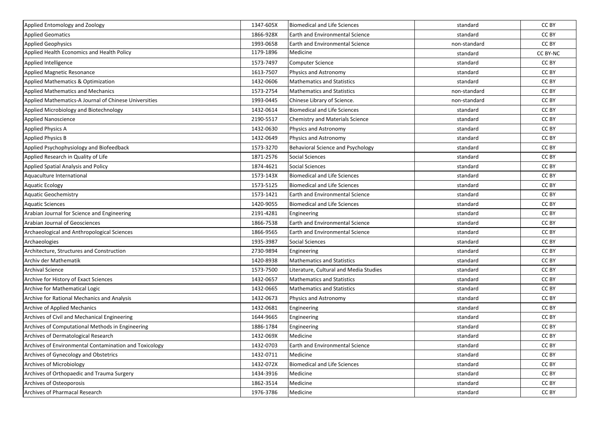| Applied Entomology and Zoology                         | 1347-605X | <b>Biomedical and Life Sciences</b>    | standard     | CC BY    |
|--------------------------------------------------------|-----------|----------------------------------------|--------------|----------|
| <b>Applied Geomatics</b>                               | 1866-928X | Earth and Environmental Science        | standard     | CC BY    |
| <b>Applied Geophysics</b>                              | 1993-0658 | <b>Earth and Environmental Science</b> | non-standard | CC BY    |
| Applied Health Economics and Health Policy             | 1179-1896 | Medicine                               | standard     | CC BY-NC |
| Applied Intelligence                                   | 1573-7497 | <b>Computer Science</b>                | standard     | CC BY    |
| Applied Magnetic Resonance                             | 1613-7507 | Physics and Astronomy                  | standard     | CC BY    |
| Applied Mathematics & Optimization                     | 1432-0606 | <b>Mathematics and Statistics</b>      | standard     | CC BY    |
| <b>Applied Mathematics and Mechanics</b>               | 1573-2754 | <b>Mathematics and Statistics</b>      | non-standard | CC BY    |
| Applied Mathematics-A Journal of Chinese Universities  | 1993-0445 | Chinese Library of Science.            | non-standard | CC BY    |
| Applied Microbiology and Biotechnology                 | 1432-0614 | <b>Biomedical and Life Sciences</b>    | standard     | CC BY    |
| <b>Applied Nanoscience</b>                             | 2190-5517 | Chemistry and Materials Science        | standard     | CC BY    |
| <b>Applied Physics A</b>                               | 1432-0630 | Physics and Astronomy                  | standard     | CC BY    |
| <b>Applied Physics B</b>                               | 1432-0649 | Physics and Astronomy                  | standard     | CC BY    |
| Applied Psychophysiology and Biofeedback               | 1573-3270 | Behavioral Science and Psychology      | standard     | CC BY    |
| Applied Research in Quality of Life                    | 1871-2576 | Social Sciences                        | standard     | CC BY    |
| Applied Spatial Analysis and Policy                    | 1874-4621 | Social Sciences                        | standard     | CC BY    |
| Aquaculture International                              | 1573-143X | <b>Biomedical and Life Sciences</b>    | standard     | CC BY    |
| <b>Aquatic Ecology</b>                                 | 1573-5125 | <b>Biomedical and Life Sciences</b>    | standard     | CC BY    |
| <b>Aquatic Geochemistry</b>                            | 1573-1421 | <b>Earth and Environmental Science</b> | standard     | CC BY    |
| <b>Aquatic Sciences</b>                                | 1420-9055 | <b>Biomedical and Life Sciences</b>    | standard     | CC BY    |
| Arabian Journal for Science and Engineering            | 2191-4281 | Engineering                            | standard     | CC BY    |
| Arabian Journal of Geosciences                         | 1866-7538 | <b>Earth and Environmental Science</b> | standard     | CC BY    |
| Archaeological and Anthropological Sciences            | 1866-9565 | Earth and Environmental Science        | standard     | CC BY    |
| Archaeologies                                          | 1935-3987 | Social Sciences                        | standard     | CC BY    |
| Architecture, Structures and Construction              | 2730-9894 | Engineering                            | standard     | CC BY    |
| Archiv der Mathematik                                  | 1420-8938 | <b>Mathematics and Statistics</b>      | standard     | CC BY    |
| <b>Archival Science</b>                                | 1573-7500 | Literature, Cultural and Media Studies | standard     | CC BY    |
| Archive for History of Exact Sciences                  | 1432-0657 | <b>Mathematics and Statistics</b>      | standard     | CC BY    |
| Archive for Mathematical Logic                         | 1432-0665 | <b>Mathematics and Statistics</b>      | standard     | CC BY    |
| Archive for Rational Mechanics and Analysis            | 1432-0673 | Physics and Astronomy                  | standard     | CC BY    |
| <b>Archive of Applied Mechanics</b>                    | 1432-0681 | Engineering                            | standard     | CC BY    |
| Archives of Civil and Mechanical Engineering           | 1644-9665 | Engineering                            | standard     | CC BY    |
| Archives of Computational Methods in Engineering       | 1886-1784 | Engineering                            | standard     | CC BY    |
| Archives of Dermatological Research                    | 1432-069X | Medicine                               | standard     | CC BY    |
| Archives of Environmental Contamination and Toxicology | 1432-0703 | Earth and Environmental Science        | standard     | CC BY    |
| Archives of Gynecology and Obstetrics                  | 1432-0711 | Medicine                               | standard     | CC BY    |
| Archives of Microbiology                               | 1432-072X | <b>Biomedical and Life Sciences</b>    | standard     | CC BY    |
| Archives of Orthopaedic and Trauma Surgery             | 1434-3916 | Medicine                               | standard     | CC BY    |
| Archives of Osteoporosis                               | 1862-3514 | Medicine                               | standard     | CC BY    |
| Archives of Pharmacal Research                         | 1976-3786 | Medicine                               | standard     | CC BY    |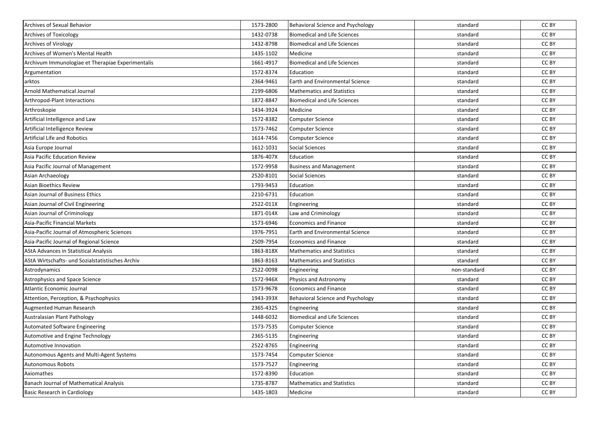| Archives of Sexual Behavior                       | 1573-2800 | Behavioral Science and Psychology      | standard     | CC BY |
|---------------------------------------------------|-----------|----------------------------------------|--------------|-------|
| <b>Archives of Toxicology</b>                     | 1432-0738 | <b>Biomedical and Life Sciences</b>    | standard     | CC BY |
| <b>Archives of Virology</b>                       | 1432-8798 | <b>Biomedical and Life Sciences</b>    | standard     | CC BY |
| Archives of Women's Mental Health                 | 1435-1102 | Medicine                               | standard     | CC BY |
| Archivum Immunologiae et Therapiae Experimentalis | 1661-4917 | <b>Biomedical and Life Sciences</b>    | standard     | CC BY |
| Argumentation                                     | 1572-8374 | Education                              | standard     | CC BY |
| arktos                                            | 2364-9461 | <b>Earth and Environmental Science</b> | standard     | CC BY |
| Arnold Mathematical Journal                       | 2199-6806 | <b>Mathematics and Statistics</b>      | standard     | CC BY |
| Arthropod-Plant Interactions                      | 1872-8847 | <b>Biomedical and Life Sciences</b>    | standard     | CC BY |
| Arthroskopie                                      | 1434-3924 | Medicine                               | standard     | CC BY |
| Artificial Intelligence and Law                   | 1572-8382 | <b>Computer Science</b>                | standard     | CC BY |
| Artificial Intelligence Review                    | 1573-7462 | Computer Science                       | standard     | CC BY |
| Artificial Life and Robotics                      | 1614-7456 | <b>Computer Science</b>                | standard     | CC BY |
| Asia Europe Journal                               | 1612-1031 | <b>Social Sciences</b>                 | standard     | CC BY |
| Asia Pacific Education Review                     | 1876-407X | Education                              | standard     | CC BY |
| Asia Pacific Journal of Management                | 1572-9958 | <b>Business and Management</b>         | standard     | CC BY |
| Asian Archaeology                                 | 2520-8101 | <b>Social Sciences</b>                 | standard     | CC BY |
| Asian Bioethics Review                            | 1793-9453 | Education                              | standard     | CC BY |
| Asian Journal of Business Ethics                  | 2210-6731 | Education                              | standard     | CC BY |
| Asian Journal of Civil Engineering                | 2522-011X | Engineering                            | standard     | CC BY |
| Asian Journal of Criminology                      | 1871-014X | Law and Criminology                    | standard     | CC BY |
| Asia-Pacific Financial Markets                    | 1573-6946 | <b>Economics and Finance</b>           | standard     | CC BY |
| Asia-Pacific Journal of Atmospheric Sciences      | 1976-7951 | <b>Earth and Environmental Science</b> | standard     | CC BY |
| Asia-Pacific Journal of Regional Science          | 2509-7954 | Economics and Finance                  | standard     | CC BY |
| AStA Advances in Statistical Analysis             | 1863-818X | <b>Mathematics and Statistics</b>      | standard     | CC BY |
| AStA Wirtschafts- und Sozialstatistisches Archiv  | 1863-8163 | <b>Mathematics and Statistics</b>      | standard     | CC BY |
| Astrodynamics                                     | 2522-0098 | Engineering                            | non-standard | CC BY |
| Astrophysics and Space Science                    | 1572-946X | Physics and Astronomy                  | standard     | CC BY |
| Atlantic Economic Journal                         | 1573-9678 | <b>Economics and Finance</b>           | standard     | CC BY |
| Attention, Perception, & Psychophysics            | 1943-393X | Behavioral Science and Psychology      | standard     | CC BY |
| Augmented Human Research                          | 2365-4325 | Engineering                            | standard     | CC BY |
| Australasian Plant Pathology                      | 1448-6032 | <b>Biomedical and Life Sciences</b>    | standard     | CC BY |
| Automated Software Engineering                    | 1573-7535 | Computer Science                       | standard     | CC BY |
| Automotive and Engine Technology                  | 2365-5135 | Engineering                            | standard     | CC BY |
| Automotive Innovation                             | 2522-8765 | Engineering                            | standard     | CC BY |
| Autonomous Agents and Multi-Agent Systems         | 1573-7454 | <b>Computer Science</b>                | standard     | CC BY |
| Autonomous Robots                                 | 1573-7527 | Engineering                            | standard     | CC BY |
| Axiomathes                                        | 1572-8390 | Education                              | standard     | CC BY |
| Banach Journal of Mathematical Analysis           | 1735-8787 | <b>Mathematics and Statistics</b>      | standard     | CC BY |
| Basic Research in Cardiology                      | 1435-1803 | Medicine                               | standard     | CC BY |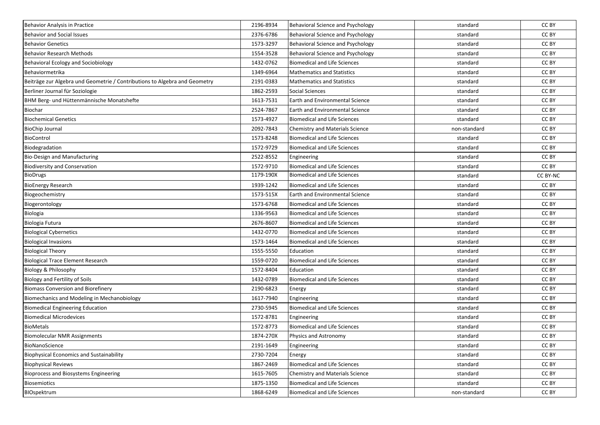| <b>Behavior Analysis in Practice</b>                                       | 2196-8934 | Behavioral Science and Psychology        | standard     | CC BY    |
|----------------------------------------------------------------------------|-----------|------------------------------------------|--------------|----------|
| <b>Behavior and Social Issues</b>                                          | 2376-6786 | <b>Behavioral Science and Psychology</b> | standard     | CC BY    |
| <b>Behavior Genetics</b>                                                   | 1573-3297 | Behavioral Science and Psychology        | standard     | CC BY    |
| <b>Behavior Research Methods</b>                                           | 1554-3528 | <b>Behavioral Science and Psychology</b> | standard     | CC BY    |
| Behavioral Ecology and Sociobiology                                        | 1432-0762 | <b>Biomedical and Life Sciences</b>      | standard     | CC BY    |
| Behaviormetrika                                                            | 1349-6964 | <b>Mathematics and Statistics</b>        | standard     | CC BY    |
| Beiträge zur Algebra und Geometrie / Contributions to Algebra and Geometry | 2191-0383 | <b>Mathematics and Statistics</b>        | standard     | CC BY    |
| Berliner Journal für Soziologie                                            | 1862-2593 | <b>Social Sciences</b>                   | standard     | CC BY    |
| BHM Berg- und Hüttenmännische Monatshefte                                  | 1613-7531 | <b>Earth and Environmental Science</b>   | standard     | CC BY    |
| Biochar                                                                    | 2524-7867 | Earth and Environmental Science          | standard     | CC BY    |
| <b>Biochemical Genetics</b>                                                | 1573-4927 | <b>Biomedical and Life Sciences</b>      | standard     | CC BY    |
| <b>BioChip Journal</b>                                                     | 2092-7843 | Chemistry and Materials Science          | non-standard | CC BY    |
| BioControl                                                                 | 1573-8248 | <b>Biomedical and Life Sciences</b>      | standard     | CC BY    |
| Biodegradation                                                             | 1572-9729 | <b>Biomedical and Life Sciences</b>      | standard     | CC BY    |
| Bio-Design and Manufacturing                                               | 2522-8552 | Engineering                              | standard     | CC BY    |
| <b>Biodiversity and Conservation</b>                                       | 1572-9710 | <b>Biomedical and Life Sciences</b>      | standard     | CC BY    |
| <b>BioDrugs</b>                                                            | 1179-190X | <b>Biomedical and Life Sciences</b>      | standard     | CC BY-NC |
| <b>BioEnergy Research</b>                                                  | 1939-1242 | <b>Biomedical and Life Sciences</b>      | standard     | CC BY    |
| Biogeochemistry                                                            | 1573-515X | Earth and Environmental Science          | standard     | CC BY    |
| Biogerontology                                                             | 1573-6768 | <b>Biomedical and Life Sciences</b>      | standard     | CC BY    |
| Biologia                                                                   | 1336-9563 | <b>Biomedical and Life Sciences</b>      | standard     | CC BY    |
| Biologia Futura                                                            | 2676-8607 | <b>Biomedical and Life Sciences</b>      | standard     | CC BY    |
| <b>Biological Cybernetics</b>                                              | 1432-0770 | <b>Biomedical and Life Sciences</b>      | standard     | CC BY    |
| <b>Biological Invasions</b>                                                | 1573-1464 | <b>Biomedical and Life Sciences</b>      | standard     | CC BY    |
| <b>Biological Theory</b>                                                   | 1555-5550 | Education                                | standard     | CC BY    |
| <b>Biological Trace Element Research</b>                                   | 1559-0720 | <b>Biomedical and Life Sciences</b>      | standard     | CC BY    |
| Biology & Philosophy                                                       | 1572-8404 | Education                                | standard     | CC BY    |
| Biology and Fertility of Soils                                             | 1432-0789 | <b>Biomedical and Life Sciences</b>      | standard     | CC BY    |
| <b>Biomass Conversion and Biorefinery</b>                                  | 2190-6823 | Energy                                   | standard     | CC BY    |
| Biomechanics and Modeling in Mechanobiology                                | 1617-7940 | Engineering                              | standard     | CC BY    |
| <b>Biomedical Engineering Education</b>                                    | 2730-5945 | <b>Biomedical and Life Sciences</b>      | standard     | CC BY    |
| <b>Biomedical Microdevices</b>                                             | 1572-8781 | Engineering                              | standard     | CC BY    |
| <b>BioMetals</b>                                                           | 1572-8773 | <b>Biomedical and Life Sciences</b>      | standard     | CC BY    |
| <b>Biomolecular NMR Assignments</b>                                        | 1874-270X | Physics and Astronomy                    | standard     | CC BY    |
| BioNanoScience                                                             | 2191-1649 | Engineering                              | standard     | CC BY    |
| <b>Biophysical Economics and Sustainability</b>                            | 2730-7204 | Energy                                   | standard     | CC BY    |
| <b>Biophysical Reviews</b>                                                 | 1867-2469 | <b>Biomedical and Life Sciences</b>      | standard     | CC BY    |
| <b>Bioprocess and Biosystems Engineering</b>                               | 1615-7605 | Chemistry and Materials Science          | standard     | CC BY    |
| <b>Biosemiotics</b>                                                        | 1875-1350 | <b>Biomedical and Life Sciences</b>      | standard     | CC BY    |
| BIOspektrum                                                                | 1868-6249 | <b>Biomedical and Life Sciences</b>      | non-standard | CC BY    |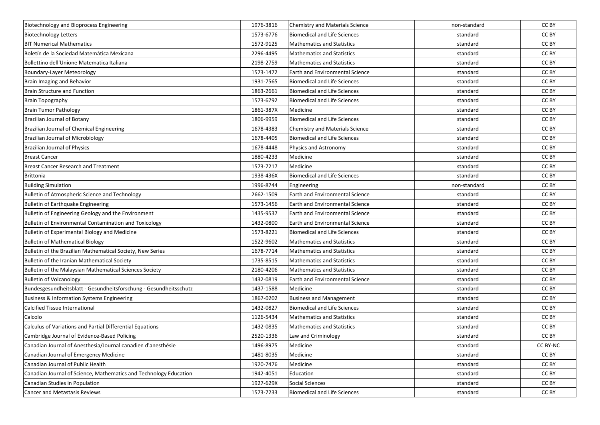| Biotechnology and Bioprocess Engineering                          | 1976-3816 | <b>Chemistry and Materials Science</b> | non-standard | CC BY    |
|-------------------------------------------------------------------|-----------|----------------------------------------|--------------|----------|
| <b>Biotechnology Letters</b>                                      | 1573-6776 | <b>Biomedical and Life Sciences</b>    | standard     | CC BY    |
| <b>BIT Numerical Mathematics</b>                                  | 1572-9125 | <b>Mathematics and Statistics</b>      | standard     | CC BY    |
| Boletín de la Sociedad Matemática Mexicana                        | 2296-4495 | <b>Mathematics and Statistics</b>      | standard     | CC BY    |
| Bollettino dell'Unione Matematica Italiana                        | 2198-2759 | <b>Mathematics and Statistics</b>      | standard     | CC BY    |
| Boundary-Layer Meteorology                                        | 1573-1472 | Earth and Environmental Science        | standard     | CC BY    |
| Brain Imaging and Behavior                                        | 1931-7565 | <b>Biomedical and Life Sciences</b>    | standard     | CC BY    |
| <b>Brain Structure and Function</b>                               | 1863-2661 | <b>Biomedical and Life Sciences</b>    | standard     | CC BY    |
| <b>Brain Topography</b>                                           | 1573-6792 | <b>Biomedical and Life Sciences</b>    | standard     | CC BY    |
| <b>Brain Tumor Pathology</b>                                      | 1861-387X | Medicine                               | standard     | CC BY    |
| <b>Brazilian Journal of Botany</b>                                | 1806-9959 | <b>Biomedical and Life Sciences</b>    | standard     | CC BY    |
| Brazilian Journal of Chemical Engineering                         | 1678-4383 | Chemistry and Materials Science        | standard     | CC BY    |
| Brazilian Journal of Microbiology                                 | 1678-4405 | <b>Biomedical and Life Sciences</b>    | standard     | CC BY    |
| Brazilian Journal of Physics                                      | 1678-4448 | Physics and Astronomy                  | standard     | CC BY    |
| <b>Breast Cancer</b>                                              | 1880-4233 | Medicine                               | standard     | CC BY    |
| <b>Breast Cancer Research and Treatment</b>                       | 1573-7217 | Medicine                               | standard     | CC BY    |
| <b>Brittonia</b>                                                  | 1938-436X | <b>Biomedical and Life Sciences</b>    | standard     | CC BY    |
| <b>Building Simulation</b>                                        | 1996-8744 | Engineering                            | non-standard | CC BY    |
| Bulletin of Atmospheric Science and Technology                    | 2662-1509 | <b>Earth and Environmental Science</b> | standard     | CC BY    |
| Bulletin of Earthquake Engineering                                | 1573-1456 | <b>Earth and Environmental Science</b> | standard     | CC BY    |
| Bulletin of Engineering Geology and the Environment               | 1435-9537 | Earth and Environmental Science        | standard     | CC BY    |
| Bulletin of Environmental Contamination and Toxicology            | 1432-0800 | <b>Earth and Environmental Science</b> | standard     | CC BY    |
| Bulletin of Experimental Biology and Medicine                     | 1573-8221 | <b>Biomedical and Life Sciences</b>    | standard     | CC BY    |
| <b>Bulletin of Mathematical Biology</b>                           | 1522-9602 | <b>Mathematics and Statistics</b>      | standard     | CC BY    |
| Bulletin of the Brazilian Mathematical Society, New Series        | 1678-7714 | <b>Mathematics and Statistics</b>      | standard     | CC BY    |
| Bulletin of the Iranian Mathematical Society                      | 1735-8515 | <b>Mathematics and Statistics</b>      | standard     | CC BY    |
| Bulletin of the Malaysian Mathematical Sciences Society           | 2180-4206 | <b>Mathematics and Statistics</b>      | standard     | CC BY    |
| <b>Bulletin of Volcanology</b>                                    | 1432-0819 | <b>Earth and Environmental Science</b> | standard     | CC BY    |
| Bundesgesundheitsblatt - Gesundheitsforschung - Gesundheitsschutz | 1437-1588 | Medicine                               | standard     | CC BY    |
| Business & Information Systems Engineering                        | 1867-0202 | <b>Business and Management</b>         | standard     | CC BY    |
| <b>Calcified Tissue International</b>                             | 1432-0827 | <b>Biomedical and Life Sciences</b>    | standard     | CC BY    |
| Calcolo                                                           | 1126-5434 | <b>Mathematics and Statistics</b>      | standard     | CC BY    |
| Calculus of Variations and Partial Differential Equations         | 1432-0835 | <b>Mathematics and Statistics</b>      | standard     | CC BY    |
| Cambridge Journal of Evidence-Based Policing                      | 2520-1336 | Law and Criminology                    | standard     | CC BY    |
| Canadian Journal of Anesthesia/Journal canadien d'anesthésie      | 1496-8975 | Medicine                               | standard     | CC BY-NC |
| Canadian Journal of Emergency Medicine                            | 1481-8035 | Medicine                               | standard     | CC BY    |
| Canadian Journal of Public Health                                 | 1920-7476 | Medicine                               | standard     | CC BY    |
| Canadian Journal of Science, Mathematics and Technology Education | 1942-4051 | Education                              | standard     | CC BY    |
| Canadian Studies in Population                                    | 1927-629X | Social Sciences                        | standard     | CC BY    |
| <b>Cancer and Metastasis Reviews</b>                              | 1573-7233 | <b>Biomedical and Life Sciences</b>    | standard     | CC BY    |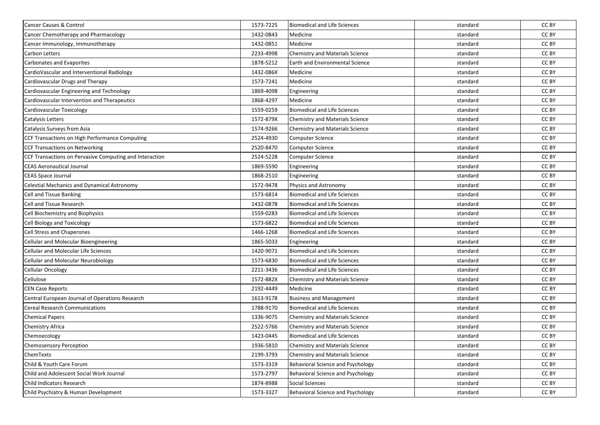| Cancer Causes & Control                                 | 1573-7225 | <b>Biomedical and Life Sciences</b>      | standard | CC BY |
|---------------------------------------------------------|-----------|------------------------------------------|----------|-------|
| Cancer Chemotherapy and Pharmacology                    | 1432-0843 | Medicine                                 | standard | CC BY |
| Cancer Immunology, Immunotherapy                        | 1432-0851 | Medicine                                 | standard | CC BY |
| Carbon Letters                                          | 2233-4998 | Chemistry and Materials Science          | standard | CC BY |
| <b>Carbonates and Evaporites</b>                        | 1878-5212 | Earth and Environmental Science          | standard | CC BY |
| CardioVascular and Interventional Radiology             | 1432-086X | Medicine                                 | standard | CC BY |
| Cardiovascular Drugs and Therapy                        | 1573-7241 | Medicine                                 | standard | CC BY |
| Cardiovascular Engineering and Technology               | 1869-4098 | Engineering                              | standard | CC BY |
| Cardiovascular Intervention and Therapeutics            | 1868-4297 | Medicine                                 | standard | CC BY |
| Cardiovascular Toxicology                               | 1559-0259 | <b>Biomedical and Life Sciences</b>      | standard | CC BY |
| Catalysis Letters                                       | 1572-879X | Chemistry and Materials Science          | standard | CC BY |
| Catalysis Surveys from Asia                             | 1574-9266 | Chemistry and Materials Science          | standard | CC BY |
| CCF Transactions on High Performance Computing          | 2524-4930 | Computer Science                         | standard | CC BY |
| <b>CCF Transactions on Networking</b>                   | 2520-8470 | Computer Science                         | standard | CC BY |
| CCF Transactions on Pervasive Computing and Interaction | 2524-5228 | Computer Science                         | standard | CC BY |
| <b>CEAS Aeronautical Journal</b>                        | 1869-5590 | Engineering                              | standard | CC BY |
| <b>CEAS Space Journal</b>                               | 1868-2510 | Engineering                              | standard | CC BY |
| <b>Celestial Mechanics and Dynamical Astronomy</b>      | 1572-9478 | Physics and Astronomy                    | standard | CC BY |
| <b>Cell and Tissue Banking</b>                          | 1573-6814 | <b>Biomedical and Life Sciences</b>      | standard | CC BY |
| Cell and Tissue Research                                | 1432-0878 | <b>Biomedical and Life Sciences</b>      | standard | CC BY |
| Cell Biochemistry and Biophysics                        | 1559-0283 | <b>Biomedical and Life Sciences</b>      | standard | CC BY |
| Cell Biology and Toxicology                             | 1573-6822 | <b>Biomedical and Life Sciences</b>      | standard | CC BY |
| <b>Cell Stress and Chaperones</b>                       | 1466-1268 | <b>Biomedical and Life Sciences</b>      | standard | CC BY |
| Cellular and Molecular Bioengineering                   | 1865-5033 | Engineering                              | standard | CC BY |
| <b>Cellular and Molecular Life Sciences</b>             | 1420-9071 | <b>Biomedical and Life Sciences</b>      | standard | CC BY |
| <b>Cellular and Molecular Neurobiology</b>              | 1573-6830 | <b>Biomedical and Life Sciences</b>      | standard | CC BY |
| <b>Cellular Oncology</b>                                | 2211-3436 | <b>Biomedical and Life Sciences</b>      | standard | CC BY |
| Cellulose                                               | 1572-882X | Chemistry and Materials Science          | standard | CC BY |
| <b>CEN Case Reports</b>                                 | 2192-4449 | Medicine                                 | standard | CC BY |
| Central European Journal of Operations Research         | 1613-9178 | <b>Business and Management</b>           | standard | CC BY |
| <b>Cereal Research Communications</b>                   | 1788-9170 | <b>Biomedical and Life Sciences</b>      | standard | CC BY |
| <b>Chemical Papers</b>                                  | 1336-9075 | Chemistry and Materials Science          | standard | CC BY |
| Chemistry Africa                                        | 2522-5766 | Chemistry and Materials Science          | standard | CC BY |
| Chemoecology                                            | 1423-0445 | <b>Biomedical and Life Sciences</b>      | standard | CC BY |
| <b>Chemosensory Perception</b>                          | 1936-5810 | <b>Chemistry and Materials Science</b>   | standard | CC BY |
| ChemTexts                                               | 2199-3793 | <b>Chemistry and Materials Science</b>   | standard | CC BY |
| Child & Youth Care Forum                                | 1573-3319 | Behavioral Science and Psychology        | standard | CC BY |
| Child and Adolescent Social Work Journal                | 1573-2797 | <b>Behavioral Science and Psychology</b> | standard | CC BY |
| Child Indicators Research                               | 1874-8988 | Social Sciences                          | standard | CC BY |
| Child Psychiatry & Human Development                    | 1573-3327 | Behavioral Science and Psychology        | standard | CC BY |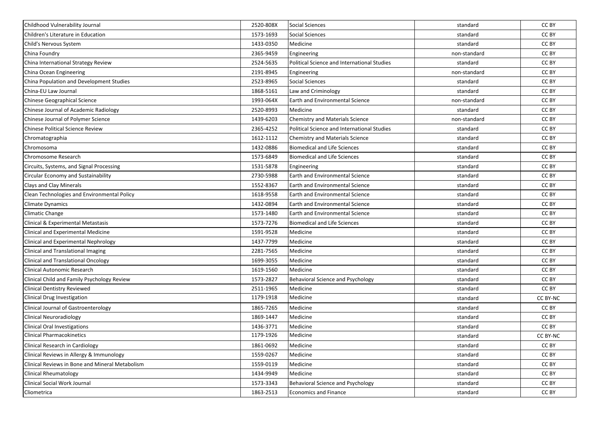| Childhood Vulnerability Journal                 | 2520-808X | <b>Social Sciences</b>                      | standard     | CC BY           |
|-------------------------------------------------|-----------|---------------------------------------------|--------------|-----------------|
| Children's Literature in Education              | 1573-1693 | <b>Social Sciences</b>                      | standard     | CC BY           |
| Child's Nervous System                          | 1433-0350 | Medicine                                    | standard     | CC BY           |
| China Foundry                                   | 2365-9459 | Engineering                                 | non-standard | CC BY           |
| China International Strategy Review             | 2524-5635 | Political Science and International Studies | standard     | CC BY           |
| China Ocean Engineering                         | 2191-8945 | Engineering                                 | non-standard | CC BY           |
| China Population and Development Studies        | 2523-8965 | <b>Social Sciences</b>                      | standard     | CC BY           |
| China-EU Law Journal                            | 1868-5161 | Law and Criminology                         | standard     | CC BY           |
| <b>Chinese Geographical Science</b>             | 1993-064X | <b>Earth and Environmental Science</b>      | non-standard | CC BY           |
| Chinese Journal of Academic Radiology           | 2520-8993 | Medicine                                    | standard     | CC BY           |
| Chinese Journal of Polymer Science              | 1439-6203 | <b>Chemistry and Materials Science</b>      | non-standard | CC BY           |
| <b>Chinese Political Science Review</b>         | 2365-4252 | Political Science and International Studies | standard     | CC BY           |
| Chromatographia                                 | 1612-1112 | <b>Chemistry and Materials Science</b>      | standard     | CC BY           |
| Chromosoma                                      | 1432-0886 | <b>Biomedical and Life Sciences</b>         | standard     | CC BY           |
| Chromosome Research                             | 1573-6849 | <b>Biomedical and Life Sciences</b>         | standard     | CC BY           |
| Circuits, Systems, and Signal Processing        | 1531-5878 | Engineering                                 | standard     | CC BY           |
| Circular Economy and Sustainability             | 2730-5988 | <b>Earth and Environmental Science</b>      | standard     | CC BY           |
| <b>Clays and Clay Minerals</b>                  | 1552-8367 | <b>Earth and Environmental Science</b>      | standard     | CC BY           |
| Clean Technologies and Environmental Policy     | 1618-9558 | <b>Earth and Environmental Science</b>      | standard     | CC BY           |
| Climate Dynamics                                | 1432-0894 | <b>Earth and Environmental Science</b>      | standard     | CC BY           |
| <b>Climatic Change</b>                          | 1573-1480 | <b>Earth and Environmental Science</b>      | standard     | CC BY           |
| Clinical & Experimental Metastasis              | 1573-7276 | <b>Biomedical and Life Sciences</b>         | standard     | CC BY           |
| <b>Clinical and Experimental Medicine</b>       | 1591-9528 | Medicine                                    | standard     | CC BY           |
| Clinical and Experimental Nephrology            | 1437-7799 | Medicine                                    | standard     | CC BY           |
| Clinical and Translational Imaging              | 2281-7565 | Medicine                                    | standard     | CC BY           |
| <b>Clinical and Translational Oncology</b>      | 1699-3055 | Medicine                                    | standard     | CC BY           |
| Clinical Autonomic Research                     | 1619-1560 | Medicine                                    | standard     | CC BY           |
| Clinical Child and Family Psychology Review     | 1573-2827 | Behavioral Science and Psychology           | standard     | CC BY           |
| <b>Clinical Dentistry Reviewed</b>              | 2511-1965 | Medicine                                    | standard     | CC BY           |
| Clinical Drug Investigation                     | 1179-1918 | Medicine                                    | standard     | <b>CC BY-NC</b> |
| <b>Clinical Journal of Gastroenterology</b>     | 1865-7265 | Medicine                                    | standard     | CC BY           |
| <b>Clinical Neuroradiology</b>                  | 1869-1447 | Medicine                                    | standard     | CC BY           |
| <b>Clinical Oral Investigations</b>             | 1436-3771 | Medicine                                    | standard     | CC BY           |
| <b>Clinical Pharmacokinetics</b>                | 1179-1926 | Medicine                                    | standard     | CC BY-NC        |
| Clinical Research in Cardiology                 | 1861-0692 | Medicine                                    | standard     | CC BY           |
| Clinical Reviews in Allergy & Immunology        | 1559-0267 | Medicine                                    | standard     | CC BY           |
| Clinical Reviews in Bone and Mineral Metabolism | 1559-0119 | Medicine                                    | standard     | CC BY           |
| <b>Clinical Rheumatology</b>                    | 1434-9949 | Medicine                                    | standard     | CC BY           |
| Clinical Social Work Journal                    | 1573-3343 | Behavioral Science and Psychology           | standard     | CC BY           |
| Cliometrica                                     | 1863-2513 | Economics and Finance                       | standard     | CC BY           |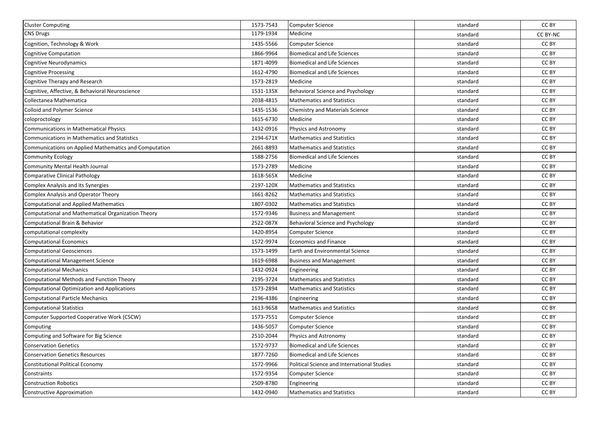| <b>Cluster Computing</b>                              | 1573-7543 | <b>Computer Science</b>                     | standard | CC BY           |
|-------------------------------------------------------|-----------|---------------------------------------------|----------|-----------------|
| <b>CNS Drugs</b>                                      | 1179-1934 | Medicine                                    | standard | <b>CC BY-NC</b> |
| Cognition, Technology & Work                          | 1435-5566 | <b>Computer Science</b>                     | standard | CC BY           |
| <b>Cognitive Computation</b>                          | 1866-9964 | <b>Biomedical and Life Sciences</b>         | standard | CC BY           |
| Cognitive Neurodynamics                               | 1871-4099 | <b>Biomedical and Life Sciences</b>         | standard | CC BY           |
| Cognitive Processing                                  | 1612-4790 | <b>Biomedical and Life Sciences</b>         | standard | CC BY           |
| Cognitive Therapy and Research                        | 1573-2819 | Medicine                                    | standard | CC BY           |
| Cognitive, Affective, & Behavioral Neuroscience       | 1531-135X | Behavioral Science and Psychology           | standard | CC BY           |
| Collectanea Mathematica                               | 2038-4815 | <b>Mathematics and Statistics</b>           | standard | CC BY           |
| <b>Colloid and Polymer Science</b>                    | 1435-1536 | <b>Chemistry and Materials Science</b>      | standard | CC BY           |
| coloproctology                                        | 1615-6730 | Medicine                                    | standard | CC BY           |
| Communications in Mathematical Physics                | 1432-0916 | Physics and Astronomy                       | standard | CC BY           |
| Communications in Mathematics and Statistics          | 2194-671X | <b>Mathematics and Statistics</b>           | standard | CC BY           |
| Communications on Applied Mathematics and Computation | 2661-8893 | <b>Mathematics and Statistics</b>           | standard | CC BY           |
| <b>Community Ecology</b>                              | 1588-2756 | <b>Biomedical and Life Sciences</b>         | standard | CC BY           |
| Community Mental Health Journal                       | 1573-2789 | Medicine                                    | standard | CC BY           |
| <b>Comparative Clinical Pathology</b>                 | 1618-565X | Medicine                                    | standard | CC BY           |
| Complex Analysis and its Synergies                    | 2197-120X | <b>Mathematics and Statistics</b>           | standard | CC BY           |
| Complex Analysis and Operator Theory                  | 1661-8262 | <b>Mathematics and Statistics</b>           | standard | CC BY           |
| <b>Computational and Applied Mathematics</b>          | 1807-0302 | <b>Mathematics and Statistics</b>           | standard | CC BY           |
| Computational and Mathematical Organization Theory    | 1572-9346 | <b>Business and Management</b>              | standard | CC BY           |
| Computational Brain & Behavior                        | 2522-087X | Behavioral Science and Psychology           | standard | CC BY           |
| computational complexity                              | 1420-8954 | <b>Computer Science</b>                     | standard | CC BY           |
| <b>Computational Economics</b>                        | 1572-9974 | <b>Economics and Finance</b>                | standard | CC BY           |
| <b>Computational Geosciences</b>                      | 1573-1499 | Earth and Environmental Science             | standard | CC BY           |
| <b>Computational Management Science</b>               | 1619-6988 | <b>Business and Management</b>              | standard | CC BY           |
| <b>Computational Mechanics</b>                        | 1432-0924 | Engineering                                 | standard | CC BY           |
| <b>Computational Methods and Function Theory</b>      | 2195-3724 | <b>Mathematics and Statistics</b>           | standard | CC BY           |
| <b>Computational Optimization and Applications</b>    | 1573-2894 | <b>Mathematics and Statistics</b>           | standard | CC BY           |
| <b>Computational Particle Mechanics</b>               | 2196-4386 | Engineering                                 | standard | CC BY           |
| <b>Computational Statistics</b>                       | 1613-9658 | <b>Mathematics and Statistics</b>           | standard | CC BY           |
| Computer Supported Cooperative Work (CSCW)            | 1573-7551 | <b>Computer Science</b>                     | standard | CC BY           |
| Computing                                             | 1436-5057 | Computer Science                            | standard | CC BY           |
| Computing and Software for Big Science                | 2510-2044 | Physics and Astronomy                       | standard | CC BY           |
| <b>Conservation Genetics</b>                          | 1572-9737 | <b>Biomedical and Life Sciences</b>         | standard | CC BY           |
| <b>Conservation Genetics Resources</b>                | 1877-7260 | <b>Biomedical and Life Sciences</b>         | standard | CC BY           |
| <b>Constitutional Political Economy</b>               | 1572-9966 | Political Science and International Studies | standard | CC BY           |
| Constraints                                           | 1572-9354 | Computer Science                            | standard | CC BY           |
| <b>Construction Robotics</b>                          | 2509-8780 | Engineering                                 | standard | CC BY           |
| <b>Constructive Approximation</b>                     | 1432-0940 | <b>Mathematics and Statistics</b>           | standard | CC BY           |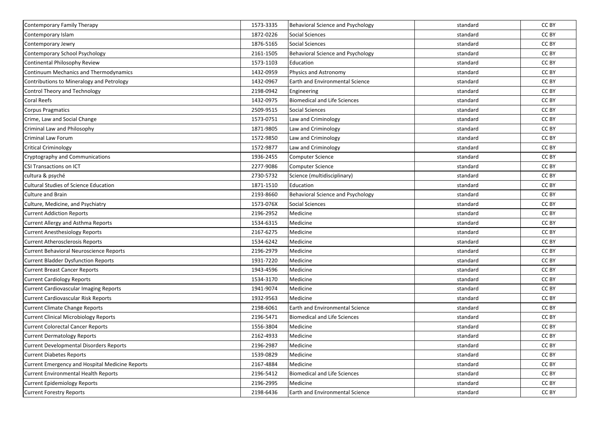| Contemporary Family Therapy                     | 1573-3335 | Behavioral Science and Psychology        | standard | CC BY |
|-------------------------------------------------|-----------|------------------------------------------|----------|-------|
| Contemporary Islam                              | 1872-0226 | <b>Social Sciences</b>                   | standard | CC BY |
| Contemporary Jewry                              | 1876-5165 | <b>Social Sciences</b>                   | standard | CC BY |
| Contemporary School Psychology                  | 2161-1505 | <b>Behavioral Science and Psychology</b> | standard | CC BY |
| Continental Philosophy Review                   | 1573-1103 | Education                                | standard | CC BY |
| Continuum Mechanics and Thermodynamics          | 1432-0959 | Physics and Astronomy                    | standard | CC BY |
| Contributions to Mineralogy and Petrology       | 1432-0967 | <b>Earth and Environmental Science</b>   | standard | CC BY |
| Control Theory and Technology                   | 2198-0942 | Engineering                              | standard | CC BY |
| Coral Reefs                                     | 1432-0975 | <b>Biomedical and Life Sciences</b>      | standard | CC BY |
| <b>Corpus Pragmatics</b>                        | 2509-9515 | <b>Social Sciences</b>                   | standard | CC BY |
| Crime, Law and Social Change                    | 1573-0751 | Law and Criminology                      | standard | CC BY |
| Criminal Law and Philosophy                     | 1871-9805 | Law and Criminology                      | standard | CC BY |
| Criminal Law Forum                              | 1572-9850 | Law and Criminology                      | standard | CC BY |
| <b>Critical Criminology</b>                     | 1572-9877 | Law and Criminology                      | standard | CC BY |
| Cryptography and Communications                 | 1936-2455 | Computer Science                         | standard | CC BY |
| <b>CSI Transactions on ICT</b>                  | 2277-9086 | <b>Computer Science</b>                  | standard | CC BY |
| cultura & psyché                                | 2730-5732 | Science (multidisciplinary)              | standard | CC BY |
| <b>Cultural Studies of Science Education</b>    | 1871-1510 | Education                                | standard | CC BY |
| <b>Culture and Brain</b>                        | 2193-8660 | Behavioral Science and Psychology        | standard | CC BY |
| Culture, Medicine, and Psychiatry               | 1573-076X | <b>Social Sciences</b>                   | standard | CC BY |
| <b>Current Addiction Reports</b>                | 2196-2952 | Medicine                                 | standard | CC BY |
| Current Allergy and Asthma Reports              | 1534-6315 | Medicine                                 | standard | CC BY |
| <b>Current Anesthesiology Reports</b>           | 2167-6275 | Medicine                                 | standard | CC BY |
| <b>Current Atherosclerosis Reports</b>          | 1534-6242 | Medicine                                 | standard | CC BY |
| Current Behavioral Neuroscience Reports         | 2196-2979 | Medicine                                 | standard | CC BY |
| <b>Current Bladder Dysfunction Reports</b>      | 1931-7220 | Medicine                                 | standard | CC BY |
| <b>Current Breast Cancer Reports</b>            | 1943-4596 | Medicine                                 | standard | CC BY |
| <b>Current Cardiology Reports</b>               | 1534-3170 | Medicine                                 | standard | CC BY |
| <b>Current Cardiovascular Imaging Reports</b>   | 1941-9074 | Medicine                                 | standard | CC BY |
| Current Cardiovascular Risk Reports             | 1932-9563 | Medicine                                 | standard | CC BY |
| <b>Current Climate Change Reports</b>           | 2198-6061 | Earth and Environmental Science          | standard | CC BY |
| <b>Current Clinical Microbiology Reports</b>    | 2196-5471 | <b>Biomedical and Life Sciences</b>      | standard | CC BY |
| <b>Current Colorectal Cancer Reports</b>        | 1556-3804 | Medicine                                 | standard | CC BY |
| <b>Current Dermatology Reports</b>              | 2162-4933 | Medicine                                 | standard | CC BY |
| <b>Current Developmental Disorders Reports</b>  | 2196-2987 | Medicine                                 | standard | CC BY |
| <b>Current Diabetes Reports</b>                 | 1539-0829 | Medicine                                 | standard | CC BY |
| Current Emergency and Hospital Medicine Reports | 2167-4884 | Medicine                                 | standard | CC BY |
| <b>Current Environmental Health Reports</b>     | 2196-5412 | <b>Biomedical and Life Sciences</b>      | standard | CC BY |
| <b>Current Epidemiology Reports</b>             | 2196-2995 | Medicine                                 | standard | CC BY |
| <b>Current Forestry Reports</b>                 | 2198-6436 | Earth and Environmental Science          | standard | CC BY |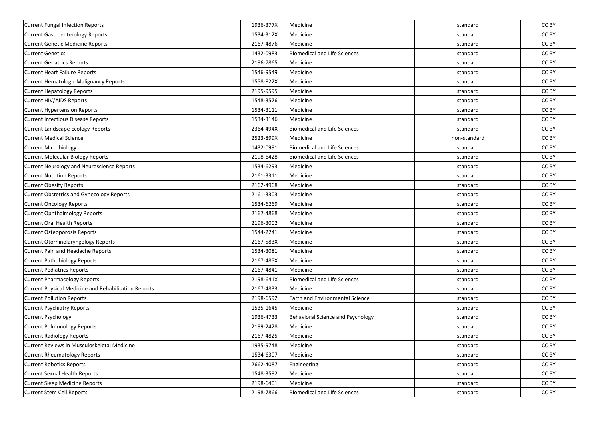| Current Fungal Infection Reports                            | 1936-377X | Medicine                               | standard     | CC BY |
|-------------------------------------------------------------|-----------|----------------------------------------|--------------|-------|
| <b>Current Gastroenterology Reports</b>                     | 1534-312X | Medicine                               | standard     | CC BY |
| <b>Current Genetic Medicine Reports</b>                     | 2167-4876 | Medicine                               | standard     | CC BY |
| <b>Current Genetics</b>                                     | 1432-0983 | <b>Biomedical and Life Sciences</b>    | standard     | CC BY |
| <b>Current Geriatrics Reports</b>                           | 2196-7865 | Medicine                               | standard     | CC BY |
| <b>Current Heart Failure Reports</b>                        | 1546-9549 | Medicine                               | standard     | CC BY |
| <b>Current Hematologic Malignancy Reports</b>               | 1558-822X | Medicine                               | standard     | CC BY |
| <b>Current Hepatology Reports</b>                           | 2195-9595 | Medicine                               | standard     | CC BY |
| <b>Current HIV/AIDS Reports</b>                             | 1548-3576 | Medicine                               | standard     | CC BY |
| <b>Current Hypertension Reports</b>                         | 1534-3111 | Medicine                               | standard     | CC BY |
| <b>Current Infectious Disease Reports</b>                   | 1534-3146 | Medicine                               | standard     | CC BY |
| <b>Current Landscape Ecology Reports</b>                    | 2364-494X | <b>Biomedical and Life Sciences</b>    | standard     | CC BY |
| <b>Current Medical Science</b>                              | 2523-899X | Medicine                               | non-standard | CC BY |
| <b>Current Microbiology</b>                                 | 1432-0991 | <b>Biomedical and Life Sciences</b>    | standard     | CC BY |
| <b>Current Molecular Biology Reports</b>                    | 2198-6428 | <b>Biomedical and Life Sciences</b>    | standard     | CC BY |
| Current Neurology and Neuroscience Reports                  | 1534-6293 | Medicine                               | standard     | CC BY |
| <b>Current Nutrition Reports</b>                            | 2161-3311 | Medicine                               | standard     | CC BY |
| <b>Current Obesity Reports</b>                              | 2162-4968 | Medicine                               | standard     | CC BY |
| <b>Current Obstetrics and Gynecology Reports</b>            | 2161-3303 | Medicine                               | standard     | CC BY |
| <b>Current Oncology Reports</b>                             | 1534-6269 | Medicine                               | standard     | CC BY |
| Current Ophthalmology Reports                               | 2167-4868 | Medicine                               | standard     | CC BY |
| <b>Current Oral Health Reports</b>                          | 2196-3002 | Medicine                               | standard     | CC BY |
| <b>Current Osteoporosis Reports</b>                         | 1544-2241 | Medicine                               | standard     | CC BY |
| <b>Current Otorhinolaryngology Reports</b>                  | 2167-583X | Medicine                               | standard     | CC BY |
| Current Pain and Headache Reports                           | 1534-3081 | Medicine                               | standard     | CC BY |
| <b>Current Pathobiology Reports</b>                         | 2167-485X | Medicine                               | standard     | CC BY |
| <b>Current Pediatrics Reports</b>                           | 2167-4841 | Medicine                               | standard     | CC BY |
| <b>Current Pharmacology Reports</b>                         | 2198-641X | <b>Biomedical and Life Sciences</b>    | standard     | CC BY |
| <b>Current Physical Medicine and Rehabilitation Reports</b> | 2167-4833 | Medicine                               | standard     | CC BY |
| <b>Current Pollution Reports</b>                            | 2198-6592 | <b>Earth and Environmental Science</b> | standard     | CC BY |
| <b>Current Psychiatry Reports</b>                           | 1535-1645 | Medicine                               | standard     | CC BY |
| <b>Current Psychology</b>                                   | 1936-4733 | Behavioral Science and Psychology      | standard     | CC BY |
| Current Pulmonology Reports                                 | 2199-2428 | Medicine                               | standard     | CC BY |
| <b>Current Radiology Reports</b>                            | 2167-4825 | Medicine                               | standard     | CC BY |
| Current Reviews in Musculoskeletal Medicine                 | 1935-9748 | Medicine                               | standard     | CC BY |
| <b>Current Rheumatology Reports</b>                         | 1534-6307 | Medicine                               | standard     | CC BY |
| <b>Current Robotics Reports</b>                             | 2662-4087 | Engineering                            | standard     | CC BY |
| <b>Current Sexual Health Reports</b>                        | 1548-3592 | Medicine                               | standard     | CC BY |
| Current Sleep Medicine Reports                              | 2198-6401 | Medicine                               | standard     | CC BY |
| <b>Current Stem Cell Reports</b>                            | 2198-7866 | <b>Biomedical and Life Sciences</b>    | standard     | CC BY |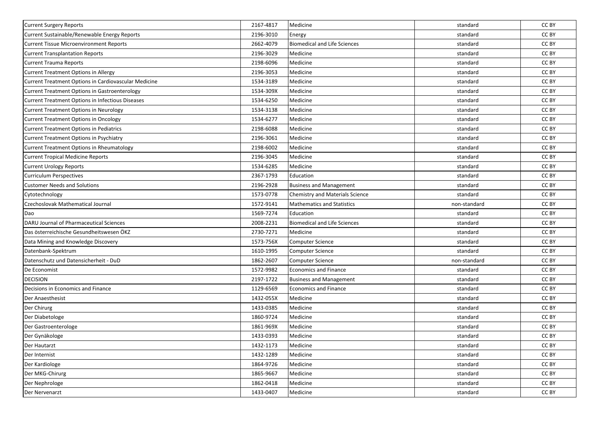| <b>Current Surgery Reports</b>                          | 2167-4817 | Medicine                            | standard     | CC BY |
|---------------------------------------------------------|-----------|-------------------------------------|--------------|-------|
| Current Sustainable/Renewable Energy Reports            | 2196-3010 | Energy                              | standard     | CC BY |
| <b>Current Tissue Microenvironment Reports</b>          | 2662-4079 | <b>Biomedical and Life Sciences</b> | standard     | CC BY |
| <b>Current Transplantation Reports</b>                  | 2196-3029 | Medicine                            | standard     | CC BY |
| <b>Current Trauma Reports</b>                           | 2198-6096 | Medicine                            | standard     | CC BY |
| Current Treatment Options in Allergy                    | 2196-3053 | Medicine                            | standard     | CC BY |
| Current Treatment Options in Cardiovascular Medicine    | 1534-3189 | Medicine                            | standard     | CC BY |
| Current Treatment Options in Gastroenterology           | 1534-309X | Medicine                            | standard     | CC BY |
| <b>Current Treatment Options in Infectious Diseases</b> | 1534-6250 | Medicine                            | standard     | CC BY |
| <b>Current Treatment Options in Neurology</b>           | 1534-3138 | Medicine                            | standard     | CC BY |
| <b>Current Treatment Options in Oncology</b>            | 1534-6277 | Medicine                            | standard     | CC BY |
| Current Treatment Options in Pediatrics                 | 2198-6088 | Medicine                            | standard     | CC BY |
| Current Treatment Options in Psychiatry                 | 2196-3061 | Medicine                            | standard     | CC BY |
| Current Treatment Options in Rheumatology               | 2198-6002 | Medicine                            | standard     | CC BY |
| <b>Current Tropical Medicine Reports</b>                | 2196-3045 | Medicine                            | standard     | CC BY |
| <b>Current Urology Reports</b>                          | 1534-6285 | Medicine                            | standard     | CC BY |
| <b>Curriculum Perspectives</b>                          | 2367-1793 | Education                           | standard     | CC BY |
| <b>Customer Needs and Solutions</b>                     | 2196-2928 | <b>Business and Management</b>      | standard     | CC BY |
| Cytotechnology                                          | 1573-0778 | Chemistry and Materials Science     | standard     | CC BY |
| Czechoslovak Mathematical Journal                       | 1572-9141 | Mathematics and Statistics          | non-standard | CC BY |
| Dao                                                     | 1569-7274 | Education                           | standard     | CC BY |
| DARU Journal of Pharmaceutical Sciences                 | 2008-2231 | Biomedical and Life Sciences        | standard     | CC BY |
| Das österreichische Gesundheitswesen ÖKZ                | 2730-7271 | Medicine                            | standard     | CC BY |
| Data Mining and Knowledge Discovery                     | 1573-756X | Computer Science                    | standard     | CC BY |
| Datenbank-Spektrum                                      | 1610-1995 | Computer Science                    | standard     | CC BY |
| Datenschutz und Datensicherheit - DuD                   | 1862-2607 | <b>Computer Science</b>             | non-standard | CC BY |
| De Economist                                            | 1572-9982 | <b>Economics and Finance</b>        | standard     | CC BY |
| <b>DECISION</b>                                         | 2197-1722 | <b>Business and Management</b>      | standard     | CC BY |
| Decisions in Economics and Finance                      | 1129-6569 | Economics and Finance               | standard     | CC BY |
| Der Anaesthesist                                        | 1432-055X | Medicine                            | standard     | CC BY |
| Der Chirurg                                             | 1433-0385 | Medicine                            | standard     | CC BY |
| Der Diabetologe                                         | 1860-9724 | Medicine                            | standard     | CC BY |
| Der Gastroenterologe                                    | 1861-969X | Medicine                            | standard     | CC BY |
| Der Gynäkologe                                          | 1433-0393 | Medicine                            | standard     | CC BY |
| Der Hautarzt                                            | 1432-1173 | Medicine                            | standard     | CC BY |
| Der Internist                                           | 1432-1289 | Medicine                            | standard     | CC BY |
| Der Kardiologe                                          | 1864-9726 | Medicine                            | standard     | CC BY |
| Der MKG-Chirurg                                         | 1865-9667 | Medicine                            | standard     | CC BY |
| Der Nephrologe                                          | 1862-0418 | Medicine                            | standard     | CC BY |
| Der Nervenarzt                                          | 1433-0407 | Medicine                            | standard     | CC BY |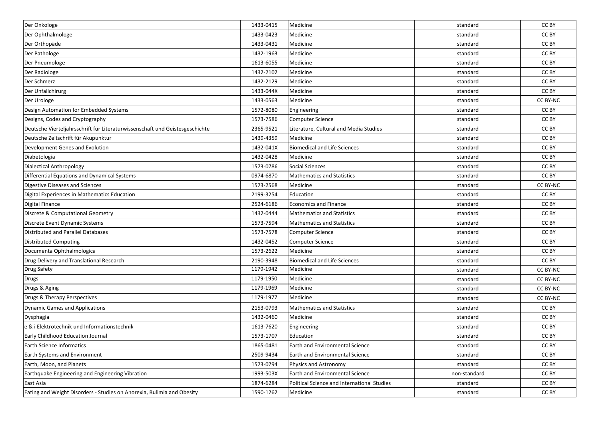| Der Onkologe                                                                 | 1433-0415 | Medicine                                    | standard     | CC BY    |
|------------------------------------------------------------------------------|-----------|---------------------------------------------|--------------|----------|
| Der Ophthalmologe                                                            | 1433-0423 | Medicine                                    | standard     | CC BY    |
| Der Orthopäde                                                                | 1433-0431 | Medicine                                    | standard     | CC BY    |
| Der Pathologe                                                                | 1432-1963 | Medicine                                    | standard     | CC BY    |
| Der Pneumologe                                                               | 1613-6055 | Medicine                                    | standard     | CC BY    |
| Der Radiologe                                                                | 1432-2102 | Medicine                                    | standard     | CC BY    |
| Der Schmerz                                                                  | 1432-2129 | Medicine                                    | standard     | CC BY    |
| Der Unfallchirurg                                                            | 1433-044X | Medicine                                    | standard     | CC BY    |
| Der Urologe                                                                  | 1433-0563 | Medicine                                    | standard     | CC BY-NC |
| Design Automation for Embedded Systems                                       | 1572-8080 | Engineering                                 | standard     | CC BY    |
| Designs, Codes and Cryptography                                              | 1573-7586 | <b>Computer Science</b>                     | standard     | CC BY    |
| Deutsche Vierteljahrsschrift für Literaturwissenschaft und Geistesgeschichte | 2365-9521 | Literature, Cultural and Media Studies      | standard     | CC BY    |
| Deutsche Zeitschrift für Akupunktur                                          | 1439-4359 | Medicine                                    | standard     | CC BY    |
| Development Genes and Evolution                                              | 1432-041X | <b>Biomedical and Life Sciences</b>         | standard     | CC BY    |
| Diabetologia                                                                 | 1432-0428 | Medicine                                    | standard     | CC BY    |
| Dialectical Anthropology                                                     | 1573-0786 | <b>Social Sciences</b>                      | standard     | CC BY    |
| Differential Equations and Dynamical Systems                                 | 0974-6870 | <b>Mathematics and Statistics</b>           | standard     | CC BY    |
| Digestive Diseases and Sciences                                              | 1573-2568 | Medicine                                    | standard     | CC BY-NC |
| Digital Experiences in Mathematics Education                                 | 2199-3254 | Education                                   | standard     | CC BY    |
| Digital Finance                                                              | 2524-6186 | Economics and Finance                       | standard     | CC BY    |
| Discrete & Computational Geometry                                            | 1432-0444 | <b>Mathematics and Statistics</b>           | standard     | CC BY    |
| Discrete Event Dynamic Systems                                               | 1573-7594 | <b>Mathematics and Statistics</b>           | standard     | CC BY    |
| Distributed and Parallel Databases                                           | 1573-7578 | <b>Computer Science</b>                     | standard     | CC BY    |
| Distributed Computing                                                        | 1432-0452 | <b>Computer Science</b>                     | standard     | CC BY    |
| Documenta Ophthalmologica                                                    | 1573-2622 | Medicine                                    | standard     | CC BY    |
| Drug Delivery and Translational Research                                     | 2190-3948 | <b>Biomedical and Life Sciences</b>         | standard     | CC BY    |
| <b>Drug Safety</b>                                                           | 1179-1942 | Medicine                                    | standard     | CC BY-NC |
| Drugs                                                                        | 1179-1950 | Medicine                                    | standard     | CC BY-NC |
| Drugs & Aging                                                                | 1179-1969 | Medicine                                    | standard     | CC BY-NC |
| Drugs & Therapy Perspectives                                                 | 1179-1977 | Medicine                                    | standard     | CC BY-NC |
| Dynamic Games and Applications                                               | 2153-0793 | <b>Mathematics and Statistics</b>           | standard     | CC BY    |
| Dysphagia                                                                    | 1432-0460 | Medicine                                    | standard     | CC BY    |
| e & i Elektrotechnik und Informationstechnik                                 | 1613-7620 | Engineering                                 | standard     | CC BY    |
| <b>Early Childhood Education Journal</b>                                     | 1573-1707 | Education                                   | standard     | CC BY    |
| Earth Science Informatics                                                    | 1865-0481 | Earth and Environmental Science             | standard     | CC BY    |
| <b>Earth Systems and Environment</b>                                         | 2509-9434 | <b>Earth and Environmental Science</b>      | standard     | CC BY    |
| Earth, Moon, and Planets                                                     | 1573-0794 | Physics and Astronomy                       | standard     | CC BY    |
| Earthquake Engineering and Engineering Vibration                             | 1993-503X | Earth and Environmental Science             | non-standard | CC BY    |
| East Asia                                                                    | 1874-6284 | Political Science and International Studies | standard     | CC BY    |
| Eating and Weight Disorders - Studies on Anorexia, Bulimia and Obesity       | 1590-1262 | Medicine                                    | standard     | CC BY    |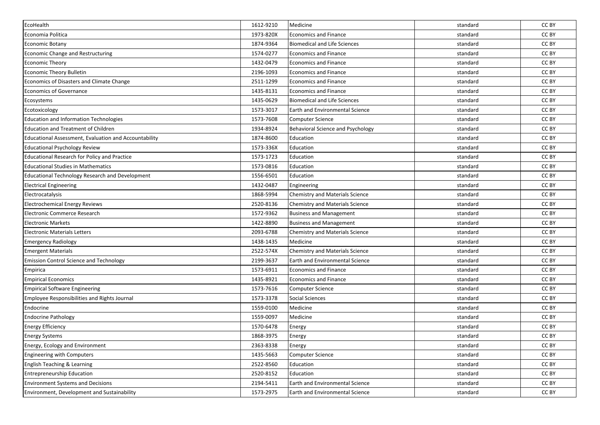| EcoHealth                                              | 1612-9210 | Medicine                                 | standard | CC BY |
|--------------------------------------------------------|-----------|------------------------------------------|----------|-------|
| Economia Politica                                      | 1973-820X | <b>Economics and Finance</b>             | standard | CC BY |
| <b>Economic Botany</b>                                 | 1874-9364 | <b>Biomedical and Life Sciences</b>      | standard | CC BY |
| <b>Economic Change and Restructuring</b>               | 1574-0277 | <b>Economics and Finance</b>             | standard | CC BY |
| <b>Economic Theory</b>                                 | 1432-0479 | <b>Economics and Finance</b>             | standard | CC BY |
| <b>Economic Theory Bulletin</b>                        | 2196-1093 | Economics and Finance                    | standard | CC BY |
| Economics of Disasters and Climate Change              | 2511-1299 | <b>Economics and Finance</b>             | standard | CC BY |
| <b>Economics of Governance</b>                         | 1435-8131 | <b>Economics and Finance</b>             | standard | CC BY |
| Ecosystems                                             | 1435-0629 | <b>Biomedical and Life Sciences</b>      | standard | CC BY |
| Ecotoxicology                                          | 1573-3017 | Earth and Environmental Science          | standard | CC BY |
| <b>Education and Information Technologies</b>          | 1573-7608 | Computer Science                         | standard | CC BY |
| <b>Education and Treatment of Children</b>             | 1934-8924 | <b>Behavioral Science and Psychology</b> | standard | CC BY |
| Educational Assessment, Evaluation and Accountability  | 1874-8600 | Education                                | standard | CC BY |
| <b>Educational Psychology Review</b>                   | 1573-336X | Education                                | standard | CC BY |
| Educational Research for Policy and Practice           | 1573-1723 | Education                                | standard | CC BY |
| <b>Educational Studies in Mathematics</b>              | 1573-0816 | Education                                | standard | CC BY |
| <b>Educational Technology Research and Development</b> | 1556-6501 | Education                                | standard | CC BY |
| <b>Electrical Engineering</b>                          | 1432-0487 | Engineering                              | standard | CC BY |
| Electrocatalysis                                       | 1868-5994 | Chemistry and Materials Science          | standard | CC BY |
| <b>Electrochemical Energy Reviews</b>                  | 2520-8136 | Chemistry and Materials Science          | standard | CC BY |
| <b>Electronic Commerce Research</b>                    | 1572-9362 | <b>Business and Management</b>           | standard | CC BY |
| <b>Electronic Markets</b>                              | 1422-8890 | <b>Business and Management</b>           | standard | CC BY |
| <b>Electronic Materials Letters</b>                    | 2093-6788 | <b>Chemistry and Materials Science</b>   | standard | CC BY |
| <b>Emergency Radiology</b>                             | 1438-1435 | Medicine                                 | standard | CC BY |
| <b>Emergent Materials</b>                              | 2522-574X | Chemistry and Materials Science          | standard | CC BY |
| <b>Emission Control Science and Technology</b>         | 2199-3637 | <b>Earth and Environmental Science</b>   | standard | CC BY |
| Empirica                                               | 1573-6911 | <b>Economics and Finance</b>             | standard | CC BY |
| <b>Empirical Economics</b>                             | 1435-8921 | <b>Economics and Finance</b>             | standard | CC BY |
| <b>Empirical Software Engineering</b>                  | 1573-7616 | <b>Computer Science</b>                  | standard | CC BY |
| Employee Responsibilities and Rights Journal           | 1573-3378 | <b>Social Sciences</b>                   | standard | CC BY |
| Endocrine                                              | 1559-0100 | Medicine                                 | standard | CC BY |
| <b>Endocrine Pathology</b>                             | 1559-0097 | Medicine                                 | standard | CC BY |
| <b>Energy Efficiency</b>                               | 1570-6478 | Energy                                   | standard | CC BY |
| <b>Energy Systems</b>                                  | 1868-3975 | Energy                                   | standard | CC BY |
| Energy, Ecology and Environment                        | 2363-8338 | Energy                                   | standard | CC BY |
| <b>Engineering with Computers</b>                      | 1435-5663 | Computer Science                         | standard | CC BY |
| English Teaching & Learning                            | 2522-8560 | Education                                | standard | CC BY |
| <b>Entrepreneurship Education</b>                      | 2520-8152 | Education                                | standard | CC BY |
| <b>Environment Systems and Decisions</b>               | 2194-5411 | Earth and Environmental Science          | standard | CC BY |
| Environment, Development and Sustainability            | 1573-2975 | <b>Earth and Environmental Science</b>   | standard | CC BY |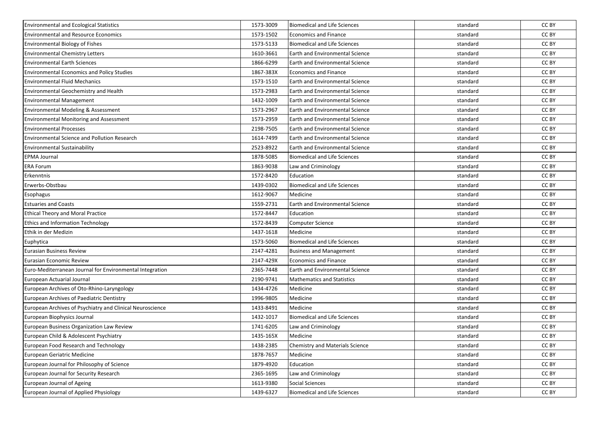| <b>Environmental and Ecological Statistics</b>            | 1573-3009 | <b>Biomedical and Life Sciences</b>    | standard | CC BY |
|-----------------------------------------------------------|-----------|----------------------------------------|----------|-------|
| <b>Environmental and Resource Economics</b>               | 1573-1502 | <b>Economics and Finance</b>           | standard | CC BY |
| <b>Environmental Biology of Fishes</b>                    | 1573-5133 | <b>Biomedical and Life Sciences</b>    | standard | CC BY |
| <b>Environmental Chemistry Letters</b>                    | 1610-3661 | Earth and Environmental Science        | standard | CC BY |
| <b>Environmental Earth Sciences</b>                       | 1866-6299 | Earth and Environmental Science        | standard | CC BY |
| <b>Environmental Economics and Policy Studies</b>         | 1867-383X | <b>Economics and Finance</b>           | standard | CC BY |
| <b>Environmental Fluid Mechanics</b>                      | 1573-1510 | <b>Earth and Environmental Science</b> | standard | CC BY |
| Environmental Geochemistry and Health                     | 1573-2983 | <b>Earth and Environmental Science</b> | standard | CC BY |
| <b>Environmental Management</b>                           | 1432-1009 | Earth and Environmental Science        | standard | CC BY |
| <b>Environmental Modeling &amp; Assessment</b>            | 1573-2967 | Earth and Environmental Science        | standard | CC BY |
| <b>Environmental Monitoring and Assessment</b>            | 1573-2959 | <b>Earth and Environmental Science</b> | standard | CC BY |
| <b>Environmental Processes</b>                            | 2198-7505 | Earth and Environmental Science        | standard | CC BY |
| <b>Environmental Science and Pollution Research</b>       | 1614-7499 | <b>Earth and Environmental Science</b> | standard | CC BY |
| <b>Environmental Sustainability</b>                       | 2523-8922 | <b>Earth and Environmental Science</b> | standard | CC BY |
| <b>EPMA Journal</b>                                       | 1878-5085 | <b>Biomedical and Life Sciences</b>    | standard | CC BY |
| <b>ERA Forum</b>                                          | 1863-9038 | Law and Criminology                    | standard | CC BY |
| Erkenntnis                                                | 1572-8420 | Education                              | standard | CC BY |
| Erwerbs-Obstbau                                           | 1439-0302 | <b>Biomedical and Life Sciences</b>    | standard | CC BY |
| Esophagus                                                 | 1612-9067 | Medicine                               | standard | CC BY |
| <b>Estuaries and Coasts</b>                               | 1559-2731 | Earth and Environmental Science        | standard | CC BY |
| <b>Ethical Theory and Moral Practice</b>                  | 1572-8447 | Education                              | standard | CC BY |
| <b>Ethics and Information Technology</b>                  | 1572-8439 | Computer Science                       | standard | CC BY |
| Ethik in der Medizin                                      | 1437-1618 | Medicine                               | standard | CC BY |
| Euphytica                                                 | 1573-5060 | <b>Biomedical and Life Sciences</b>    | standard | CC BY |
| <b>Eurasian Business Review</b>                           | 2147-4281 | <b>Business and Management</b>         | standard | CC BY |
| Eurasian Economic Review                                  | 2147-429X | <b>Economics and Finance</b>           | standard | CC BY |
| Euro-Mediterranean Journal for Environmental Integration  | 2365-7448 | <b>Earth and Environmental Science</b> | standard | CC BY |
| European Actuarial Journal                                | 2190-9741 | <b>Mathematics and Statistics</b>      | standard | CC BY |
| European Archives of Oto-Rhino-Laryngology                | 1434-4726 | Medicine                               | standard | CC BY |
| European Archives of Paediatric Dentistry                 | 1996-9805 | Medicine                               | standard | CC BY |
| European Archives of Psychiatry and Clinical Neuroscience | 1433-8491 | Medicine                               | standard | CC BY |
| European Biophysics Journal                               | 1432-1017 | <b>Biomedical and Life Sciences</b>    | standard | CC BY |
| European Business Organization Law Review                 | 1741-6205 | Law and Criminology                    | standard | CC BY |
| European Child & Adolescent Psychiatry                    | 1435-165X | Medicine                               | standard | CC BY |
| European Food Research and Technology                     | 1438-2385 | <b>Chemistry and Materials Science</b> | standard | CC BY |
| European Geriatric Medicine                               | 1878-7657 | Medicine                               | standard | CC BY |
| European Journal for Philosophy of Science                | 1879-4920 | Education                              | standard | CC BY |
| European Journal for Security Research                    | 2365-1695 | Law and Criminology                    | standard | CC BY |
| European Journal of Ageing                                | 1613-9380 | Social Sciences                        | standard | CC BY |
| European Journal of Applied Physiology                    | 1439-6327 | <b>Biomedical and Life Sciences</b>    | standard | CC BY |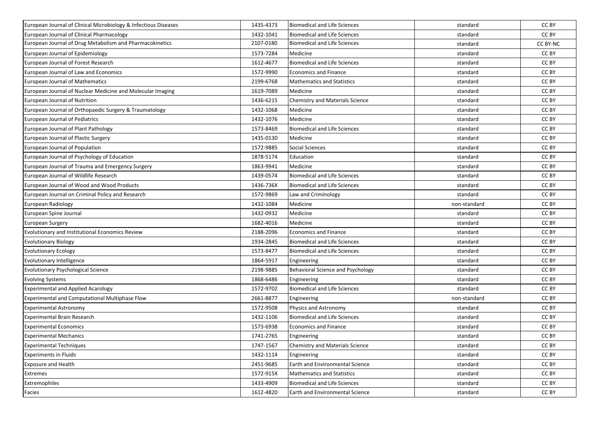| European Journal of Clinical Microbiology & Infectious Diseases | 1435-4373 | Biomedical and Life Sciences           | standard     | CC BY    |
|-----------------------------------------------------------------|-----------|----------------------------------------|--------------|----------|
| European Journal of Clinical Pharmacology                       | 1432-1041 | <b>Biomedical and Life Sciences</b>    | standard     | CC BY    |
| European Journal of Drug Metabolism and Pharmacokinetics        | 2107-0180 | <b>Biomedical and Life Sciences</b>    | standard     | CC BY-NC |
| European Journal of Epidemiology                                | 1573-7284 | Medicine                               | standard     | CC BY    |
| European Journal of Forest Research                             | 1612-4677 | <b>Biomedical and Life Sciences</b>    | standard     | CC BY    |
| European Journal of Law and Economics                           | 1572-9990 | <b>Economics and Finance</b>           | standard     | CC BY    |
| <b>European Journal of Mathematics</b>                          | 2199-6768 | <b>Mathematics and Statistics</b>      | standard     | CC BY    |
| European Journal of Nuclear Medicine and Molecular Imaging      | 1619-7089 | Medicine                               | standard     | CC BY    |
| European Journal of Nutrition                                   | 1436-6215 | Chemistry and Materials Science        | standard     | CC BY    |
| European Journal of Orthopaedic Surgery & Traumatology          | 1432-1068 | Medicine                               | standard     | CC BY    |
| European Journal of Pediatrics                                  | 1432-1076 | Medicine                               | standard     | CC BY    |
| European Journal of Plant Pathology                             | 1573-8469 | <b>Biomedical and Life Sciences</b>    | standard     | CC BY    |
| European Journal of Plastic Surgery                             | 1435-0130 | Medicine                               | standard     | CC BY    |
| European Journal of Population                                  | 1572-9885 | Social Sciences                        | standard     | CC BY    |
| European Journal of Psychology of Education                     | 1878-5174 | Education                              | standard     | CC BY    |
| European Journal of Trauma and Emergency Surgery                | 1863-9941 | Medicine                               | standard     | CC BY    |
| European Journal of Wildlife Research                           | 1439-0574 | <b>Biomedical and Life Sciences</b>    | standard     | CC BY    |
| European Journal of Wood and Wood Products                      | 1436-736X | <b>Biomedical and Life Sciences</b>    | standard     | CC BY    |
| European Journal on Criminal Policy and Research                | 1572-9869 | Law and Criminology                    | standard     | CC BY    |
| European Radiology                                              | 1432-1084 | Medicine                               | non-standard | CC BY    |
| European Spine Journal                                          | 1432-0932 | Medicine                               | standard     | CC BY    |
| <b>European Surgery</b>                                         | 1682-4016 | Medicine                               | standard     | CC BY    |
| Evolutionary and Institutional Economics Review                 | 2188-2096 | <b>Economics and Finance</b>           | standard     | CC BY    |
| <b>Evolutionary Biology</b>                                     | 1934-2845 | <b>Biomedical and Life Sciences</b>    | standard     | CC BY    |
| <b>Evolutionary Ecology</b>                                     | 1573-8477 | Biomedical and Life Sciences           | standard     | CC BY    |
| Evolutionary Intelligence                                       | 1864-5917 | Engineering                            | standard     | CC BY    |
| <b>Evolutionary Psychological Science</b>                       | 2198-9885 | Behavioral Science and Psychology      | standard     | CC BY    |
| <b>Evolving Systems</b>                                         | 1868-6486 | Engineering                            | standard     | CC BY    |
| <b>Experimental and Applied Acarology</b>                       | 1572-9702 | <b>Biomedical and Life Sciences</b>    | standard     | CC BY    |
| Experimental and Computational Multiphase Flow                  | 2661-8877 | Engineering                            | non-standard | CC BY    |
| <b>Experimental Astronomy</b>                                   | 1572-9508 | Physics and Astronomy                  | standard     | CC BY    |
| Experimental Brain Research                                     | 1432-1106 | <b>Biomedical and Life Sciences</b>    | standard     | CC BY    |
| <b>Experimental Economics</b>                                   | 1573-6938 | <b>Economics and Finance</b>           | standard     | CC BY    |
| <b>Experimental Mechanics</b>                                   | 1741-2765 | Engineering                            | standard     | CC BY    |
| <b>Experimental Techniques</b>                                  | 1747-1567 | Chemistry and Materials Science        | standard     | CC BY    |
| <b>Experiments in Fluids</b>                                    | 1432-1114 | Engineering                            | standard     | CC BY    |
| <b>Exposure and Health</b>                                      | 2451-9685 | Earth and Environmental Science        | standard     | CC BY    |
| Extremes                                                        | 1572-915X | <b>Mathematics and Statistics</b>      | standard     | CC BY    |
| Extremophiles                                                   | 1433-4909 | <b>Biomedical and Life Sciences</b>    | standard     | CC BY    |
| Facies                                                          | 1612-4820 | <b>Earth and Environmental Science</b> | standard     | CC BY    |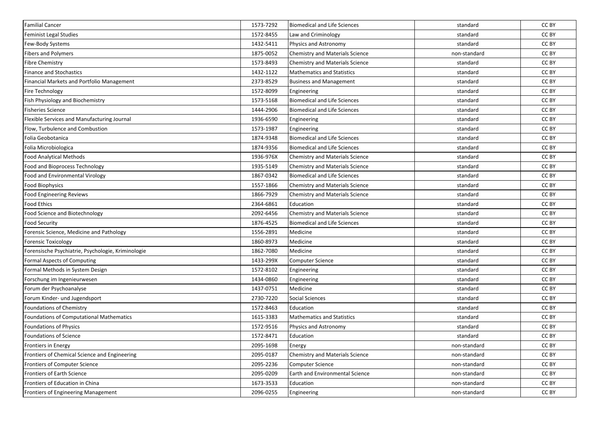| <b>Familial Cancer</b>                             | 1573-7292 | <b>Biomedical and Life Sciences</b>    | standard     | CC BY |
|----------------------------------------------------|-----------|----------------------------------------|--------------|-------|
| Feminist Legal Studies                             | 1572-8455 | Law and Criminology                    | standard     | CC BY |
| Few-Body Systems                                   | 1432-5411 | Physics and Astronomy                  | standard     | CC BY |
| <b>Fibers and Polymers</b>                         | 1875-0052 | <b>Chemistry and Materials Science</b> | non-standard | CC BY |
| <b>Fibre Chemistry</b>                             | 1573-8493 | Chemistry and Materials Science        | standard     | CC BY |
| <b>Finance and Stochastics</b>                     | 1432-1122 | <b>Mathematics and Statistics</b>      | standard     | CC BY |
| Financial Markets and Portfolio Management         | 2373-8529 | <b>Business and Management</b>         | standard     | CC BY |
| <b>Fire Technology</b>                             | 1572-8099 | Engineering                            | standard     | CC BY |
| Fish Physiology and Biochemistry                   | 1573-5168 | <b>Biomedical and Life Sciences</b>    | standard     | CC BY |
| <b>Fisheries Science</b>                           | 1444-2906 | <b>Biomedical and Life Sciences</b>    | standard     | CC BY |
| Flexible Services and Manufacturing Journal        | 1936-6590 | Engineering                            | standard     | CC BY |
| Flow, Turbulence and Combustion                    | 1573-1987 | Engineering                            | standard     | CC BY |
| Folia Geobotanica                                  | 1874-9348 | <b>Biomedical and Life Sciences</b>    | standard     | CC BY |
| Folia Microbiologica                               | 1874-9356 | <b>Biomedical and Life Sciences</b>    | standard     | CC BY |
| <b>Food Analytical Methods</b>                     | 1936-976X | Chemistry and Materials Science        | standard     | CC BY |
| Food and Bioprocess Technology                     | 1935-5149 | Chemistry and Materials Science        | standard     | CC BY |
| Food and Environmental Virology                    | 1867-0342 | <b>Biomedical and Life Sciences</b>    | standard     | CC BY |
| <b>Food Biophysics</b>                             | 1557-1866 | <b>Chemistry and Materials Science</b> | standard     | CC BY |
| <b>Food Engineering Reviews</b>                    | 1866-7929 | Chemistry and Materials Science        | standard     | CC BY |
| <b>Food Ethics</b>                                 | 2364-6861 | Education                              | standard     | CC BY |
| Food Science and Biotechnology                     | 2092-6456 | Chemistry and Materials Science        | standard     | CC BY |
| <b>Food Security</b>                               | 1876-4525 | <b>Biomedical and Life Sciences</b>    | standard     | CC BY |
| Forensic Science, Medicine and Pathology           | 1556-2891 | Medicine                               | standard     | CC BY |
| <b>Forensic Toxicology</b>                         | 1860-8973 | Medicine                               | standard     | CC BY |
| Forensische Psychiatrie, Psychologie, Kriminologie | 1862-7080 | Medicine                               | standard     | CC BY |
| Formal Aspects of Computing                        | 1433-299X | Computer Science                       | standard     | CC BY |
| Formal Methods in System Design                    | 1572-8102 | Engineering                            | standard     | CC BY |
| Forschung im Ingenieurwesen                        | 1434-0860 | Engineering                            | standard     | CC BY |
| Forum der Psychoanalyse                            | 1437-0751 | Medicine                               | standard     | CC BY |
| Forum Kinder- und Jugendsport                      | 2730-7220 | <b>Social Sciences</b>                 | standard     | CC BY |
| Foundations of Chemistry                           | 1572-8463 | Education                              | standard     | CC BY |
| Foundations of Computational Mathematics           | 1615-3383 | <b>Mathematics and Statistics</b>      | standard     | CC BY |
| Foundations of Physics                             | 1572-9516 | Physics and Astronomy                  | standard     | CC BY |
| Foundations of Science                             | 1572-8471 | Education                              | standard     | CC BY |
| <b>Frontiers in Energy</b>                         | 2095-1698 | Energy                                 | non-standard | CC BY |
| Frontiers of Chemical Science and Engineering      | 2095-0187 | <b>Chemistry and Materials Science</b> | non-standard | CC BY |
| Frontiers of Computer Science                      | 2095-2236 | Computer Science                       | non-standard | CC BY |
| Frontiers of Earth Science                         | 2095-0209 | Earth and Environmental Science        | non-standard | CC BY |
| Frontiers of Education in China                    | 1673-3533 | Education                              | non-standard | CC BY |
| Frontiers of Engineering Management                | 2096-0255 | Engineering                            | non-standard | CC BY |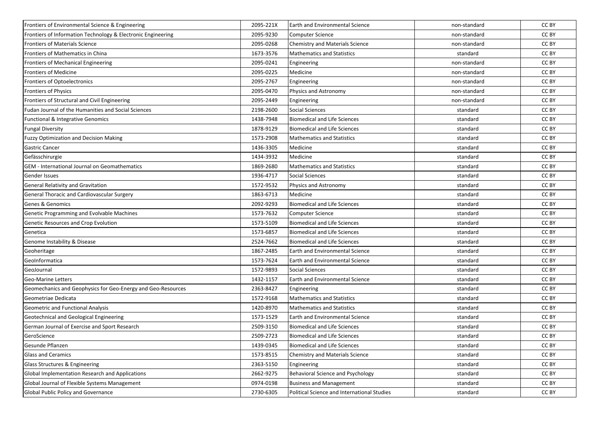| Frontiers of Environmental Science & Engineering             | 2095-221X | Earth and Environmental Science             | non-standard | CC BY |
|--------------------------------------------------------------|-----------|---------------------------------------------|--------------|-------|
| Frontiers of Information Technology & Electronic Engineering | 2095-9230 | <b>Computer Science</b>                     | non-standard | CC BY |
| <b>Frontiers of Materials Science</b>                        | 2095-0268 | Chemistry and Materials Science             | non-standard | CC BY |
| Frontiers of Mathematics in China                            | 1673-3576 | <b>Mathematics and Statistics</b>           | standard     | CC BY |
| <b>Frontiers of Mechanical Engineering</b>                   | 2095-0241 | Engineering                                 | non-standard | CC BY |
| <b>Frontiers of Medicine</b>                                 | 2095-0225 | Medicine                                    | non-standard | CC BY |
| Frontiers of Optoelectronics                                 | 2095-2767 | Engineering                                 | non-standard | CC BY |
| <b>Frontiers of Physics</b>                                  | 2095-0470 | Physics and Astronomy                       | non-standard | CC BY |
| Frontiers of Structural and Civil Engineering                | 2095-2449 | Engineering                                 | non-standard | CC BY |
| Fudan Journal of the Humanities and Social Sciences          | 2198-2600 | <b>Social Sciences</b>                      | standard     | CC BY |
| Functional & Integrative Genomics                            | 1438-7948 | <b>Biomedical and Life Sciences</b>         | standard     | CC BY |
| <b>Fungal Diversity</b>                                      | 1878-9129 | <b>Biomedical and Life Sciences</b>         | standard     | CC BY |
| <b>Fuzzy Optimization and Decision Making</b>                | 1573-2908 | <b>Mathematics and Statistics</b>           | standard     | CC BY |
| <b>Gastric Cancer</b>                                        | 1436-3305 | Medicine                                    | standard     | CC BY |
| Gefässchirurgie                                              | 1434-3932 | Medicine                                    | standard     | CC BY |
| <b>GEM - International Journal on Geomathematics</b>         | 1869-2680 | <b>Mathematics and Statistics</b>           | standard     | CC BY |
| Gender Issues                                                | 1936-4717 | <b>Social Sciences</b>                      | standard     | CC BY |
| <b>General Relativity and Gravitation</b>                    | 1572-9532 | Physics and Astronomy                       | standard     | CC BY |
| General Thoracic and Cardiovascular Surgery                  | 1863-6713 | Medicine                                    | standard     | CC BY |
| <b>Genes &amp; Genomics</b>                                  | 2092-9293 | <b>Biomedical and Life Sciences</b>         | standard     | CC BY |
| Genetic Programming and Evolvable Machines                   | 1573-7632 | Computer Science                            | standard     | CC BY |
| Genetic Resources and Crop Evolution                         | 1573-5109 | <b>Biomedical and Life Sciences</b>         | standard     | CC BY |
| Genetica                                                     | 1573-6857 | <b>Biomedical and Life Sciences</b>         | standard     | CC BY |
| Genome Instability & Disease                                 | 2524-7662 | <b>Biomedical and Life Sciences</b>         | standard     | CC BY |
| Geoheritage                                                  | 1867-2485 | Earth and Environmental Science             | standard     | CC BY |
| GeoInformatica                                               | 1573-7624 | <b>Earth and Environmental Science</b>      | standard     | CC BY |
| GeoJournal                                                   | 1572-9893 | <b>Social Sciences</b>                      | standard     | CC BY |
| Geo-Marine Letters                                           | 1432-1157 | <b>Earth and Environmental Science</b>      | standard     | CC BY |
| Geomechanics and Geophysics for Geo-Energy and Geo-Resources | 2363-8427 | Engineering                                 | standard     | CC BY |
| Geometriae Dedicata                                          | 1572-9168 | <b>Mathematics and Statistics</b>           | standard     | CC BY |
| Geometric and Functional Analysis                            | 1420-8970 | <b>Mathematics and Statistics</b>           | standard     | CC BY |
| Geotechnical and Geological Engineering                      | 1573-1529 | Earth and Environmental Science             | standard     | CC BY |
| German Journal of Exercise and Sport Research                | 2509-3150 | <b>Biomedical and Life Sciences</b>         | standard     | CC BY |
| GeroScience                                                  | 2509-2723 | <b>Biomedical and Life Sciences</b>         | standard     | CC BY |
| Gesunde Pflanzen                                             | 1439-0345 | <b>Biomedical and Life Sciences</b>         | standard     | CC BY |
| <b>Glass and Ceramics</b>                                    | 1573-8515 | <b>Chemistry and Materials Science</b>      | standard     | CC BY |
| Glass Structures & Engineering                               | 2363-5150 | Engineering                                 | standard     | CC BY |
| Global Implementation Research and Applications              | 2662-9275 | Behavioral Science and Psychology           | standard     | CC BY |
| Global Journal of Flexible Systems Management                | 0974-0198 | <b>Business and Management</b>              | standard     | CC BY |
| Global Public Policy and Governance                          | 2730-6305 | Political Science and International Studies | standard     | CC BY |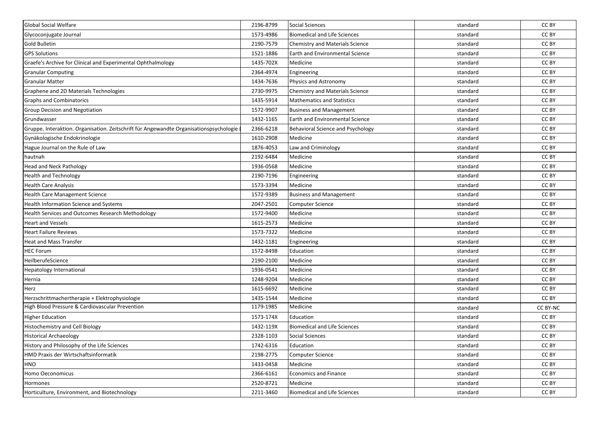| Global Social Welfare                                                                  | 2196-8799 | Social Sciences                     | standard | CC BY    |
|----------------------------------------------------------------------------------------|-----------|-------------------------------------|----------|----------|
| Glycoconjugate Journal                                                                 | 1573-4986 | Biomedical and Life Sciences        | standard | CC BY    |
| <b>Gold Bulletin</b>                                                                   | 2190-7579 | Chemistry and Materials Science     | standard | CC BY    |
| <b>GPS Solutions</b>                                                                   | 1521-1886 | Earth and Environmental Science     | standard | CC BY    |
| Graefe's Archive for Clinical and Experimental Ophthalmology                           | 1435-702X | Medicine                            | standard | CC BY    |
| <b>Granular Computing</b>                                                              | 2364-4974 | Engineering                         | standard | CC BY    |
| <b>Granular Matter</b>                                                                 | 1434-7636 | Physics and Astronomy               | standard | CC BY    |
| Graphene and 2D Materials Technologies                                                 | 2730-9975 | Chemistry and Materials Science     | standard | CC BY    |
| <b>Graphs and Combinatorics</b>                                                        | 1435-5914 | <b>Mathematics and Statistics</b>   | standard | CC BY    |
| Group Decision and Negotiation                                                         | 1572-9907 | <b>Business and Management</b>      | standard | CC BY    |
| Grundwasser                                                                            | 1432-1165 | Earth and Environmental Science     | standard | CC BY    |
| Gruppe. Interaktion. Organisation. Zeitschrift für Angewandte Organisationspsychologie | 2366-6218 | Behavioral Science and Psychology   | standard | CC BY    |
| Gynäkologische Endokrinologie                                                          | 1610-2908 | Medicine                            | standard | CC BY    |
| Hague Journal on the Rule of Law                                                       | 1876-4053 | Law and Criminology                 | standard | CC BY    |
| hautnah                                                                                | 2192-6484 | Medicine                            | standard | CC BY    |
| <b>Head and Neck Pathology</b>                                                         | 1936-0568 | Medicine                            | standard | CC BY    |
| <b>Health and Technology</b>                                                           | 2190-7196 | Engineering                         | standard | CC BY    |
| <b>Health Care Analysis</b>                                                            | 1573-3394 | Medicine                            | standard | CC BY    |
| Health Care Management Science                                                         | 1572-9389 | <b>Business and Management</b>      | standard | CC BY    |
| Health Information Science and Systems                                                 | 2047-2501 | <b>Computer Science</b>             | standard | CC BY    |
| Health Services and Outcomes Research Methodology                                      | 1572-9400 | Medicine                            | standard | CC BY    |
| <b>Heart and Vessels</b>                                                               | 1615-2573 | Medicine                            | standard | CC BY    |
| <b>Heart Failure Reviews</b>                                                           | 1573-7322 | Medicine                            | standard | CC BY    |
| <b>Heat and Mass Transfer</b>                                                          | 1432-1181 | Engineering                         | standard | CC BY    |
| <b>HEC</b> Forum                                                                       | 1572-8498 | Education                           | standard | CC BY    |
| HeilberufeScience                                                                      | 2190-2100 | Medicine                            | standard | CC BY    |
| Hepatology International                                                               | 1936-0541 | Medicine                            | standard | CC BY    |
| Hernia                                                                                 | 1248-9204 | Medicine                            | standard | CC BY    |
| Herz                                                                                   | 1615-6692 | Medicine                            | standard | CC BY    |
| Herzschrittmachertherapie + Elektrophysiologie                                         | 1435-1544 | Medicine                            | standard | CC BY    |
| High Blood Pressure & Cardiovascular Prevention                                        | 1179-1985 | Medicine                            | standard | CC BY-NC |
| <b>Higher Education</b>                                                                | 1573-174X | Education                           | standard | CC BY    |
| Histochemistry and Cell Biology                                                        | 1432-119X | <b>Biomedical and Life Sciences</b> | standard | CC BY    |
| <b>Historical Archaeology</b>                                                          | 2328-1103 | Social Sciences                     | standard | CC BY    |
| History and Philosophy of the Life Sciences                                            | 1742-6316 | Education                           | standard | CC BY    |
| HMD Praxis der Wirtschaftsinformatik                                                   | 2198-2775 | <b>Computer Science</b>             | standard | CC BY    |
| <b>HNO</b>                                                                             | 1433-0458 | Medicine                            | standard | CC BY    |
| Homo Oeconomicus                                                                       | 2366-6161 | Economics and Finance               | standard | CC BY    |
| Hormones                                                                               | 2520-8721 | Medicine                            | standard | CC BY    |
| Horticulture, Environment, and Biotechnology                                           | 2211-3460 | <b>Biomedical and Life Sciences</b> | standard | CC BY    |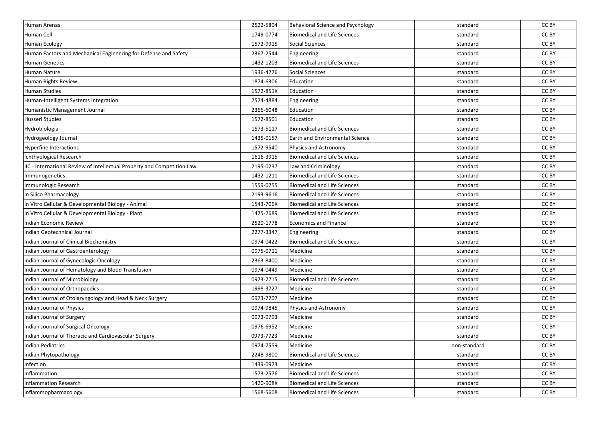| Human Arenas                                                            | 2522-5804 | Behavioral Science and Psychology      | standard     | CC BY |
|-------------------------------------------------------------------------|-----------|----------------------------------------|--------------|-------|
| Human Cell                                                              | 1749-0774 | <b>Biomedical and Life Sciences</b>    | standard     | CC BY |
| Human Ecology                                                           | 1572-9915 | Social Sciences                        | standard     | CC BY |
| Human Factors and Mechanical Engineering for Defense and Safety         | 2367-2544 | Engineering                            | standard     | CC BY |
| <b>Human Genetics</b>                                                   | 1432-1203 | <b>Biomedical and Life Sciences</b>    | standard     | CC BY |
| Human Nature                                                            | 1936-4776 | Social Sciences                        | standard     | CC BY |
| Human Rights Review                                                     | 1874-6306 | Education                              | standard     | CC BY |
| <b>Human Studies</b>                                                    | 1572-851X | Education                              | standard     | CC BY |
| Human-Intelligent Systems Integration                                   | 2524-4884 | Engineering                            | standard     | CC BY |
| Humanistic Management Journal                                           | 2366-6048 | Education                              | standard     | CC BY |
| <b>Husserl Studies</b>                                                  | 1572-8501 | Education                              | standard     | CC BY |
| Hydrobiologia                                                           | 1573-5117 | <b>Biomedical and Life Sciences</b>    | standard     | CC BY |
| Hydrogeology Journal                                                    | 1435-0157 | <b>Earth and Environmental Science</b> | standard     | CC BY |
| Hyperfine Interactions                                                  | 1572-9540 | Physics and Astronomy                  | standard     | CC BY |
| Ichthyological Research                                                 | 1616-3915 | <b>Biomedical and Life Sciences</b>    | standard     | CC BY |
| IIC - International Review of Intellectual Property and Competition Law | 2195-0237 | Law and Criminology                    | standard     | CC BY |
| Immunogenetics                                                          | 1432-1211 | <b>Biomedical and Life Sciences</b>    | standard     | CC BY |
| Immunologic Research                                                    | 1559-0755 | <b>Biomedical and Life Sciences</b>    | standard     | CC BY |
| In Silico Pharmacology                                                  | 2193-9616 | <b>Biomedical and Life Sciences</b>    | standard     | CC BY |
| In Vitro Cellular & Developmental Biology - Animal                      | 1543-706X | <b>Biomedical and Life Sciences</b>    | standard     | CC BY |
| In Vitro Cellular & Developmental Biology - Plant                       | 1475-2689 | <b>Biomedical and Life Sciences</b>    | standard     | CC BY |
| Indian Economic Review                                                  | 2520-1778 | <b>Economics and Finance</b>           | standard     | CC BY |
| Indian Geotechnical Journal                                             | 2277-3347 | Engineering                            | standard     | CC BY |
| Indian Journal of Clinical Biochemistry                                 | 0974-0422 | <b>Biomedical and Life Sciences</b>    | standard     | CC BY |
| Indian Journal of Gastroenterology                                      | 0975-0711 | Medicine                               | standard     | CC BY |
| Indian Journal of Gynecologic Oncology                                  | 2363-8400 | Medicine                               | standard     | CC BY |
| Indian Journal of Hematology and Blood Transfusion                      | 0974-0449 | Medicine                               | standard     | CC BY |
| Indian Journal of Microbiology                                          | 0973-7715 | <b>Biomedical and Life Sciences</b>    | standard     | CC BY |
| Indian Journal of Orthopaedics                                          | 1998-3727 | Medicine                               | standard     | CC BY |
| Indian Journal of Otolaryngology and Head & Neck Surgery                | 0973-7707 | Medicine                               | standard     | CC BY |
| Indian Journal of Physics                                               | 0974-9845 | Physics and Astronomy                  | standard     | CC BY |
| Indian Journal of Surgery                                               | 0973-9793 | Medicine                               | standard     | CC BY |
| Indian Journal of Surgical Oncology                                     | 0976-6952 | Medicine                               | standard     | CC BY |
| Indian Journal of Thoracic and Cardiovascular Surgery                   | 0973-7723 | Medicine                               | standard     | CC BY |
| <b>Indian Pediatrics</b>                                                | 0974-7559 | Medicine                               | non-standard | CC BY |
| Indian Phytopathology                                                   | 2248-9800 | <b>Biomedical and Life Sciences</b>    | standard     | CC BY |
| Infection                                                               | 1439-0973 | Medicine                               | standard     | CC BY |
| Inflammation                                                            | 1573-2576 | <b>Biomedical and Life Sciences</b>    | standard     | CC BY |
| Inflammation Research                                                   | 1420-908X | <b>Biomedical and Life Sciences</b>    | standard     | CC BY |
| Inflammopharmacology                                                    | 1568-5608 | <b>Biomedical and Life Sciences</b>    | standard     | CC BY |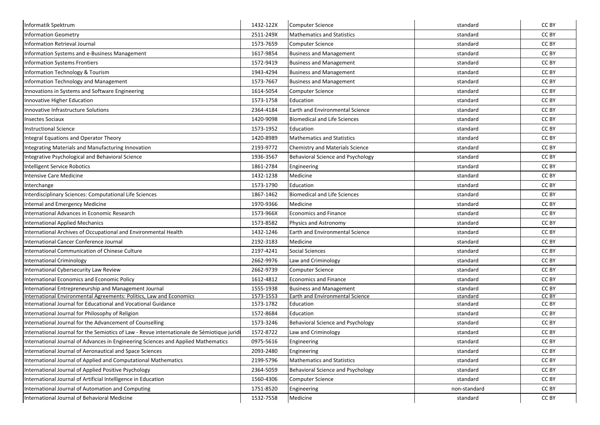| Informatik Spektrum                                                                        | 1432-122X | <b>Computer Science</b>                | standard     | CC BY |
|--------------------------------------------------------------------------------------------|-----------|----------------------------------------|--------------|-------|
| <b>Information Geometry</b>                                                                | 2511-249X | <b>Mathematics and Statistics</b>      | standard     | CC BY |
| <b>Information Retrieval Journal</b>                                                       | 1573-7659 | Computer Science                       | standard     | CC BY |
| Information Systems and e-Business Management                                              | 1617-9854 | <b>Business and Management</b>         | standard     | CC BY |
| <b>Information Systems Frontiers</b>                                                       | 1572-9419 | <b>Business and Management</b>         | standard     | CC BY |
| Information Technology & Tourism                                                           | 1943-4294 | <b>Business and Management</b>         | standard     | CC BY |
| Information Technology and Management                                                      | 1573-7667 | <b>Business and Management</b>         | standard     | CC BY |
| Innovations in Systems and Software Engineering                                            | 1614-5054 | Computer Science                       | standard     | CC BY |
| Innovative Higher Education                                                                | 1573-1758 | Education                              | standard     | CC BY |
| Innovative Infrastructure Solutions                                                        | 2364-4184 | <b>Earth and Environmental Science</b> | standard     | CC BY |
| <b>Insectes Sociaux</b>                                                                    | 1420-9098 | <b>Biomedical and Life Sciences</b>    | standard     | CC BY |
| <b>Instructional Science</b>                                                               | 1573-1952 | Education                              | standard     | CC BY |
| Integral Equations and Operator Theory                                                     | 1420-8989 | <b>Mathematics and Statistics</b>      | standard     | CC BY |
| Integrating Materials and Manufacturing Innovation                                         | 2193-9772 | Chemistry and Materials Science        | standard     | CC BY |
| Integrative Psychological and Behavioral Science                                           | 1936-3567 | Behavioral Science and Psychology      | standard     | CC BY |
| Intelligent Service Robotics                                                               | 1861-2784 | Engineering                            | standard     | CC BY |
| <b>Intensive Care Medicine</b>                                                             | 1432-1238 | Medicine                               | standard     | CC BY |
| Interchange                                                                                | 1573-1790 | Education                              | standard     | CC BY |
| Interdisciplinary Sciences: Computational Life Sciences                                    | 1867-1462 | <b>Biomedical and Life Sciences</b>    | standard     | CC BY |
| Internal and Emergency Medicine                                                            | 1970-9366 | Medicine                               | standard     | CC BY |
| International Advances in Economic Research                                                | 1573-966X | <b>Economics and Finance</b>           | standard     | CC BY |
| <b>International Applied Mechanics</b>                                                     | 1573-8582 | Physics and Astronomy                  | standard     | CC BY |
| International Archives of Occupational and Environmental Health                            | 1432-1246 | <b>Earth and Environmental Science</b> | standard     | CC BY |
| International Cancer Conference Journal                                                    | 2192-3183 | Medicine                               | standard     | CC BY |
| International Communication of Chinese Culture                                             | 2197-4241 | <b>Social Sciences</b>                 | standard     | CC BY |
| <b>International Criminology</b>                                                           | 2662-9976 | Law and Criminology                    | standard     | CC BY |
| International Cybersecurity Law Review                                                     | 2662-9739 | <b>Computer Science</b>                | standard     | CC BY |
| International Economics and Economic Policy                                                | 1612-4812 | <b>Economics and Finance</b>           | standard     | CC BY |
| International Entrepreneurship and Management Journal                                      | 1555-1938 | <b>Business and Management</b>         | standard     | CC BY |
| International Environmental Agreements: Politics, Law and Economics                        | 1573-1553 | <b>Earth and Environmental Science</b> | standard     | CC BY |
| International Journal for Educational and Vocational Guidance                              | 1573-1782 | Education                              | standard     | CC BY |
| International Journal for Philosophy of Religion                                           | 1572-8684 | Education                              | standard     | CC BY |
| International Journal for the Advancement of Counselling                                   | 1573-3246 | Behavioral Science and Psychology      | standard     | CC BY |
| International Journal for the Semiotics of Law - Revue internationale de Sémiotique juridi | 1572-8722 | Law and Criminology                    | standard     | CC BY |
| International Journal of Advances in Engineering Sciences and Applied Mathematics          | 0975-5616 | Engineering                            | standard     | CC BY |
| International Journal of Aeronautical and Space Sciences                                   | 2093-2480 | Engineering                            | standard     | CC BY |
| International Journal of Applied and Computational Mathematics                             | 2199-5796 | Mathematics and Statistics             | standard     | CC BY |
| International Journal of Applied Positive Psychology                                       | 2364-5059 | Behavioral Science and Psychology      | standard     | CC BY |
| International Journal of Artificial Intelligence in Education                              | 1560-4306 | Computer Science                       | standard     | CC BY |
| International Journal of Automation and Computing                                          | 1751-8520 | Engineering                            | non-standard | CC BY |
| International Journal of Behavioral Medicine                                               | 1532-7558 | Medicine                               | standard     | CC BY |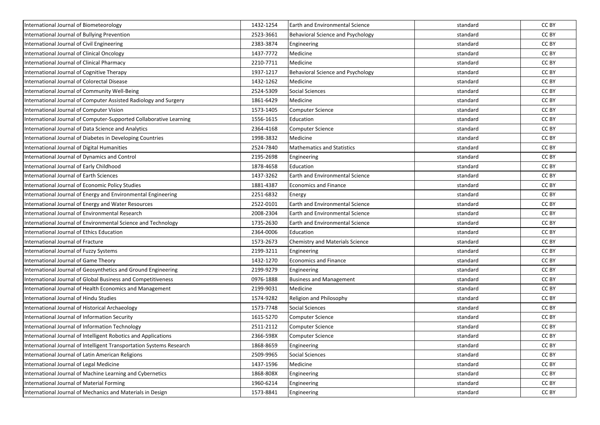| International Journal of Biometeorology                              | 1432-1254 | <b>Earth and Environmental Science</b>   | standard | CC BY |
|----------------------------------------------------------------------|-----------|------------------------------------------|----------|-------|
| International Journal of Bullying Prevention                         | 2523-3661 | Behavioral Science and Psychology        | standard | CC BY |
| International Journal of Civil Engineering                           | 2383-3874 | Engineering                              | standard | CC BY |
| International Journal of Clinical Oncology                           | 1437-7772 | Medicine                                 | standard | CC BY |
| International Journal of Clinical Pharmacy                           | 2210-7711 | Medicine                                 | standard | CC BY |
| International Journal of Cognitive Therapy                           | 1937-1217 | <b>Behavioral Science and Psychology</b> | standard | CC BY |
| International Journal of Colorectal Disease                          | 1432-1262 | Medicine                                 | standard | CC BY |
| International Journal of Community Well-Being                        | 2524-5309 | <b>Social Sciences</b>                   | standard | CC BY |
| International Journal of Computer Assisted Radiology and Surgery     | 1861-6429 | Medicine                                 | standard | CC BY |
| International Journal of Computer Vision                             | 1573-1405 | <b>Computer Science</b>                  | standard | CC BY |
| International Journal of Computer-Supported Collaborative Learning   | 1556-1615 | Education                                | standard | CC BY |
| International Journal of Data Science and Analytics                  | 2364-4168 | <b>Computer Science</b>                  | standard | CC BY |
| International Journal of Diabetes in Developing Countries            | 1998-3832 | Medicine                                 | standard | CC BY |
| International Journal of Digital Humanities                          | 2524-7840 | <b>Mathematics and Statistics</b>        | standard | CC BY |
| International Journal of Dynamics and Control                        | 2195-2698 | Engineering                              | standard | CC BY |
| International Journal of Early Childhood                             | 1878-4658 | Education                                | standard | CC BY |
| International Journal of Earth Sciences                              | 1437-3262 | Earth and Environmental Science          | standard | CC BY |
| International Journal of Economic Policy Studies                     | 1881-4387 | <b>Economics and Finance</b>             | standard | CC BY |
| International Journal of Energy and Environmental Engineering        | 2251-6832 | Energy                                   | standard | CC BY |
| International Journal of Energy and Water Resources                  | 2522-0101 | <b>Earth and Environmental Science</b>   | standard | CC BY |
| International Journal of Environmental Research                      | 2008-2304 | <b>Earth and Environmental Science</b>   | standard | CC BY |
| International Journal of Environmental Science and Technology        | 1735-2630 | Earth and Environmental Science          | standard | CC BY |
| International Journal of Ethics Education                            | 2364-0006 | Education                                | standard | CC BY |
| International Journal of Fracture                                    | 1573-2673 | Chemistry and Materials Science          | standard | CC BY |
| International Journal of Fuzzy Systems                               | 2199-3211 | Engineering                              | standard | CC BY |
| International Journal of Game Theory                                 | 1432-1270 | <b>Economics and Finance</b>             | standard | CC BY |
| International Journal of Geosynthetics and Ground Engineering        | 2199-9279 | Engineering                              | standard | CC BY |
| International Journal of Global Business and Competitiveness         | 0976-1888 | <b>Business and Management</b>           | standard | CC BY |
| International Journal of Health Economics and Management             | 2199-9031 | Medicine                                 | standard | CC BY |
| International Journal of Hindu Studies                               | 1574-9282 | Religion and Philosophy                  | standard | CC BY |
| International Journal of Historical Archaeology                      | 1573-7748 | <b>Social Sciences</b>                   | standard | CC BY |
| International Journal of Information Security                        | 1615-5270 | Computer Science                         | standard | CC BY |
| International Journal of Information Technology                      | 2511-2112 | <b>Computer Science</b>                  | standard | CC BY |
| International Journal of Intelligent Robotics and Applications       | 2366-598X | <b>Computer Science</b>                  | standard | CC BY |
| International Journal of Intelligent Transportation Systems Research | 1868-8659 | Engineering                              | standard | CC BY |
| International Journal of Latin American Religions                    | 2509-9965 | <b>Social Sciences</b>                   | standard | CC BY |
| International Journal of Legal Medicine                              | 1437-1596 | Medicine                                 | standard | CC BY |
| International Journal of Machine Learning and Cybernetics            | 1868-808X | Engineering                              | standard | CC BY |
| International Journal of Material Forming                            | 1960-6214 | Engineering                              | standard | CC BY |
| International Journal of Mechanics and Materials in Design           | 1573-8841 | Engineering                              | standard | CC BY |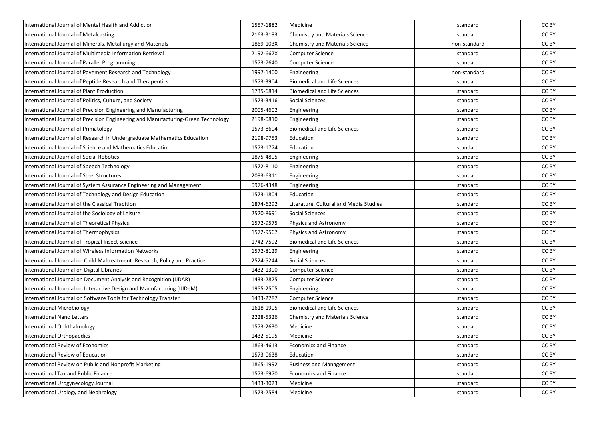| International Journal of Mental Health and Addiction                              | 1557-1882 | Medicine                               | standard     | CC BY |
|-----------------------------------------------------------------------------------|-----------|----------------------------------------|--------------|-------|
| International Journal of Metalcasting                                             | 2163-3193 | <b>Chemistry and Materials Science</b> | standard     | CC BY |
| International Journal of Minerals, Metallurgy and Materials                       | 1869-103X | Chemistry and Materials Science        | non-standard | CC BY |
| nternational Journal of Multimedia Information Retrieval                          | 2192-662X | <b>Computer Science</b>                | standard     | CC BY |
| International Journal of Parallel Programming                                     | 1573-7640 | <b>Computer Science</b>                | standard     | CC BY |
| nternational Journal of Pavement Research and Technology                          | 1997-1400 | Engineering                            | non-standard | CC BY |
| International Journal of Peptide Research and Therapeutics                        | 1573-3904 | <b>Biomedical and Life Sciences</b>    | standard     | CC BY |
| International Journal of Plant Production                                         | 1735-6814 | <b>Biomedical and Life Sciences</b>    | standard     | CC BY |
| International Journal of Politics, Culture, and Society                           | 1573-3416 | <b>Social Sciences</b>                 | standard     | CC BY |
| International Journal of Precision Engineering and Manufacturing                  | 2005-4602 | Engineering                            | standard     | CC BY |
| International Journal of Precision Engineering and Manufacturing-Green Technology | 2198-0810 | Engineering                            | standard     | CC BY |
| International Journal of Primatology                                              | 1573-8604 | <b>Biomedical and Life Sciences</b>    | standard     | CC BY |
| International Journal of Research in Undergraduate Mathematics Education          | 2198-9753 | Education                              | standard     | CC BY |
| nternational Journal of Science and Mathematics Education                         | 1573-1774 | Education                              | standard     | CC BY |
| nternational Journal of Social Robotics                                           | 1875-4805 | Engineering                            | standard     | CC BY |
| International Journal of Speech Technology                                        | 1572-8110 | Engineering                            | standard     | CC BY |
| <b>International Journal of Steel Structures</b>                                  | 2093-6311 | Engineering                            | standard     | CC BY |
| International Journal of System Assurance Engineering and Management              | 0976-4348 | Engineering                            | standard     | CC BY |
| International Journal of Technology and Design Education                          | 1573-1804 | Education                              | standard     | CC BY |
| nternational Journal of the Classical Tradition                                   | 1874-6292 | Literature, Cultural and Media Studies | standard     | CC BY |
| International Journal of the Sociology of Leisure                                 | 2520-8691 | <b>Social Sciences</b>                 | standard     | CC BY |
| <b>International Journal of Theoretical Physics</b>                               | 1572-9575 | Physics and Astronomy                  | standard     | CC BY |
| International Journal of Thermophysics                                            | 1572-9567 | Physics and Astronomy                  | standard     | CC BY |
| International Journal of Tropical Insect Science                                  | 1742-7592 | <b>Biomedical and Life Sciences</b>    | standard     | CC BY |
| nternational Journal of Wireless Information Networks                             | 1572-8129 | Engineering                            | standard     | CC BY |
| nternational Journal on Child Maltreatment: Research, Policy and Practice         | 2524-5244 | <b>Social Sciences</b>                 | standard     | CC BY |
| International Journal on Digital Libraries                                        | 1432-1300 | <b>Computer Science</b>                | standard     | CC BY |
| International Journal on Document Analysis and Recognition (IJDAR)                | 1433-2825 | <b>Computer Science</b>                | standard     | CC BY |
| International Journal on Interactive Design and Manufacturing (IJIDeM)            | 1955-2505 | Engineering                            | standard     | CC BY |
| International Journal on Software Tools for Technology Transfer                   | 1433-2787 | <b>Computer Science</b>                | standard     | CC BY |
| International Microbiology                                                        | 1618-1905 | <b>Biomedical and Life Sciences</b>    | standard     | CC BY |
| International Nano Letters                                                        | 2228-5326 | Chemistry and Materials Science        | standard     | CC BY |
| International Ophthalmology                                                       | 1573-2630 | Medicine                               | standard     | CC BY |
| International Orthopaedics                                                        | 1432-5195 | Medicine                               | standard     | CC BY |
| <b>International Review of Economics</b>                                          | 1863-4613 | Economics and Finance                  | standard     | CC BY |
| nternational Review of Education                                                  | 1573-0638 | Education                              | standard     | CC BY |
| International Review on Public and Nonprofit Marketing                            | 1865-1992 | <b>Business and Management</b>         | standard     | CC BY |
| <b>International Tax and Public Finance</b>                                       | 1573-6970 | <b>Economics and Finance</b>           | standard     | CC BY |
| International Urogynecology Journal                                               | 1433-3023 | Medicine                               | standard     | CC BY |
| <b>International Urology and Nephrology</b>                                       | 1573-2584 | Medicine                               | standard     | CC BY |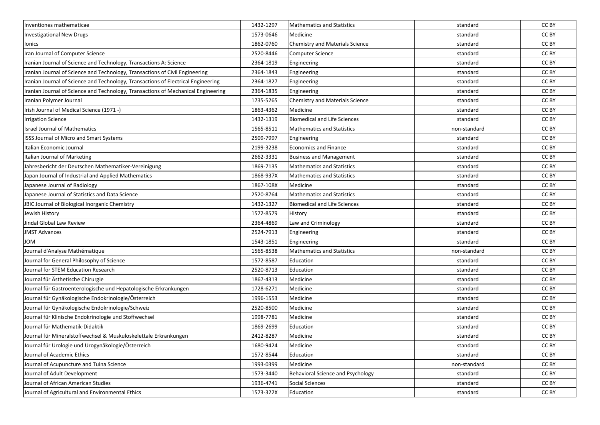| Inventiones mathematicae                                                          | 1432-1297 | Mathematics and Statistics             | standard     | CC BY |
|-----------------------------------------------------------------------------------|-----------|----------------------------------------|--------------|-------|
| <b>Investigational New Drugs</b>                                                  | 1573-0646 | Medicine                               | standard     | CC BY |
| Ionics                                                                            | 1862-0760 | <b>Chemistry and Materials Science</b> | standard     | CC BY |
| Iran Journal of Computer Science                                                  | 2520-8446 | <b>Computer Science</b>                | standard     | CC BY |
| Iranian Journal of Science and Technology, Transactions A: Science                | 2364-1819 | Engineering                            | standard     | CC BY |
| Iranian Journal of Science and Technology, Transactions of Civil Engineering      | 2364-1843 | Engineering                            | standard     | CC BY |
| Iranian Journal of Science and Technology, Transactions of Electrical Engineering | 2364-1827 | Engineering                            | standard     | CC BY |
| Iranian Journal of Science and Technology, Transactions of Mechanical Engineering | 2364-1835 | Engineering                            | standard     | CC BY |
| Iranian Polymer Journal                                                           | 1735-5265 | Chemistry and Materials Science        | standard     | CC BY |
| Irish Journal of Medical Science (1971 -)                                         | 1863-4362 | Medicine                               | standard     | CC BY |
| <b>Irrigation Science</b>                                                         | 1432-1319 | <b>Biomedical and Life Sciences</b>    | standard     | CC BY |
| <b>Israel Journal of Mathematics</b>                                              | 1565-8511 | <b>Mathematics and Statistics</b>      | non-standard | CC BY |
| ISSS Journal of Micro and Smart Systems                                           | 2509-7997 | Engineering                            | standard     | CC BY |
| Italian Economic Journal                                                          | 2199-3238 | <b>Economics and Finance</b>           | standard     | CC BY |
| Italian Journal of Marketing                                                      | 2662-3331 | <b>Business and Management</b>         | standard     | CC BY |
| Jahresbericht der Deutschen Mathematiker-Vereinigung                              | 1869-7135 | <b>Mathematics and Statistics</b>      | standard     | CC BY |
| Japan Journal of Industrial and Applied Mathematics                               | 1868-937X | Mathematics and Statistics             | standard     | CC BY |
| Japanese Journal of Radiology                                                     | 1867-108X | Medicine                               | standard     | CC BY |
| Japanese Journal of Statistics and Data Science                                   | 2520-8764 | <b>Mathematics and Statistics</b>      | standard     | CC BY |
| JBIC Journal of Biological Inorganic Chemistry                                    | 1432-1327 | <b>Biomedical and Life Sciences</b>    | standard     | CC BY |
| Jewish History                                                                    | 1572-8579 | History                                | standard     | CC BY |
| Jindal Global Law Review                                                          | 2364-4869 | Law and Criminology                    | standard     | CC BY |
| <b>JMST Advances</b>                                                              | 2524-7913 | Engineering                            | standard     | CC BY |
| <b>JOM</b>                                                                        | 1543-1851 | Engineering                            | standard     | CC BY |
| Journal d'Analyse Mathématique                                                    | 1565-8538 | <b>Mathematics and Statistics</b>      | non-standard | CC BY |
| Journal for General Philosophy of Science                                         | 1572-8587 | Education                              | standard     | CC BY |
| Journal for STEM Education Research                                               | 2520-8713 | Education                              | standard     | CC BY |
| Journal für Ästhetische Chirurgie                                                 | 1867-4313 | Medicine                               | standard     | CC BY |
| Journal für Gastroenterologische und Hepatologische Erkrankungen                  | 1728-6271 | Medicine                               | standard     | CC BY |
| Journal für Gynäkologische Endokrinologie/Österreich                              | 1996-1553 | Medicine                               | standard     | CC BY |
| Journal für Gynäkologische Endokrinologie/Schweiz                                 | 2520-8500 | Medicine                               | standard     | CC BY |
| Journal für Klinische Endokrinologie und Stoffwechsel                             | 1998-7781 | Medicine                               | standard     | CC BY |
| Journal für Mathematik-Didaktik                                                   | 1869-2699 | Education                              | standard     | CC BY |
| Journal für Mineralstoffwechsel & Muskuloskelettale Erkrankungen                  | 2412-8287 | Medicine                               | standard     | CC BY |
| Journal für Urologie und Urogynäkologie/Österreich                                | 1680-9424 | Medicine                               | standard     | CC BY |
| Journal of Academic Ethics                                                        | 1572-8544 | Education                              | standard     | CC BY |
| Journal of Acupuncture and Tuina Science                                          | 1993-0399 | Medicine                               | non-standard | CC BY |
| Journal of Adult Development                                                      | 1573-3440 | Behavioral Science and Psychology      | standard     | CC BY |
| Journal of African American Studies                                               | 1936-4741 | Social Sciences                        | standard     | CC BY |
| Journal of Agricultural and Environmental Ethics                                  | 1573-322X | Education                              | standard     | CC BY |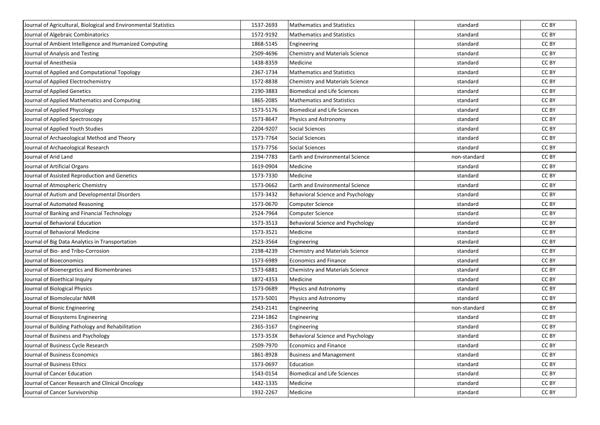| Journal of Agricultural, Biological and Environmental Statistics | 1537-2693 | <b>Mathematics and Statistics</b>      | standard     | CC BY |
|------------------------------------------------------------------|-----------|----------------------------------------|--------------|-------|
| Journal of Algebraic Combinatorics                               | 1572-9192 | <b>Mathematics and Statistics</b>      | standard     | CC BY |
| Journal of Ambient Intelligence and Humanized Computing          | 1868-5145 | Engineering                            | standard     | CC BY |
| Journal of Analysis and Testing                                  | 2509-4696 | Chemistry and Materials Science        | standard     | CC BY |
| Journal of Anesthesia                                            | 1438-8359 | Medicine                               | standard     | CC BY |
| Journal of Applied and Computational Topology                    | 2367-1734 | <b>Mathematics and Statistics</b>      | standard     | CC BY |
| Journal of Applied Electrochemistry                              | 1572-8838 | Chemistry and Materials Science        | standard     | CC BY |
| Journal of Applied Genetics                                      | 2190-3883 | <b>Biomedical and Life Sciences</b>    | standard     | CC BY |
| Journal of Applied Mathematics and Computing                     | 1865-2085 | <b>Mathematics and Statistics</b>      | standard     | CC BY |
| Journal of Applied Phycology                                     | 1573-5176 | <b>Biomedical and Life Sciences</b>    | standard     | CC BY |
| Journal of Applied Spectroscopy                                  | 1573-8647 | Physics and Astronomy                  | standard     | CC BY |
| Journal of Applied Youth Studies                                 | 2204-9207 | <b>Social Sciences</b>                 | standard     | CC BY |
| Journal of Archaeological Method and Theory                      | 1573-7764 | <b>Social Sciences</b>                 | standard     | CC BY |
| Journal of Archaeological Research                               | 1573-7756 | <b>Social Sciences</b>                 | standard     | CC BY |
| Journal of Arid Land                                             | 2194-7783 | <b>Earth and Environmental Science</b> | non-standard | CC BY |
| Journal of Artificial Organs                                     | 1619-0904 | Medicine                               | standard     | CC BY |
| Journal of Assisted Reproduction and Genetics                    | 1573-7330 | Medicine                               | standard     | CC BY |
| Journal of Atmospheric Chemistry                                 | 1573-0662 | <b>Earth and Environmental Science</b> | standard     | CC BY |
| Journal of Autism and Developmental Disorders                    | 1573-3432 | Behavioral Science and Psychology      | standard     | CC BY |
| Journal of Automated Reasoning                                   | 1573-0670 | Computer Science                       | standard     | CC BY |
| Journal of Banking and Financial Technology                      | 2524-7964 | <b>Computer Science</b>                | standard     | CC BY |
| Journal of Behavioral Education                                  | 1573-3513 | Behavioral Science and Psychology      | standard     | CC BY |
| Journal of Behavioral Medicine                                   | 1573-3521 | Medicine                               | standard     | CC BY |
| Journal of Big Data Analytics in Transportation                  | 2523-3564 | Engineering                            | standard     | CC BY |
| Journal of Bio- and Tribo-Corrosion                              | 2198-4239 | Chemistry and Materials Science        | standard     | CC BY |
| Journal of Bioeconomics                                          | 1573-6989 | <b>Economics and Finance</b>           | standard     | CC BY |
| Journal of Bioenergetics and Biomembranes                        | 1573-6881 | Chemistry and Materials Science        | standard     | CC BY |
| Journal of Bioethical Inquiry                                    | 1872-4353 | Medicine                               | standard     | CC BY |
| Journal of Biological Physics                                    | 1573-0689 | Physics and Astronomy                  | standard     | CC BY |
| Journal of Biomolecular NMR                                      | 1573-5001 | Physics and Astronomy                  | standard     | CC BY |
| Journal of Bionic Engineering                                    | 2543-2141 | Engineering                            | non-standard | CC BY |
| Journal of Biosystems Engineering                                | 2234-1862 | Engineering                            | standard     | CC BY |
| Journal of Building Pathology and Rehabilitation                 | 2365-3167 | Engineering                            | standard     | CC BY |
| Journal of Business and Psychology                               | 1573-353X | Behavioral Science and Psychology      | standard     | CC BY |
| Journal of Business Cycle Research                               | 2509-7970 | Economics and Finance                  | standard     | CC BY |
| Journal of Business Economics                                    | 1861-8928 | <b>Business and Management</b>         | standard     | CC BY |
| Journal of Business Ethics                                       | 1573-0697 | Education                              | standard     | CC BY |
| Journal of Cancer Education                                      | 1543-0154 | <b>Biomedical and Life Sciences</b>    | standard     | CC BY |
| Journal of Cancer Research and Clinical Oncology                 | 1432-1335 | Medicine                               | standard     | CC BY |
| Journal of Cancer Survivorship                                   | 1932-2267 | Medicine                               | standard     | CC BY |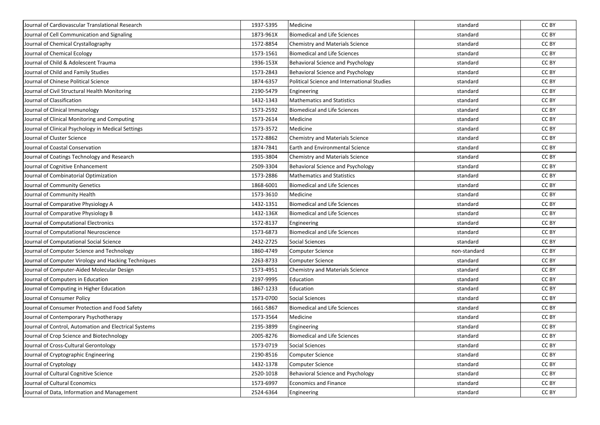| Journal of Cardiovascular Translational Research      | 1937-5395 | Medicine                                    | standard     | CC BY |
|-------------------------------------------------------|-----------|---------------------------------------------|--------------|-------|
| Journal of Cell Communication and Signaling           | 1873-961X | <b>Biomedical and Life Sciences</b>         | standard     | CC BY |
| Journal of Chemical Crystallography                   | 1572-8854 | <b>Chemistry and Materials Science</b>      | standard     | CC BY |
| Journal of Chemical Ecology                           | 1573-1561 | <b>Biomedical and Life Sciences</b>         | standard     | CC BY |
| Journal of Child & Adolescent Trauma                  | 1936-153X | Behavioral Science and Psychology           | standard     | CC BY |
| Journal of Child and Family Studies                   | 1573-2843 | Behavioral Science and Psychology           | standard     | CC BY |
| Journal of Chinese Political Science                  | 1874-6357 | Political Science and International Studies | standard     | CC BY |
| Journal of Civil Structural Health Monitoring         | 2190-5479 | Engineering                                 | standard     | CC BY |
| Journal of Classification                             | 1432-1343 | <b>Mathematics and Statistics</b>           | standard     | CC BY |
| Journal of Clinical Immunology                        | 1573-2592 | <b>Biomedical and Life Sciences</b>         | standard     | CC BY |
| Journal of Clinical Monitoring and Computing          | 1573-2614 | Medicine                                    | standard     | CC BY |
| Journal of Clinical Psychology in Medical Settings    | 1573-3572 | Medicine                                    | standard     | CC BY |
| Journal of Cluster Science                            | 1572-8862 | <b>Chemistry and Materials Science</b>      | standard     | CC BY |
| Journal of Coastal Conservation                       | 1874-7841 | Earth and Environmental Science             | standard     | CC BY |
| Journal of Coatings Technology and Research           | 1935-3804 | Chemistry and Materials Science             | standard     | CC BY |
| Journal of Cognitive Enhancement                      | 2509-3304 | Behavioral Science and Psychology           | standard     | CC BY |
| Journal of Combinatorial Optimization                 | 1573-2886 | <b>Mathematics and Statistics</b>           | standard     | CC BY |
| Journal of Community Genetics                         | 1868-6001 | <b>Biomedical and Life Sciences</b>         | standard     | CC BY |
| Journal of Community Health                           | 1573-3610 | Medicine                                    | standard     | CC BY |
| Journal of Comparative Physiology A                   | 1432-1351 | <b>Biomedical and Life Sciences</b>         | standard     | CC BY |
| Journal of Comparative Physiology B                   | 1432-136X | <b>Biomedical and Life Sciences</b>         | standard     | CC BY |
| Journal of Computational Electronics                  | 1572-8137 | Engineering                                 | standard     | CC BY |
| Journal of Computational Neuroscience                 | 1573-6873 | <b>Biomedical and Life Sciences</b>         | standard     | CC BY |
| Journal of Computational Social Science               | 2432-2725 | Social Sciences                             | standard     | CC BY |
| Journal of Computer Science and Technology            | 1860-4749 | <b>Computer Science</b>                     | non-standard | CC BY |
| Journal of Computer Virology and Hacking Techniques   | 2263-8733 | Computer Science                            | standard     | CC BY |
| Journal of Computer-Aided Molecular Design            | 1573-4951 | Chemistry and Materials Science             | standard     | CC BY |
| Journal of Computers in Education                     | 2197-9995 | Education                                   | standard     | CC BY |
| Journal of Computing in Higher Education              | 1867-1233 | Education                                   | standard     | CC BY |
| Journal of Consumer Policy                            | 1573-0700 | <b>Social Sciences</b>                      | standard     | CC BY |
| Journal of Consumer Protection and Food Safety        | 1661-5867 | <b>Biomedical and Life Sciences</b>         | standard     | CC BY |
| Journal of Contemporary Psychotherapy                 | 1573-3564 | Medicine                                    | standard     | CC BY |
| Journal of Control, Automation and Electrical Systems | 2195-3899 | Engineering                                 | standard     | CC BY |
| Journal of Crop Science and Biotechnology             | 2005-8276 | <b>Biomedical and Life Sciences</b>         | standard     | CC BY |
| Journal of Cross-Cultural Gerontology                 | 1573-0719 | <b>Social Sciences</b>                      | standard     | CC BY |
| Journal of Cryptographic Engineering                  | 2190-8516 | Computer Science                            | standard     | CC BY |
| Journal of Cryptology                                 | 1432-1378 | <b>Computer Science</b>                     | standard     | CC BY |
| Journal of Cultural Cognitive Science                 | 2520-1018 | Behavioral Science and Psychology           | standard     | CC BY |
| Journal of Cultural Economics                         | 1573-6997 | Economics and Finance                       | standard     | CC BY |
| Journal of Data, Information and Management           | 2524-6364 | Engineering                                 | standard     | CC BY |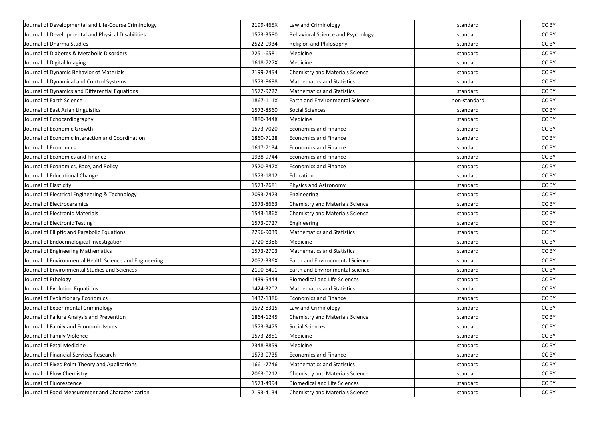| Journal of Developmental and Life-Course Criminology    | 2199-465X | Law and Criminology                      | standard     | CC BY |
|---------------------------------------------------------|-----------|------------------------------------------|--------------|-------|
| Journal of Developmental and Physical Disabilities      | 1573-3580 | <b>Behavioral Science and Psychology</b> | standard     | CC BY |
| Journal of Dharma Studies                               | 2522-0934 | Religion and Philosophy                  | standard     | CC BY |
| Journal of Diabetes & Metabolic Disorders               | 2251-6581 | Medicine                                 | standard     | CC BY |
| Journal of Digital Imaging                              | 1618-727X | Medicine                                 | standard     | CC BY |
| Journal of Dynamic Behavior of Materials                | 2199-7454 | Chemistry and Materials Science          | standard     | CC BY |
| Journal of Dynamical and Control Systems                | 1573-8698 | <b>Mathematics and Statistics</b>        | standard     | CC BY |
| Journal of Dynamics and Differential Equations          | 1572-9222 | <b>Mathematics and Statistics</b>        | standard     | CC BY |
| Journal of Earth Science                                | 1867-111X | <b>Earth and Environmental Science</b>   | non-standard | CC BY |
| Journal of East Asian Linguistics                       | 1572-8560 | Social Sciences                          | standard     | CC BY |
| Journal of Echocardiography                             | 1880-344X | Medicine                                 | standard     | CC BY |
| Journal of Economic Growth                              | 1573-7020 | <b>Economics and Finance</b>             | standard     | CC BY |
| Journal of Economic Interaction and Coordination        | 1860-7128 | Economics and Finance                    | standard     | CC BY |
| Journal of Economics                                    | 1617-7134 | <b>Economics and Finance</b>             | standard     | CC BY |
| Journal of Economics and Finance                        | 1938-9744 | <b>Economics and Finance</b>             | standard     | CC BY |
| Journal of Economics, Race, and Policy                  | 2520-842X | Economics and Finance                    | standard     | CC BY |
| Journal of Educational Change                           | 1573-1812 | Education                                | standard     | CC BY |
| Journal of Elasticity                                   | 1573-2681 | Physics and Astronomy                    | standard     | CC BY |
| Journal of Electrical Engineering & Technology          | 2093-7423 | Engineering                              | standard     | CC BY |
| Journal of Electroceramics                              | 1573-8663 | Chemistry and Materials Science          | standard     | CC BY |
| Journal of Electronic Materials                         | 1543-186X | Chemistry and Materials Science          | standard     | CC BY |
| Journal of Electronic Testing                           | 1573-0727 | Engineering                              | standard     | CC BY |
| Journal of Elliptic and Parabolic Equations             | 2296-9039 | <b>Mathematics and Statistics</b>        | standard     | CC BY |
| Journal of Endocrinological Investigation               | 1720-8386 | Medicine                                 | standard     | CC BY |
| Journal of Engineering Mathematics                      | 1573-2703 | <b>Mathematics and Statistics</b>        | standard     | CC BY |
| Journal of Environmental Health Science and Engineering | 2052-336X | Earth and Environmental Science          | standard     | CC BY |
| Journal of Environmental Studies and Sciences           | 2190-6491 | Earth and Environmental Science          | standard     | CC BY |
| Journal of Ethology                                     | 1439-5444 | <b>Biomedical and Life Sciences</b>      | standard     | CC BY |
| Journal of Evolution Equations                          | 1424-3202 | <b>Mathematics and Statistics</b>        | standard     | CC BY |
| Journal of Evolutionary Economics                       | 1432-1386 | <b>Economics and Finance</b>             | standard     | CC BY |
| Journal of Experimental Criminology                     | 1572-8315 | Law and Criminology                      | standard     | CC BY |
| Journal of Failure Analysis and Prevention              | 1864-1245 | <b>Chemistry and Materials Science</b>   | standard     | CC BY |
| Journal of Family and Economic Issues                   | 1573-3475 | Social Sciences                          | standard     | CC BY |
| Journal of Family Violence                              | 1573-2851 | Medicine                                 | standard     | CC BY |
| Journal of Fetal Medicine                               | 2348-8859 | Medicine                                 | standard     | CC BY |
| Journal of Financial Services Research                  | 1573-0735 | <b>Economics and Finance</b>             | standard     | CC BY |
| Journal of Fixed Point Theory and Applications          | 1661-7746 | <b>Mathematics and Statistics</b>        | standard     | CC BY |
| Journal of Flow Chemistry                               | 2063-0212 | Chemistry and Materials Science          | standard     | CC BY |
| Journal of Fluorescence                                 | 1573-4994 | <b>Biomedical and Life Sciences</b>      | standard     | CC BY |
| Journal of Food Measurement and Characterization        | 2193-4134 | <b>Chemistry and Materials Science</b>   | standard     | CC BY |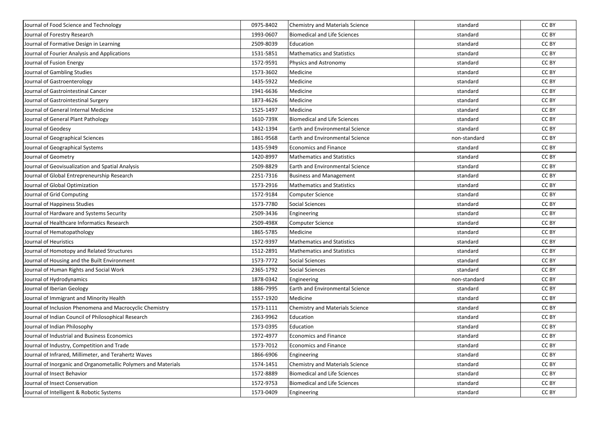| Journal of Food Science and Technology                         | 0975-8402 | Chemistry and Materials Science        | standard     | CC BY |
|----------------------------------------------------------------|-----------|----------------------------------------|--------------|-------|
| Journal of Forestry Research                                   | 1993-0607 | <b>Biomedical and Life Sciences</b>    | standard     | CC BY |
| Journal of Formative Design in Learning                        | 2509-8039 | Education                              | standard     | CC BY |
| Journal of Fourier Analysis and Applications                   | 1531-5851 | <b>Mathematics and Statistics</b>      | standard     | CC BY |
| Journal of Fusion Energy                                       | 1572-9591 | Physics and Astronomy                  | standard     | CC BY |
| Journal of Gambling Studies                                    | 1573-3602 | Medicine                               | standard     | CC BY |
| Journal of Gastroenterology                                    | 1435-5922 | Medicine                               | standard     | CC BY |
| Journal of Gastrointestinal Cancer                             | 1941-6636 | Medicine                               | standard     | CC BY |
| Journal of Gastrointestinal Surgery                            | 1873-4626 | Medicine                               | standard     | CC BY |
| Journal of General Internal Medicine                           | 1525-1497 | Medicine                               | standard     | CC BY |
| Journal of General Plant Pathology                             | 1610-739X | <b>Biomedical and Life Sciences</b>    | standard     | CC BY |
| Journal of Geodesy                                             | 1432-1394 | Earth and Environmental Science        | standard     | CC BY |
| Journal of Geographical Sciences                               | 1861-9568 | <b>Earth and Environmental Science</b> | non-standard | CC BY |
| Journal of Geographical Systems                                | 1435-5949 | <b>Economics and Finance</b>           | standard     | CC BY |
| Journal of Geometry                                            | 1420-8997 | <b>Mathematics and Statistics</b>      | standard     | CC BY |
| Journal of Geovisualization and Spatial Analysis               | 2509-8829 | Earth and Environmental Science        | standard     | CC BY |
| Journal of Global Entrepreneurship Research                    | 2251-7316 | <b>Business and Management</b>         | standard     | CC BY |
| Journal of Global Optimization                                 | 1573-2916 | <b>Mathematics and Statistics</b>      | standard     | CC BY |
| Journal of Grid Computing                                      | 1572-9184 | Computer Science                       | standard     | CC BY |
| Journal of Happiness Studies                                   | 1573-7780 | Social Sciences                        | standard     | CC BY |
| Journal of Hardware and Systems Security                       | 2509-3436 | Engineering                            | standard     | CC BY |
| Journal of Healthcare Informatics Research                     | 2509-498X | Computer Science                       | standard     | CC BY |
| Journal of Hematopathology                                     | 1865-5785 | Medicine                               | standard     | CC BY |
| Journal of Heuristics                                          | 1572-9397 | <b>Mathematics and Statistics</b>      | standard     | CC BY |
| Journal of Homotopy and Related Structures                     | 1512-2891 | <b>Mathematics and Statistics</b>      | standard     | CC BY |
| Journal of Housing and the Built Environment                   | 1573-7772 | Social Sciences                        | standard     | CC BY |
| Journal of Human Rights and Social Work                        | 2365-1792 | <b>Social Sciences</b>                 | standard     | CC BY |
| Journal of Hydrodynamics                                       | 1878-0342 | Engineering                            | non-standard | CC BY |
| Journal of Iberian Geology                                     | 1886-7995 | <b>Earth and Environmental Science</b> | standard     | CC BY |
| Journal of Immigrant and Minority Health                       | 1557-1920 | Medicine                               | standard     | CC BY |
| Journal of Inclusion Phenomena and Macrocyclic Chemistry       | 1573-1111 | Chemistry and Materials Science        | standard     | CC BY |
| Journal of Indian Council of Philosophical Research            | 2363-9962 | Education                              | standard     | CC BY |
| Journal of Indian Philosophy                                   | 1573-0395 | Education                              | standard     | CC BY |
| Journal of Industrial and Business Economics                   | 1972-4977 | <b>Economics and Finance</b>           | standard     | CC BY |
| Journal of Industry, Competition and Trade                     | 1573-7012 | Economics and Finance                  | standard     | CC BY |
| Journal of Infrared, Millimeter, and Terahertz Waves           | 1866-6906 | Engineering                            | standard     | CC BY |
| Journal of Inorganic and Organometallic Polymers and Materials | 1574-1451 | Chemistry and Materials Science        | standard     | CC BY |
| Journal of Insect Behavior                                     | 1572-8889 | <b>Biomedical and Life Sciences</b>    | standard     | CC BY |
| Journal of Insect Conservation                                 | 1572-9753 | <b>Biomedical and Life Sciences</b>    | standard     | CC BY |
| Journal of Intelligent & Robotic Systems                       | 1573-0409 | Engineering                            | standard     | CC BY |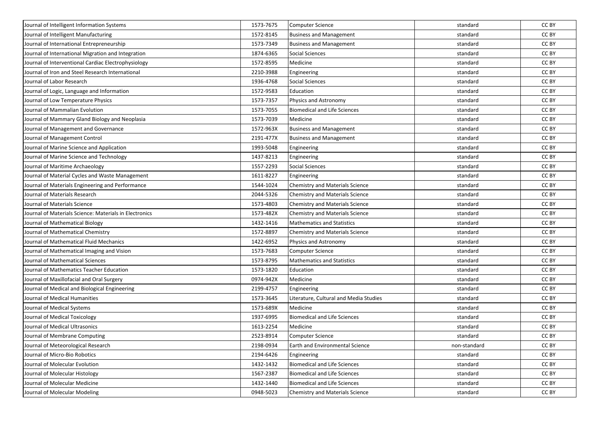| Journal of Intelligent Information Systems             | 1573-7675 | Computer Science                       | standard     | CC BY |
|--------------------------------------------------------|-----------|----------------------------------------|--------------|-------|
| Journal of Intelligent Manufacturing                   | 1572-8145 | <b>Business and Management</b>         | standard     | CC BY |
| Journal of International Entrepreneurship              | 1573-7349 | <b>Business and Management</b>         | standard     | CC BY |
| Journal of International Migration and Integration     | 1874-6365 | <b>Social Sciences</b>                 | standard     | CC BY |
| Journal of Interventional Cardiac Electrophysiology    | 1572-8595 | Medicine                               | standard     | CC BY |
| Journal of Iron and Steel Research International       | 2210-3988 | Engineering                            | standard     | CC BY |
| Journal of Labor Research                              | 1936-4768 | <b>Social Sciences</b>                 | standard     | CC BY |
| Journal of Logic, Language and Information             | 1572-9583 | Education                              | standard     | CC BY |
| Journal of Low Temperature Physics                     | 1573-7357 | Physics and Astronomy                  | standard     | CC BY |
| Journal of Mammalian Evolution                         | 1573-7055 | <b>Biomedical and Life Sciences</b>    | standard     | CC BY |
| Journal of Mammary Gland Biology and Neoplasia         | 1573-7039 | Medicine                               | standard     | CC BY |
| Journal of Management and Governance                   | 1572-963X | <b>Business and Management</b>         | standard     | CC BY |
| Journal of Management Control                          | 2191-477X | <b>Business and Management</b>         | standard     | CC BY |
| Journal of Marine Science and Application              | 1993-5048 | Engineering                            | standard     | CC BY |
| Journal of Marine Science and Technology               | 1437-8213 | Engineering                            | standard     | CC BY |
| Journal of Maritime Archaeology                        | 1557-2293 | <b>Social Sciences</b>                 | standard     | CC BY |
| Journal of Material Cycles and Waste Management        | 1611-8227 | Engineering                            | standard     | CC BY |
| Journal of Materials Engineering and Performance       | 1544-1024 | <b>Chemistry and Materials Science</b> | standard     | CC BY |
| Journal of Materials Research                          | 2044-5326 | Chemistry and Materials Science        | standard     | CC BY |
| Journal of Materials Science                           | 1573-4803 | <b>Chemistry and Materials Science</b> | standard     | CC BY |
| Journal of Materials Science: Materials in Electronics | 1573-482X | Chemistry and Materials Science        | standard     | CC BY |
| Journal of Mathematical Biology                        | 1432-1416 | <b>Mathematics and Statistics</b>      | standard     | CC BY |
| Journal of Mathematical Chemistry                      | 1572-8897 | <b>Chemistry and Materials Science</b> | standard     | CC BY |
| Journal of Mathematical Fluid Mechanics                | 1422-6952 | Physics and Astronomy                  | standard     | CC BY |
| Journal of Mathematical Imaging and Vision             | 1573-7683 | Computer Science                       | standard     | CC BY |
| Journal of Mathematical Sciences                       | 1573-8795 | <b>Mathematics and Statistics</b>      | standard     | CC BY |
| Journal of Mathematics Teacher Education               | 1573-1820 | Education                              | standard     | CC BY |
| Journal of Maxillofacial and Oral Surgery              | 0974-942X | Medicine                               | standard     | CC BY |
| Journal of Medical and Biological Engineering          | 2199-4757 | Engineering                            | standard     | CC BY |
| Journal of Medical Humanities                          | 1573-3645 | Literature, Cultural and Media Studies | standard     | CC BY |
| Journal of Medical Systems                             | 1573-689X | Medicine                               | standard     | CC BY |
| Journal of Medical Toxicology                          | 1937-6995 | <b>Biomedical and Life Sciences</b>    | standard     | CC BY |
| Journal of Medical Ultrasonics                         | 1613-2254 | Medicine                               | standard     | CC BY |
| Journal of Membrane Computing                          | 2523-8914 | <b>Computer Science</b>                | standard     | CC BY |
| Journal of Meteorological Research                     | 2198-0934 | <b>Earth and Environmental Science</b> | non-standard | CC BY |
| Journal of Micro-Bio Robotics                          | 2194-6426 | Engineering                            | standard     | CC BY |
| Journal of Molecular Evolution                         | 1432-1432 | <b>Biomedical and Life Sciences</b>    | standard     | CC BY |
| Journal of Molecular Histology                         | 1567-2387 | Biomedical and Life Sciences           | standard     | CC BY |
| Journal of Molecular Medicine                          | 1432-1440 | <b>Biomedical and Life Sciences</b>    | standard     | CC BY |
| Journal of Molecular Modeling                          | 0948-5023 | <b>Chemistry and Materials Science</b> | standard     | CC BY |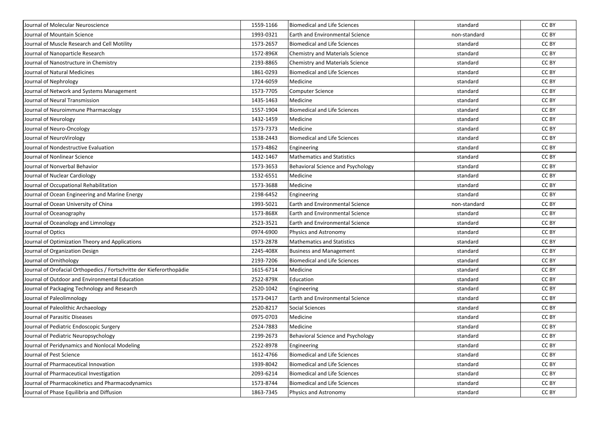| Journal of Molecular Neuroscience                                    | 1559-1166 | <b>Biomedical and Life Sciences</b>    | standard     | CC BY |
|----------------------------------------------------------------------|-----------|----------------------------------------|--------------|-------|
| Journal of Mountain Science                                          | 1993-0321 | Earth and Environmental Science        | non-standard | CC BY |
| Journal of Muscle Research and Cell Motility                         | 1573-2657 | <b>Biomedical and Life Sciences</b>    | standard     | CC BY |
| Journal of Nanoparticle Research                                     | 1572-896X | <b>Chemistry and Materials Science</b> | standard     | CC BY |
| Journal of Nanostructure in Chemistry                                | 2193-8865 | Chemistry and Materials Science        | standard     | CC BY |
| Journal of Natural Medicines                                         | 1861-0293 | <b>Biomedical and Life Sciences</b>    | standard     | CC BY |
| Journal of Nephrology                                                | 1724-6059 | Medicine                               | standard     | CC BY |
| Journal of Network and Systems Management                            | 1573-7705 | Computer Science                       | standard     | CC BY |
| Journal of Neural Transmission                                       | 1435-1463 | Medicine                               | standard     | CC BY |
| Journal of Neuroimmune Pharmacology                                  | 1557-1904 | <b>Biomedical and Life Sciences</b>    | standard     | CC BY |
| Journal of Neurology                                                 | 1432-1459 | Medicine                               | standard     | CC BY |
| Journal of Neuro-Oncology                                            | 1573-7373 | Medicine                               | standard     | CC BY |
| Journal of NeuroVirology                                             | 1538-2443 | <b>Biomedical and Life Sciences</b>    | standard     | CC BY |
| Journal of Nondestructive Evaluation                                 | 1573-4862 | Engineering                            | standard     | CC BY |
| Journal of Nonlinear Science                                         | 1432-1467 | <b>Mathematics and Statistics</b>      | standard     | CC BY |
| Journal of Nonverbal Behavior                                        | 1573-3653 | Behavioral Science and Psychology      | standard     | CC BY |
| Journal of Nuclear Cardiology                                        | 1532-6551 | Medicine                               | standard     | CC BY |
| Journal of Occupational Rehabilitation                               | 1573-3688 | Medicine                               | standard     | CC BY |
| Journal of Ocean Engineering and Marine Energy                       | 2198-6452 | Engineering                            | standard     | CC BY |
| Journal of Ocean University of China                                 | 1993-5021 | <b>Earth and Environmental Science</b> | non-standard | CC BY |
| Journal of Oceanography                                              | 1573-868X | Earth and Environmental Science        | standard     | CC BY |
| Journal of Oceanology and Limnology                                  | 2523-3521 | Earth and Environmental Science        | standard     | CC BY |
| Journal of Optics                                                    | 0974-6900 | Physics and Astronomy                  | standard     | CC BY |
| Journal of Optimization Theory and Applications                      | 1573-2878 | <b>Mathematics and Statistics</b>      | standard     | CC BY |
| Journal of Organization Design                                       | 2245-408X | <b>Business and Management</b>         | standard     | CC BY |
| Journal of Ornithology                                               | 2193-7206 | <b>Biomedical and Life Sciences</b>    | standard     | CC BY |
| Journal of Orofacial Orthopedics / Fortschritte der Kieferorthopädie | 1615-6714 | Medicine                               | standard     | CC BY |
| Journal of Outdoor and Environmental Education                       | 2522-879X | Education                              | standard     | CC BY |
| Journal of Packaging Technology and Research                         | 2520-1042 | Engineering                            | standard     | CC BY |
| Journal of Paleolimnology                                            | 1573-0417 | Earth and Environmental Science        | standard     | CC BY |
| Journal of Paleolithic Archaeology                                   | 2520-8217 | Social Sciences                        | standard     | CC BY |
| Journal of Parasitic Diseases                                        | 0975-0703 | Medicine                               | standard     | CC BY |
| Journal of Pediatric Endoscopic Surgery                              | 2524-7883 | Medicine                               | standard     | CC BY |
| Journal of Pediatric Neuropsychology                                 | 2199-2673 | Behavioral Science and Psychology      | standard     | CC BY |
| Journal of Peridynamics and Nonlocal Modeling                        | 2522-8978 | Engineering                            | standard     | CC BY |
| Journal of Pest Science                                              | 1612-4766 | <b>Biomedical and Life Sciences</b>    | standard     | CC BY |
| Journal of Pharmaceutical Innovation                                 | 1939-8042 | <b>Biomedical and Life Sciences</b>    | standard     | CC BY |
| Journal of Pharmaceutical Investigation                              | 2093-6214 | <b>Biomedical and Life Sciences</b>    | standard     | CC BY |
| Journal of Pharmacokinetics and Pharmacodynamics                     | 1573-8744 | <b>Biomedical and Life Sciences</b>    | standard     | CC BY |
| Journal of Phase Equilibria and Diffusion                            | 1863-7345 | Physics and Astronomy                  | standard     | CC BY |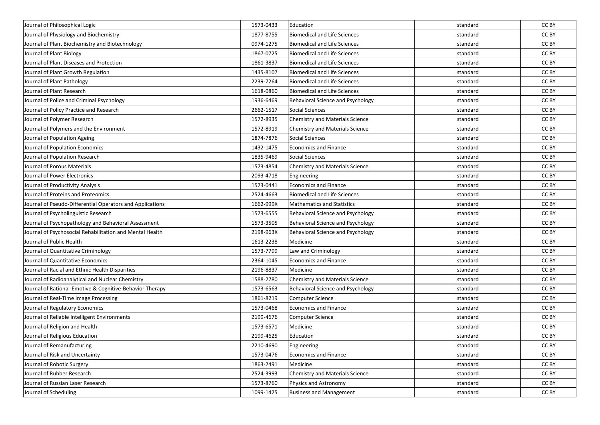| Journal of Philosophical Logic                            | 1573-0433 | Education                                | standard | CC BY |
|-----------------------------------------------------------|-----------|------------------------------------------|----------|-------|
| Journal of Physiology and Biochemistry                    | 1877-8755 | <b>Biomedical and Life Sciences</b>      | standard | CC BY |
| Journal of Plant Biochemistry and Biotechnology           | 0974-1275 | <b>Biomedical and Life Sciences</b>      | standard | CC BY |
| Journal of Plant Biology                                  | 1867-0725 | <b>Biomedical and Life Sciences</b>      | standard | CC BY |
| Journal of Plant Diseases and Protection                  | 1861-3837 | <b>Biomedical and Life Sciences</b>      | standard | CC BY |
| Journal of Plant Growth Regulation                        | 1435-8107 | <b>Biomedical and Life Sciences</b>      | standard | CC BY |
| Journal of Plant Pathology                                | 2239-7264 | <b>Biomedical and Life Sciences</b>      | standard | CC BY |
| Journal of Plant Research                                 | 1618-0860 | <b>Biomedical and Life Sciences</b>      | standard | CC BY |
| Journal of Police and Criminal Psychology                 | 1936-6469 | Behavioral Science and Psychology        | standard | CC BY |
| Journal of Policy Practice and Research                   | 2662-1517 | Social Sciences                          | standard | CC BY |
| Journal of Polymer Research                               | 1572-8935 | Chemistry and Materials Science          | standard | CC BY |
| Journal of Polymers and the Environment                   | 1572-8919 | Chemistry and Materials Science          | standard | CC BY |
| Journal of Population Ageing                              | 1874-7876 | <b>Social Sciences</b>                   | standard | CC BY |
| Journal of Population Economics                           | 1432-1475 | <b>Economics and Finance</b>             | standard | CC BY |
| Journal of Population Research                            | 1835-9469 | Social Sciences                          | standard | CC BY |
| Journal of Porous Materials                               | 1573-4854 | Chemistry and Materials Science          | standard | CC BY |
| Journal of Power Electronics                              | 2093-4718 | Engineering                              | standard | CC BY |
| Journal of Productivity Analysis                          | 1573-0441 | <b>Economics and Finance</b>             | standard | CC BY |
| Journal of Proteins and Proteomics                        | 2524-4663 | <b>Biomedical and Life Sciences</b>      | standard | CC BY |
| Journal of Pseudo-Differential Operators and Applications | 1662-999X | <b>Mathematics and Statistics</b>        | standard | CC BY |
| Journal of Psycholinguistic Research                      | 1573-6555 | Behavioral Science and Psychology        | standard | CC BY |
| Journal of Psychopathology and Behavioral Assessment      | 1573-3505 | Behavioral Science and Psychology        | standard | CC BY |
| Journal of Psychosocial Rehabilitation and Mental Health  | 2198-963X | Behavioral Science and Psychology        | standard | CC BY |
| Journal of Public Health                                  | 1613-2238 | Medicine                                 | standard | CC BY |
| Journal of Quantitative Criminology                       | 1573-7799 | Law and Criminology                      | standard | CC BY |
| Journal of Quantitative Economics                         | 2364-1045 | Economics and Finance                    | standard | CC BY |
| Journal of Racial and Ethnic Health Disparities           | 2196-8837 | Medicine                                 | standard | CC BY |
| Journal of Radioanalytical and Nuclear Chemistry          | 1588-2780 | Chemistry and Materials Science          | standard | CC BY |
| Journal of Rational-Emotive & Cognitive-Behavior Therapy  | 1573-6563 | <b>Behavioral Science and Psychology</b> | standard | CC BY |
| Journal of Real-Time Image Processing                     | 1861-8219 | Computer Science                         | standard | CC BY |
| Journal of Regulatory Economics                           | 1573-0468 | <b>Economics and Finance</b>             | standard | CC BY |
| Journal of Reliable Intelligent Environments              | 2199-4676 | <b>Computer Science</b>                  | standard | CC BY |
| Journal of Religion and Health                            | 1573-6571 | Medicine                                 | standard | CC BY |
| Journal of Religious Education                            | 2199-4625 | Education                                | standard | CC BY |
| Journal of Remanufacturing                                | 2210-4690 | Engineering                              | standard | CC BY |
| Journal of Risk and Uncertainty                           | 1573-0476 | <b>Economics and Finance</b>             | standard | CC BY |
| Journal of Robotic Surgery                                | 1863-2491 | Medicine                                 | standard | CC BY |
| Journal of Rubber Research                                | 2524-3993 | Chemistry and Materials Science          | standard | CC BY |
| Journal of Russian Laser Research                         | 1573-8760 | Physics and Astronomy                    | standard | CC BY |
| Journal of Scheduling                                     | 1099-1425 | <b>Business and Management</b>           | standard | CC BY |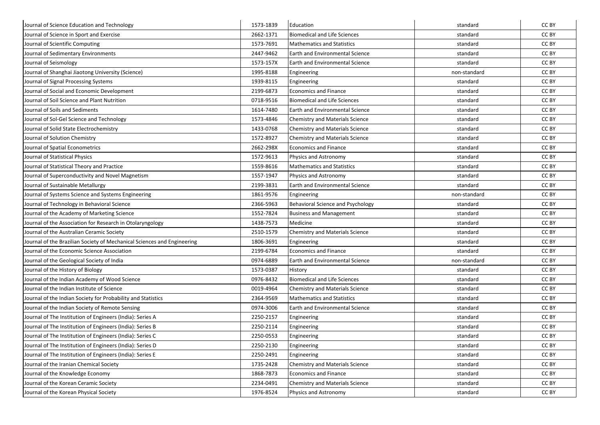| Journal of Science Education and Technology                             | 1573-1839 | Education                              | standard     | CC BY |
|-------------------------------------------------------------------------|-----------|----------------------------------------|--------------|-------|
| Journal of Science in Sport and Exercise                                | 2662-1371 | <b>Biomedical and Life Sciences</b>    | standard     | CC BY |
| Journal of Scientific Computing                                         | 1573-7691 | <b>Mathematics and Statistics</b>      | standard     | CC BY |
| Journal of Sedimentary Environments                                     | 2447-9462 | Earth and Environmental Science        | standard     | CC BY |
| Journal of Seismology                                                   | 1573-157X | <b>Earth and Environmental Science</b> | standard     | CC BY |
| Journal of Shanghai Jiaotong University (Science)                       | 1995-8188 | Engineering                            | non-standard | CC BY |
| Journal of Signal Processing Systems                                    | 1939-8115 | Engineering                            | standard     | CC BY |
| Journal of Social and Economic Development                              | 2199-6873 | <b>Economics and Finance</b>           | standard     | CC BY |
| Journal of Soil Science and Plant Nutrition                             | 0718-9516 | <b>Biomedical and Life Sciences</b>    | standard     | CC BY |
| Journal of Soils and Sediments                                          | 1614-7480 | Earth and Environmental Science        | standard     | CC BY |
| Journal of Sol-Gel Science and Technology                               | 1573-4846 | <b>Chemistry and Materials Science</b> | standard     | CC BY |
| Journal of Solid State Electrochemistry                                 | 1433-0768 | <b>Chemistry and Materials Science</b> | standard     | CC BY |
| Journal of Solution Chemistry                                           | 1572-8927 | <b>Chemistry and Materials Science</b> | standard     | CC BY |
| Journal of Spatial Econometrics                                         | 2662-298X | <b>Economics and Finance</b>           | standard     | CC BY |
| Journal of Statistical Physics                                          | 1572-9613 | Physics and Astronomy                  | standard     | CC BY |
| Journal of Statistical Theory and Practice                              | 1559-8616 | <b>Mathematics and Statistics</b>      | standard     | CC BY |
| Journal of Superconductivity and Novel Magnetism                        | 1557-1947 | Physics and Astronomy                  | standard     | CC BY |
| Journal of Sustainable Metallurgy                                       | 2199-3831 | <b>Earth and Environmental Science</b> | standard     | CC BY |
| Journal of Systems Science and Systems Engineering                      | 1861-9576 | Engineering                            | non-standard | CC BY |
| Journal of Technology in Behavioral Science                             | 2366-5963 | Behavioral Science and Psychology      | standard     | CC BY |
| Journal of the Academy of Marketing Science                             | 1552-7824 | <b>Business and Management</b>         | standard     | CC BY |
| Journal of the Association for Research in Otolaryngology               | 1438-7573 | Medicine                               | standard     | CC BY |
| Journal of the Australian Ceramic Society                               | 2510-1579 | <b>Chemistry and Materials Science</b> | standard     | CC BY |
| Journal of the Brazilian Society of Mechanical Sciences and Engineering | 1806-3691 | Engineering                            | standard     | CC BY |
| Journal of the Economic Science Association                             | 2199-6784 | <b>Economics and Finance</b>           | standard     | CC BY |
| Journal of the Geological Society of India                              | 0974-6889 | <b>Earth and Environmental Science</b> | non-standard | CC BY |
| Journal of the History of Biology                                       | 1573-0387 | History                                | standard     | CC BY |
| Journal of the Indian Academy of Wood Science                           | 0976-8432 | <b>Biomedical and Life Sciences</b>    | standard     | CC BY |
| Journal of the Indian Institute of Science                              | 0019-4964 | Chemistry and Materials Science        | standard     | CC BY |
| Journal of the Indian Society for Probability and Statistics            | 2364-9569 | <b>Mathematics and Statistics</b>      | standard     | CC BY |
| Journal of the Indian Society of Remote Sensing                         | 0974-3006 | <b>Earth and Environmental Science</b> | standard     | CC BY |
| Journal of The Institution of Engineers (India): Series A               | 2250-2157 | Engineering                            | standard     | CC BY |
| Journal of The Institution of Engineers (India): Series B               | 2250-2114 | Engineering                            | standard     | CC BY |
| Journal of The Institution of Engineers (India): Series C               | 2250-0553 | Engineering                            | standard     | CC BY |
| Journal of The Institution of Engineers (India): Series D               | 2250-2130 | Engineering                            | standard     | CC BY |
| Journal of The Institution of Engineers (India): Series E               | 2250-2491 | Engineering                            | standard     | CC BY |
| Journal of the Iranian Chemical Society                                 | 1735-2428 | Chemistry and Materials Science        | standard     | CC BY |
| Journal of the Knowledge Economy                                        | 1868-7873 | <b>Economics and Finance</b>           | standard     | CC BY |
| Journal of the Korean Ceramic Society                                   | 2234-0491 | <b>Chemistry and Materials Science</b> | standard     | CC BY |
| Journal of the Korean Physical Society                                  | 1976-8524 | Physics and Astronomy                  | standard     | CC BY |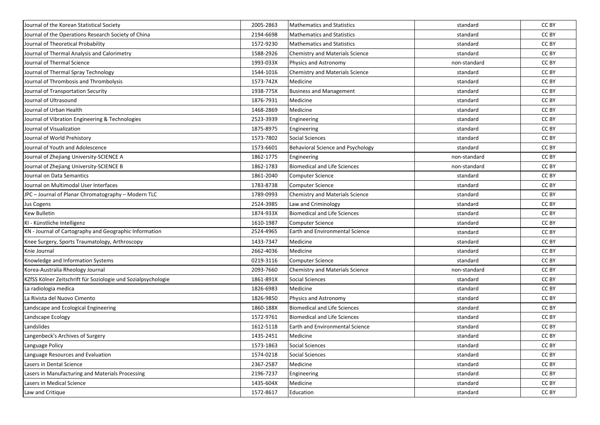| Journal of the Korean Statistical Society                     | 2005-2863 | Mathematics and Statistics             | standard     | CC BY |
|---------------------------------------------------------------|-----------|----------------------------------------|--------------|-------|
| Journal of the Operations Research Society of China           | 2194-6698 | <b>Mathematics and Statistics</b>      | standard     | CC BY |
| Journal of Theoretical Probability                            | 1572-9230 | <b>Mathematics and Statistics</b>      | standard     | CC BY |
| Journal of Thermal Analysis and Calorimetry                   | 1588-2926 | Chemistry and Materials Science        | standard     | CC BY |
| Journal of Thermal Science                                    | 1993-033X | Physics and Astronomy                  | non-standard | CC BY |
| Journal of Thermal Spray Technology                           | 1544-1016 | Chemistry and Materials Science        | standard     | CC BY |
| Journal of Thrombosis and Thrombolysis                        | 1573-742X | Medicine                               | standard     | CC BY |
| Journal of Transportation Security                            | 1938-775X | <b>Business and Management</b>         | standard     | CC BY |
| Journal of Ultrasound                                         | 1876-7931 | Medicine                               | standard     | CC BY |
| Journal of Urban Health                                       | 1468-2869 | Medicine                               | standard     | CC BY |
| Journal of Vibration Engineering & Technologies               | 2523-3939 | Engineering                            | standard     | CC BY |
| Journal of Visualization                                      | 1875-8975 | Engineering                            | standard     | CC BY |
| Journal of World Prehistory                                   | 1573-7802 | <b>Social Sciences</b>                 | standard     | CC BY |
| Journal of Youth and Adolescence                              | 1573-6601 | Behavioral Science and Psychology      | standard     | CC BY |
| Journal of Zhejiang University-SCIENCE A                      | 1862-1775 | Engineering                            | non-standard | CC BY |
| Journal of Zhejiang University-SCIENCE B                      | 1862-1783 | <b>Biomedical and Life Sciences</b>    | non-standard | CC BY |
| Journal on Data Semantics                                     | 1861-2040 | <b>Computer Science</b>                | standard     | CC BY |
| Journal on Multimodal User Interfaces                         | 1783-8738 | <b>Computer Science</b>                | standard     | CC BY |
| JPC - Journal of Planar Chromatography - Modern TLC           | 1789-0993 | Chemistry and Materials Science        | standard     | CC BY |
| Jus Cogens                                                    | 2524-3985 | Law and Criminology                    | standard     | CC BY |
| <b>Kew Bulletin</b>                                           | 1874-933X | <b>Biomedical and Life Sciences</b>    | standard     | CC BY |
| KI - Künstliche Intelligenz                                   | 1610-1987 | <b>Computer Science</b>                | standard     | CC BY |
| KN - Journal of Cartography and Geographic Information        | 2524-4965 | Earth and Environmental Science        | standard     | CC BY |
| Knee Surgery, Sports Traumatology, Arthroscopy                | 1433-7347 | Medicine                               | standard     | CC BY |
| Knie Journal                                                  | 2662-4036 | Medicine                               | standard     | CC BY |
| Knowledge and Information Systems                             | 0219-3116 | <b>Computer Science</b>                | standard     | CC BY |
| Korea-Australia Rheology Journal                              | 2093-7660 | Chemistry and Materials Science        | non-standard | CC BY |
| KZfSS Kölner Zeitschrift für Soziologie und Sozialpsychologie | 1861-891X | <b>Social Sciences</b>                 | standard     | CC BY |
| La radiologia medica                                          | 1826-6983 | Medicine                               | standard     | CC BY |
| La Rivista del Nuovo Cimento                                  | 1826-9850 | Physics and Astronomy                  | standard     | CC BY |
| Landscape and Ecological Engineering                          | 1860-188X | <b>Biomedical and Life Sciences</b>    | standard     | CC BY |
| Landscape Ecology                                             | 1572-9761 | <b>Biomedical and Life Sciences</b>    | standard     | CC BY |
| Landslides                                                    | 1612-5118 | <b>Earth and Environmental Science</b> | standard     | CC BY |
| Langenbeck's Archives of Surgery                              | 1435-2451 | Medicine                               | standard     | CC BY |
| Language Policy                                               | 1573-1863 | <b>Social Sciences</b>                 | standard     | CC BY |
| Language Resources and Evaluation                             | 1574-0218 | Social Sciences                        | standard     | CC BY |
| Lasers in Dental Science                                      | 2367-2587 | Medicine                               | standard     | CC BY |
| Lasers in Manufacturing and Materials Processing              | 2196-7237 | Engineering                            | standard     | CC BY |
| Lasers in Medical Science                                     | 1435-604X | Medicine                               | standard     | CC BY |
| Law and Critique                                              | 1572-8617 | Education                              | standard     | CC BY |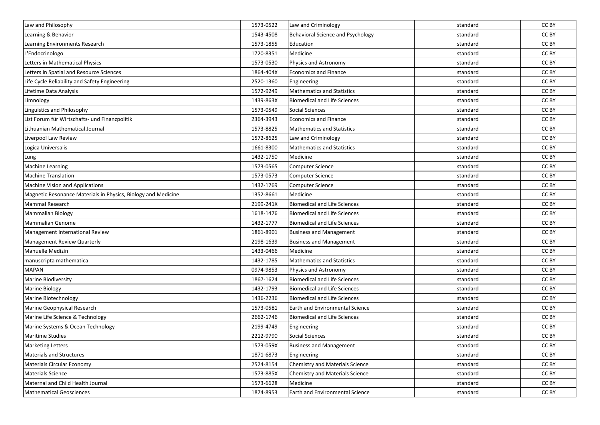| Law and Philosophy                                            | 1573-0522 | Law and Criminology                      | standard | CC BY |
|---------------------------------------------------------------|-----------|------------------------------------------|----------|-------|
| Learning & Behavior                                           | 1543-4508 | <b>Behavioral Science and Psychology</b> | standard | CC BY |
| Learning Environments Research                                | 1573-1855 | Education                                | standard | CC BY |
| L'Endocrinologo                                               | 1720-8351 | Medicine                                 | standard | CC BY |
| Letters in Mathematical Physics                               | 1573-0530 | Physics and Astronomy                    | standard | CC BY |
| Letters in Spatial and Resource Sciences                      | 1864-404X | Economics and Finance                    | standard | CC BY |
| Life Cycle Reliability and Safety Engineering                 | 2520-1360 | Engineering                              | standard | CC BY |
| Lifetime Data Analysis                                        | 1572-9249 | <b>Mathematics and Statistics</b>        | standard | CC BY |
| Limnology                                                     | 1439-863X | <b>Biomedical and Life Sciences</b>      | standard | CC BY |
| Linguistics and Philosophy                                    | 1573-0549 | Social Sciences                          | standard | CC BY |
| List Forum für Wirtschafts- und Finanzpolitik                 | 2364-3943 | Economics and Finance                    | standard | CC BY |
| Lithuanian Mathematical Journal                               | 1573-8825 | <b>Mathematics and Statistics</b>        | standard | CC BY |
| Liverpool Law Review                                          | 1572-8625 | Law and Criminology                      | standard | CC BY |
| Logica Universalis                                            | 1661-8300 | <b>Mathematics and Statistics</b>        | standard | CC BY |
| Lung                                                          | 1432-1750 | Medicine                                 | standard | CC BY |
| <b>Machine Learning</b>                                       | 1573-0565 | Computer Science                         | standard | CC BY |
| <b>Machine Translation</b>                                    | 1573-0573 | Computer Science                         | standard | CC BY |
| <b>Machine Vision and Applications</b>                        | 1432-1769 | <b>Computer Science</b>                  | standard | CC BY |
| Magnetic Resonance Materials in Physics, Biology and Medicine | 1352-8661 | Medicine                                 | standard | CC BY |
| Mammal Research                                               | 2199-241X | <b>Biomedical and Life Sciences</b>      | standard | CC BY |
| <b>Mammalian Biology</b>                                      | 1618-1476 | <b>Biomedical and Life Sciences</b>      | standard | CC BY |
| <b>Mammalian Genome</b>                                       | 1432-1777 | <b>Biomedical and Life Sciences</b>      | standard | CC BY |
| Management International Review                               | 1861-8901 | <b>Business and Management</b>           | standard | CC BY |
| <b>Management Review Quarterly</b>                            | 2198-1639 | <b>Business and Management</b>           | standard | CC BY |
| <b>Manuelle Medizin</b>                                       | 1433-0466 | Medicine                                 | standard | CC BY |
| manuscripta mathematica                                       | 1432-1785 | <b>Mathematics and Statistics</b>        | standard | CC BY |
| <b>MAPAN</b>                                                  | 0974-9853 | Physics and Astronomy                    | standard | CC BY |
| <b>Marine Biodiversity</b>                                    | 1867-1624 | <b>Biomedical and Life Sciences</b>      | standard | CC BY |
| <b>Marine Biology</b>                                         | 1432-1793 | <b>Biomedical and Life Sciences</b>      | standard | CC BY |
| Marine Biotechnology                                          | 1436-2236 | <b>Biomedical and Life Sciences</b>      | standard | CC BY |
| Marine Geophysical Research                                   | 1573-0581 | Earth and Environmental Science          | standard | CC BY |
| Marine Life Science & Technology                              | 2662-1746 | <b>Biomedical and Life Sciences</b>      | standard | CC BY |
| Marine Systems & Ocean Technology                             | 2199-4749 | Engineering                              | standard | CC BY |
| <b>Maritime Studies</b>                                       | 2212-9790 | Social Sciences                          | standard | CC BY |
| <b>Marketing Letters</b>                                      | 1573-059X | <b>Business and Management</b>           | standard | CC BY |
| <b>Materials and Structures</b>                               | 1871-6873 | Engineering                              | standard | CC BY |
| Materials Circular Economy                                    | 2524-8154 | Chemistry and Materials Science          | standard | CC BY |
| Materials Science                                             | 1573-885X | Chemistry and Materials Science          | standard | CC BY |
| Maternal and Child Health Journal                             | 1573-6628 | Medicine                                 | standard | CC BY |
| <b>Mathematical Geosciences</b>                               | 1874-8953 | Earth and Environmental Science          | standard | CC BY |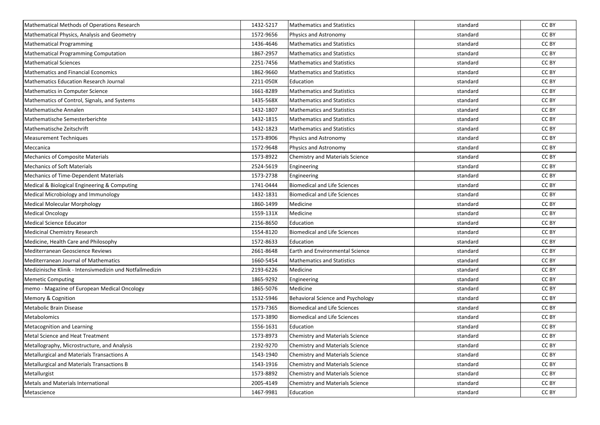| <b>Mathematical Methods of Operations Research</b>       | 1432-5217 | <b>Mathematics and Statistics</b>      | standard | CC BY |
|----------------------------------------------------------|-----------|----------------------------------------|----------|-------|
| Mathematical Physics, Analysis and Geometry              | 1572-9656 | Physics and Astronomy                  | standard | CC BY |
| <b>Mathematical Programming</b>                          | 1436-4646 | <b>Mathematics and Statistics</b>      | standard | CC BY |
| Mathematical Programming Computation                     | 1867-2957 | <b>Mathematics and Statistics</b>      | standard | CC BY |
| <b>Mathematical Sciences</b>                             | 2251-7456 | <b>Mathematics and Statistics</b>      | standard | CC BY |
| <b>Mathematics and Financial Economics</b>               | 1862-9660 | <b>Mathematics and Statistics</b>      | standard | CC BY |
| <b>Mathematics Education Research Journal</b>            | 2211-050X | Education                              | standard | CC BY |
| Mathematics in Computer Science                          | 1661-8289 | <b>Mathematics and Statistics</b>      | standard | CC BY |
| Mathematics of Control, Signals, and Systems             | 1435-568X | <b>Mathematics and Statistics</b>      | standard | CC BY |
| Mathematische Annalen                                    | 1432-1807 | <b>Mathematics and Statistics</b>      | standard | CC BY |
| Mathematische Semesterberichte                           | 1432-1815 | <b>Mathematics and Statistics</b>      | standard | CC BY |
| Mathematische Zeitschrift                                | 1432-1823 | <b>Mathematics and Statistics</b>      | standard | CC BY |
| <b>Measurement Techniques</b>                            | 1573-8906 | Physics and Astronomy                  | standard | CC BY |
| Meccanica                                                | 1572-9648 | Physics and Astronomy                  | standard | CC BY |
| <b>Mechanics of Composite Materials</b>                  | 1573-8922 | Chemistry and Materials Science        | standard | CC BY |
| <b>Mechanics of Soft Materials</b>                       | 2524-5619 | Engineering                            | standard | CC BY |
| Mechanics of Time-Dependent Materials                    | 1573-2738 | Engineering                            | standard | CC BY |
| Medical & Biological Engineering & Computing             | 1741-0444 | <b>Biomedical and Life Sciences</b>    | standard | CC BY |
| Medical Microbiology and Immunology                      | 1432-1831 | <b>Biomedical and Life Sciences</b>    | standard | CC BY |
| <b>Medical Molecular Morphology</b>                      | 1860-1499 | Medicine                               | standard | CC BY |
| <b>Medical Oncology</b>                                  | 1559-131X | Medicine                               | standard | CC BY |
| <b>Medical Science Educator</b>                          | 2156-8650 | Education                              | standard | CC BY |
| <b>Medicinal Chemistry Research</b>                      | 1554-8120 | <b>Biomedical and Life Sciences</b>    | standard | CC BY |
| Medicine, Health Care and Philosophy                     | 1572-8633 | Education                              | standard | CC BY |
| Mediterranean Geoscience Reviews                         | 2661-8648 | <b>Earth and Environmental Science</b> | standard | CC BY |
| Mediterranean Journal of Mathematics                     | 1660-5454 | <b>Mathematics and Statistics</b>      | standard | CC BY |
| Medizinische Klinik - Intensivmedizin und Notfallmedizin | 2193-6226 | Medicine                               | standard | CC BY |
| <b>Memetic Computing</b>                                 | 1865-9292 | Engineering                            | standard | CC BY |
| memo - Magazine of European Medical Oncology             | 1865-5076 | Medicine                               | standard | CC BY |
| Memory & Cognition                                       | 1532-5946 | Behavioral Science and Psychology      | standard | CC BY |
| Metabolic Brain Disease                                  | 1573-7365 | <b>Biomedical and Life Sciences</b>    | standard | CC BY |
| Metabolomics                                             | 1573-3890 | <b>Biomedical and Life Sciences</b>    | standard | CC BY |
| Metacognition and Learning                               | 1556-1631 | Education                              | standard | CC BY |
| <b>Metal Science and Heat Treatment</b>                  | 1573-8973 | Chemistry and Materials Science        | standard | CC BY |
| Metallography, Microstructure, and Analysis              | 2192-9270 | Chemistry and Materials Science        | standard | CC BY |
| Metallurgical and Materials Transactions A               | 1543-1940 | <b>Chemistry and Materials Science</b> | standard | CC BY |
| Metallurgical and Materials Transactions B               | 1543-1916 | Chemistry and Materials Science        | standard | CC BY |
| Metallurgist                                             | 1573-8892 | Chemistry and Materials Science        | standard | CC BY |
| Metals and Materials International                       | 2005-4149 | Chemistry and Materials Science        | standard | CC BY |
| Metascience                                              | 1467-9981 | Education                              | standard | CC BY |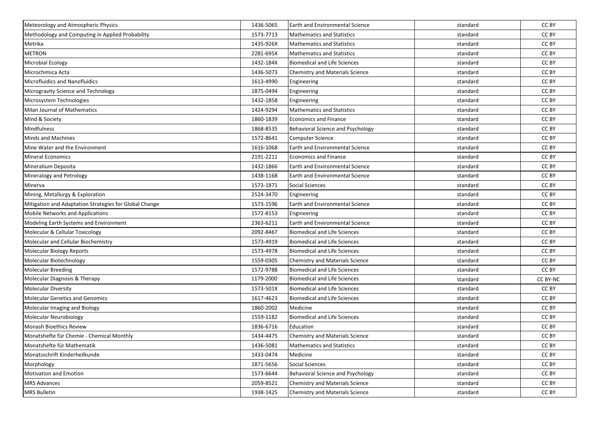| Meteorology and Atmospheric Physics                    | 1436-5065 | <b>Earth and Environmental Science</b> | standard | CC BY    |
|--------------------------------------------------------|-----------|----------------------------------------|----------|----------|
| Methodology and Computing in Applied Probability       | 1573-7713 | <b>Mathematics and Statistics</b>      | standard | CC BY    |
| Metrika                                                | 1435-926X | <b>Mathematics and Statistics</b>      | standard | CC BY    |
| <b>METRON</b>                                          | 2281-695X | <b>Mathematics and Statistics</b>      | standard | CC BY    |
| <b>Microbial Ecology</b>                               | 1432-184X | Biomedical and Life Sciences           | standard | CC BY    |
| Microchimica Acta                                      | 1436-5073 | Chemistry and Materials Science        | standard | CC BY    |
| <b>Microfluidics and Nanofluidics</b>                  | 1613-4990 | Engineering                            | standard | CC BY    |
| Microgravity Science and Technology                    | 1875-0494 | Engineering                            | standard | CC BY    |
| Microsystem Technologies                               | 1432-1858 | Engineering                            | standard | CC BY    |
| Milan Journal of Mathematics                           | 1424-9294 | <b>Mathematics and Statistics</b>      | standard | CC BY    |
| Mind & Society                                         | 1860-1839 | <b>Economics and Finance</b>           | standard | CC BY    |
| Mindfulness                                            | 1868-8535 | Behavioral Science and Psychology      | standard | CC BY    |
| Minds and Machines                                     | 1572-8641 | <b>Computer Science</b>                | standard | CC BY    |
| Mine Water and the Environment                         | 1616-1068 | Earth and Environmental Science        | standard | CC BY    |
| Mineral Economics                                      | 2191-2211 | <b>Economics and Finance</b>           | standard | CC BY    |
| Mineralium Deposita                                    | 1432-1866 | Earth and Environmental Science        | standard | CC BY    |
| Mineralogy and Petrology                               | 1438-1168 | <b>Earth and Environmental Science</b> | standard | CC BY    |
| Minerva                                                | 1573-1871 | Social Sciences                        | standard | CC BY    |
| Mining, Metallurgy & Exploration                       | 2524-3470 | Engineering                            | standard | CC BY    |
| Mitigation and Adaptation Strategies for Global Change | 1573-1596 | <b>Earth and Environmental Science</b> | standard | CC BY    |
| <b>Mobile Networks and Applications</b>                | 1572-8153 | Engineering                            | standard | CC BY    |
| Modeling Earth Systems and Environment                 | 2363-6211 | Earth and Environmental Science        | standard | CC BY    |
| Molecular & Cellular Toxicology                        | 2092-8467 | <b>Biomedical and Life Sciences</b>    | standard | CC BY    |
| Molecular and Cellular Biochemistry                    | 1573-4919 | Biomedical and Life Sciences           | standard | CC BY    |
| Molecular Biology Reports                              | 1573-4978 | Biomedical and Life Sciences           | standard | CC BY    |
| Molecular Biotechnology                                | 1559-0305 | <b>Chemistry and Materials Science</b> | standard | CC BY    |
| <b>Molecular Breeding</b>                              | 1572-9788 | <b>Biomedical and Life Sciences</b>    | standard | CC BY    |
| Molecular Diagnosis & Therapy                          | 1179-2000 | <b>Biomedical and Life Sciences</b>    | standard | CC BY-NC |
| <b>Molecular Diversity</b>                             | 1573-501X | <b>Biomedical and Life Sciences</b>    | standard | CC BY    |
| <b>Molecular Genetics and Genomics</b>                 | 1617-4623 | <b>Biomedical and Life Sciences</b>    | standard | CC BY    |
| Molecular Imaging and Biology                          | 1860-2002 | Medicine                               | standard | CC BY    |
| Molecular Neurobiology                                 | 1559-1182 | Biomedical and Life Sciences           | standard | CC BY    |
| Monash Bioethics Review                                | 1836-6716 | Education                              | standard | CC BY    |
| Monatshefte für Chemie - Chemical Monthly              | 1434-4475 | <b>Chemistry and Materials Science</b> | standard | CC BY    |
| Monatshefte für Mathematik                             | 1436-5081 | Mathematics and Statistics             | standard | CC BY    |
| Monatsschrift Kinderheilkunde                          | 1433-0474 | Medicine                               | standard | CC BY    |
| Morphology                                             | 1871-5656 | <b>Social Sciences</b>                 | standard | CC BY    |
| Motivation and Emotion                                 | 1573-6644 | Behavioral Science and Psychology      | standard | CC BY    |
| <b>MRS Advances</b>                                    | 2059-8521 | Chemistry and Materials Science        | standard | CC BY    |
| <b>MRS Bulletin</b>                                    | 1938-1425 | Chemistry and Materials Science        | standard | CC BY    |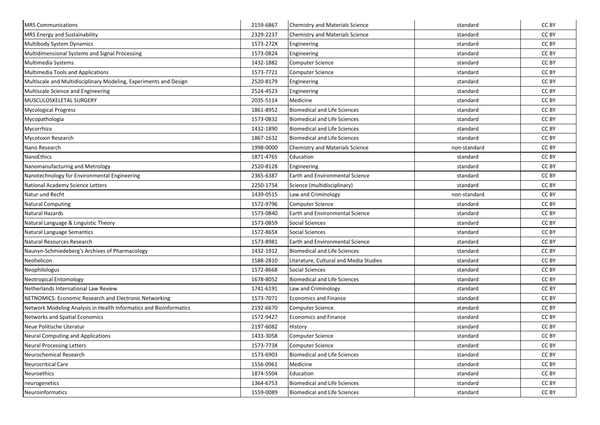| <b>MRS Communications</b>                                          | 2159-6867 | Chemistry and Materials Science        | standard     | CC BY |
|--------------------------------------------------------------------|-----------|----------------------------------------|--------------|-------|
| <b>MRS Energy and Sustainability</b>                               | 2329-2237 | Chemistry and Materials Science        | standard     | CC BY |
| Multibody System Dynamics                                          | 1573-272X | Engineering                            | standard     | CC BY |
| Multidimensional Systems and Signal Processing                     | 1573-0824 | Engineering                            | standard     | CC BY |
| Multimedia Systems                                                 | 1432-1882 | Computer Science                       | standard     | CC BY |
| <b>Multimedia Tools and Applications</b>                           | 1573-7721 | Computer Science                       | standard     | CC BY |
| Multiscale and Multidisciplinary Modeling, Experiments and Design  | 2520-8179 | Engineering                            | standard     | CC BY |
| Multiscale Science and Engineering                                 | 2524-4523 | Engineering                            | standard     | CC BY |
| MUSCULOSKELETAL SURGERY                                            | 2035-5114 | Medicine                               | standard     | CC BY |
| <b>Mycological Progress</b>                                        | 1861-8952 | <b>Biomedical and Life Sciences</b>    | standard     | CC BY |
| Mycopathologia                                                     | 1573-0832 | <b>Biomedical and Life Sciences</b>    | standard     | CC BY |
| Mycorrhiza                                                         | 1432-1890 | <b>Biomedical and Life Sciences</b>    | standard     | CC BY |
| Mycotoxin Research                                                 | 1867-1632 | <b>Biomedical and Life Sciences</b>    | standard     | CC BY |
| Nano Research                                                      | 1998-0000 | Chemistry and Materials Science        | non-standard | CC BY |
| NanoEthics                                                         | 1871-4765 | Education                              | standard     | CC BY |
| Nanomanufacturing and Metrology                                    | 2520-8128 | Engineering                            | standard     | CC BY |
| Nanotechnology for Environmental Engineering                       | 2365-6387 | <b>Earth and Environmental Science</b> | standard     | CC BY |
| National Academy Science Letters                                   | 2250-1754 | Science (multidisciplinary)            | standard     | CC BY |
| Natur und Recht                                                    | 1439-0515 | Law and Criminology                    | non-standard | CC BY |
| <b>Natural Computing</b>                                           | 1572-9796 | Computer Science                       | standard     | CC BY |
| Natural Hazards                                                    | 1573-0840 | Earth and Environmental Science        | standard     | CC BY |
| Natural Language & Linguistic Theory                               | 1573-0859 | <b>Social Sciences</b>                 | standard     | CC BY |
| Natural Language Semantics                                         | 1572-865X | <b>Social Sciences</b>                 | standard     | CC BY |
| Natural Resources Research                                         | 1573-8981 | <b>Earth and Environmental Science</b> | standard     | CC BY |
| Naunyn-Schmiedeberg's Archives of Pharmacology                     | 1432-1912 | <b>Biomedical and Life Sciences</b>    | standard     | CC BY |
| Neohelicon                                                         | 1588-2810 | Literature, Cultural and Media Studies | standard     | CC BY |
| Neophilologus                                                      | 1572-8668 | <b>Social Sciences</b>                 | standard     | CC BY |
| <b>Neotropical Entomology</b>                                      | 1678-8052 | <b>Biomedical and Life Sciences</b>    | standard     | CC BY |
| Netherlands International Law Review                               | 1741-6191 | Law and Criminology                    | standard     | CC BY |
| NETNOMICS: Economic Research and Electronic Networking             | 1573-7071 | Economics and Finance                  | standard     | CC BY |
| Network Modeling Analysis in Health Informatics and Bioinformatics | 2192-6670 | Computer Science                       | standard     | CC BY |
| Networks and Spatial Economics                                     | 1572-9427 | <b>Economics and Finance</b>           | standard     | CC BY |
| Neue Politische Literatur                                          | 2197-6082 | History                                | standard     | CC BY |
| <b>Neural Computing and Applications</b>                           | 1433-3058 | Computer Science                       | standard     | CC BY |
| <b>Neural Processing Letters</b>                                   | 1573-773X | Computer Science                       | standard     | CC BY |
| Neurochemical Research                                             | 1573-6903 | <b>Biomedical and Life Sciences</b>    | standard     | CC BY |
| <b>Neurocritical Care</b>                                          | 1556-0961 | Medicine                               | standard     | CC BY |
| Neuroethics                                                        | 1874-5504 | Education                              | standard     | CC BY |
| neurogenetics                                                      | 1364-6753 | <b>Biomedical and Life Sciences</b>    | standard     | CC BY |
| Neuroinformatics                                                   | 1559-0089 | <b>Biomedical and Life Sciences</b>    | standard     | CC BY |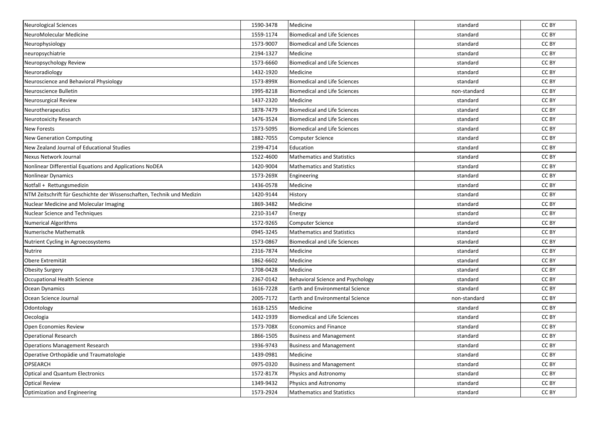| Neurological Sciences                                                  | 1590-3478 | Medicine                               | standard     | CC BY |
|------------------------------------------------------------------------|-----------|----------------------------------------|--------------|-------|
| NeuroMolecular Medicine                                                | 1559-1174 | <b>Biomedical and Life Sciences</b>    | standard     | CC BY |
| Neurophysiology                                                        | 1573-9007 | <b>Biomedical and Life Sciences</b>    | standard     | CC BY |
| neuropsychiatrie                                                       | 2194-1327 | Medicine                               | standard     | CC BY |
| Neuropsychology Review                                                 | 1573-6660 | <b>Biomedical and Life Sciences</b>    | standard     | CC BY |
| Neuroradiology                                                         | 1432-1920 | Medicine                               | standard     | CC BY |
| Neuroscience and Behavioral Physiology                                 | 1573-899X | <b>Biomedical and Life Sciences</b>    | standard     | CC BY |
| Neuroscience Bulletin                                                  | 1995-8218 | <b>Biomedical and Life Sciences</b>    | non-standard | CC BY |
| <b>Neurosurgical Review</b>                                            | 1437-2320 | Medicine                               | standard     | CC BY |
| Neurotherapeutics                                                      | 1878-7479 | <b>Biomedical and Life Sciences</b>    | standard     | CC BY |
| Neurotoxicity Research                                                 | 1476-3524 | <b>Biomedical and Life Sciences</b>    | standard     | CC BY |
| <b>New Forests</b>                                                     | 1573-5095 | <b>Biomedical and Life Sciences</b>    | standard     | CC BY |
| <b>New Generation Computing</b>                                        | 1882-7055 | Computer Science                       | standard     | CC BY |
| New Zealand Journal of Educational Studies                             | 2199-4714 | Education                              | standard     | CC BY |
| Nexus Network Journal                                                  | 1522-4600 | <b>Mathematics and Statistics</b>      | standard     | CC BY |
| Nonlinear Differential Equations and Applications NoDEA                | 1420-9004 | <b>Mathematics and Statistics</b>      | standard     | CC BY |
| Nonlinear Dynamics                                                     | 1573-269X | Engineering                            | standard     | CC BY |
| Notfall + Rettungsmedizin                                              | 1436-0578 | Medicine                               | standard     | CC BY |
| NTM Zeitschrift für Geschichte der Wissenschaften, Technik und Medizin | 1420-9144 | History                                | standard     | CC BY |
| Nuclear Medicine and Molecular Imaging                                 | 1869-3482 | Medicine                               | standard     | CC BY |
| <b>Nuclear Science and Techniques</b>                                  | 2210-3147 | Energy                                 | standard     | CC BY |
| <b>Numerical Algorithms</b>                                            | 1572-9265 | <b>Computer Science</b>                | standard     | CC BY |
| Numerische Mathematik                                                  | 0945-3245 | <b>Mathematics and Statistics</b>      | standard     | CC BY |
| Nutrient Cycling in Agroecosystems                                     | 1573-0867 | <b>Biomedical and Life Sciences</b>    | standard     | CC BY |
| Nutrire                                                                | 2316-7874 | Medicine                               | standard     | CC BY |
| Obere Extremität                                                       | 1862-6602 | Medicine                               | standard     | CC BY |
| <b>Obesity Surgery</b>                                                 | 1708-0428 | Medicine                               | standard     | CC BY |
| Occupational Health Science                                            | 2367-0142 | Behavioral Science and Psychology      | standard     | CC BY |
| Ocean Dynamics                                                         | 1616-7228 | <b>Earth and Environmental Science</b> | standard     | CC BY |
| Ocean Science Journal                                                  | 2005-7172 | <b>Earth and Environmental Science</b> | non-standard | CC BY |
| Odontology                                                             | 1618-1255 | Medicine                               | standard     | CC BY |
| Oecologia                                                              | 1432-1939 | <b>Biomedical and Life Sciences</b>    | standard     | CC BY |
| Open Economies Review                                                  | 1573-708X | <b>Economics and Finance</b>           | standard     | CC BY |
| <b>Operational Research</b>                                            | 1866-1505 | <b>Business and Management</b>         | standard     | CC BY |
| <b>Operations Management Research</b>                                  | 1936-9743 | <b>Business and Management</b>         | standard     | CC BY |
| Operative Orthopädie und Traumatologie                                 | 1439-0981 | Medicine                               | standard     | CC BY |
| OPSEARCH                                                               | 0975-0320 | <b>Business and Management</b>         | standard     | CC BY |
| <b>Optical and Quantum Electronics</b>                                 | 1572-817X | Physics and Astronomy                  | standard     | CC BY |
| <b>Optical Review</b>                                                  | 1349-9432 | Physics and Astronomy                  | standard     | CC BY |
| Optimization and Engineering                                           | 1573-2924 | <b>Mathematics and Statistics</b>      | standard     | CC BY |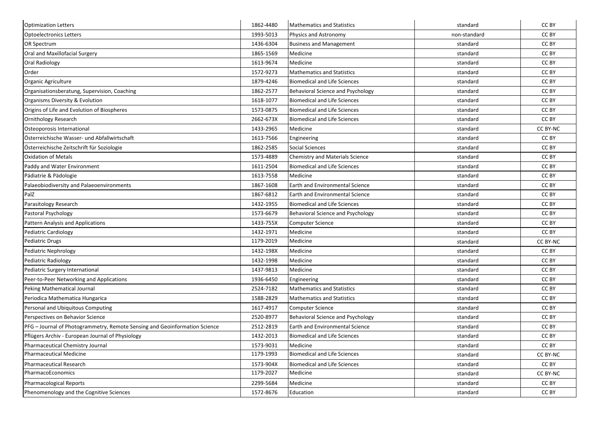| <b>Optimization Letters</b>                                                | 1862-4480 | Mathematics and Statistics          | standard     | CC BY    |
|----------------------------------------------------------------------------|-----------|-------------------------------------|--------------|----------|
| <b>Optoelectronics Letters</b>                                             | 1993-5013 | Physics and Astronomy               | non-standard | CC BY    |
| <b>OR Spectrum</b>                                                         | 1436-6304 | <b>Business and Management</b>      | standard     | CC BY    |
| Oral and Maxillofacial Surgery                                             | 1865-1569 | Medicine                            | standard     | CC BY    |
| <b>Oral Radiology</b>                                                      | 1613-9674 | Medicine                            | standard     | CC BY    |
| Order                                                                      | 1572-9273 | <b>Mathematics and Statistics</b>   | standard     | CC BY    |
| Organic Agriculture                                                        | 1879-4246 | Biomedical and Life Sciences        | standard     | CC BY    |
| Organisationsberatung, Supervision, Coaching                               | 1862-2577 | Behavioral Science and Psychology   | standard     | CC BY    |
| Organisms Diversity & Evolution                                            | 1618-1077 | <b>Biomedical and Life Sciences</b> | standard     | CC BY    |
| Origins of Life and Evolution of Biospheres                                | 1573-0875 | Biomedical and Life Sciences        | standard     | CC BY    |
| <b>Ornithology Research</b>                                                | 2662-673X | <b>Biomedical and Life Sciences</b> | standard     | CC BY    |
| Osteoporosis International                                                 | 1433-2965 | Medicine                            | standard     | CC BY-NC |
| Österreichische Wasser- und Abfallwirtschaft                               | 1613-7566 | Engineering                         | standard     | CC BY    |
| Österreichische Zeitschrift für Soziologie                                 | 1862-2585 | Social Sciences                     | standard     | CC BY    |
| <b>Oxidation of Metals</b>                                                 | 1573-4889 | Chemistry and Materials Science     | standard     | CC BY    |
| Paddy and Water Environment                                                | 1611-2504 | <b>Biomedical and Life Sciences</b> | standard     | CC BY    |
| Pädiatrie & Pädologie                                                      | 1613-7558 | Medicine                            | standard     | CC BY    |
| Palaeobiodiversity and Palaeoenvironments                                  | 1867-1608 | Earth and Environmental Science     | standard     | CC BY    |
| PalZ                                                                       | 1867-6812 | Earth and Environmental Science     | standard     | CC BY    |
| Parasitology Research                                                      | 1432-1955 | <b>Biomedical and Life Sciences</b> | standard     | CC BY    |
| Pastoral Psychology                                                        | 1573-6679 | Behavioral Science and Psychology   | standard     | CC BY    |
| Pattern Analysis and Applications                                          | 1433-755X | <b>Computer Science</b>             | standard     | CC BY    |
| Pediatric Cardiology                                                       | 1432-1971 | Medicine                            | standard     | CC BY    |
| <b>Pediatric Drugs</b>                                                     | 1179-2019 | Medicine                            | standard     | CC BY-NC |
| Pediatric Nephrology                                                       | 1432-198X | Medicine                            | standard     | CC BY    |
| Pediatric Radiology                                                        | 1432-1998 | Medicine                            | standard     | CC BY    |
| Pediatric Surgery International                                            | 1437-9813 | Medicine                            | standard     | CC BY    |
| Peer-to-Peer Networking and Applications                                   | 1936-6450 | Engineering                         | standard     | CC BY    |
| Peking Mathematical Journal                                                | 2524-7182 | <b>Mathematics and Statistics</b>   | standard     | CC BY    |
| Periodica Mathematica Hungarica                                            | 1588-2829 | <b>Mathematics and Statistics</b>   | standard     | CC BY    |
| Personal and Ubiquitous Computing                                          | 1617-4917 | <b>Computer Science</b>             | standard     | CC BY    |
| Perspectives on Behavior Science                                           | 2520-8977 | Behavioral Science and Psychology   | standard     | CC BY    |
| PFG - Journal of Photogrammetry, Remote Sensing and Geoinformation Science | 2512-2819 | Earth and Environmental Science     | standard     | CC BY    |
| Pflügers Archiv - European Journal of Physiology                           | 1432-2013 | Biomedical and Life Sciences        | standard     | CC BY    |
| Pharmaceutical Chemistry Journal                                           | 1573-9031 | Medicine                            | standard     | CC BY    |
| Pharmaceutical Medicine                                                    | 1179-1993 | <b>Biomedical and Life Sciences</b> | standard     | CC BY-NC |
| Pharmaceutical Research                                                    | 1573-904X | Biomedical and Life Sciences        | standard     | CC BY    |
| PharmacoEconomics                                                          | 1179-2027 | Medicine                            | standard     | CC BY-NC |
| Pharmacological Reports                                                    | 2299-5684 | Medicine                            | standard     | CC BY    |
| Phenomenology and the Cognitive Sciences                                   | 1572-8676 | Education                           | standard     | CC BY    |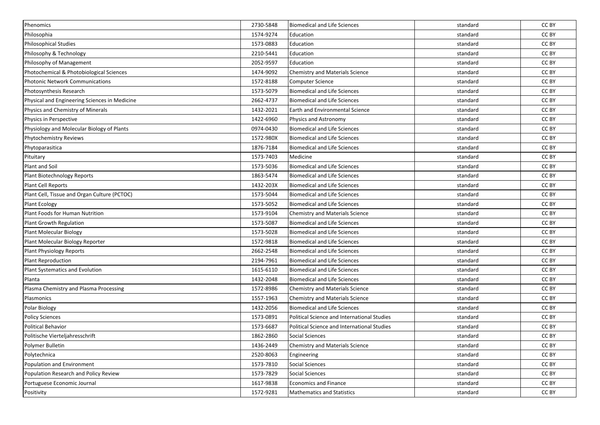| Phenomics                                     | 2730-5848 | <b>Biomedical and Life Sciences</b>         | standard | CC BY |
|-----------------------------------------------|-----------|---------------------------------------------|----------|-------|
| Philosophia                                   | 1574-9274 | Education                                   | standard | CC BY |
| Philosophical Studies                         | 1573-0883 | Education                                   | standard | CC BY |
| Philosophy & Technology                       | 2210-5441 | Education                                   | standard | CC BY |
| Philosophy of Management                      | 2052-9597 | Education                                   | standard | CC BY |
| Photochemical & Photobiological Sciences      | 1474-9092 | Chemistry and Materials Science             | standard | CC BY |
| <b>Photonic Network Communications</b>        | 1572-8188 | Computer Science                            | standard | CC BY |
| Photosynthesis Research                       | 1573-5079 | <b>Biomedical and Life Sciences</b>         | standard | CC BY |
| Physical and Engineering Sciences in Medicine | 2662-4737 | <b>Biomedical and Life Sciences</b>         | standard | CC BY |
| Physics and Chemistry of Minerals             | 1432-2021 | <b>Earth and Environmental Science</b>      | standard | CC BY |
| Physics in Perspective                        | 1422-6960 | Physics and Astronomy                       | standard | CC BY |
| Physiology and Molecular Biology of Plants    | 0974-0430 | <b>Biomedical and Life Sciences</b>         | standard | CC BY |
| Phytochemistry Reviews                        | 1572-980X | <b>Biomedical and Life Sciences</b>         | standard | CC BY |
| Phytoparasitica                               | 1876-7184 | <b>Biomedical and Life Sciences</b>         | standard | CC BY |
| Pituitary                                     | 1573-7403 | Medicine                                    | standard | CC BY |
| Plant and Soil                                | 1573-5036 | <b>Biomedical and Life Sciences</b>         | standard | CC BY |
| Plant Biotechnology Reports                   | 1863-5474 | <b>Biomedical and Life Sciences</b>         | standard | CC BY |
| Plant Cell Reports                            | 1432-203X | <b>Biomedical and Life Sciences</b>         | standard | CC BY |
| Plant Cell, Tissue and Organ Culture (PCTOC)  | 1573-5044 | <b>Biomedical and Life Sciences</b>         | standard | CC BY |
| Plant Ecology                                 | 1573-5052 | <b>Biomedical and Life Sciences</b>         | standard | CC BY |
| Plant Foods for Human Nutrition               | 1573-9104 | Chemistry and Materials Science             | standard | CC BY |
| Plant Growth Regulation                       | 1573-5087 | <b>Biomedical and Life Sciences</b>         | standard | CC BY |
| Plant Molecular Biology                       | 1573-5028 | <b>Biomedical and Life Sciences</b>         | standard | CC BY |
| Plant Molecular Biology Reporter              | 1572-9818 | <b>Biomedical and Life Sciences</b>         | standard | CC BY |
| Plant Physiology Reports                      | 2662-2548 | <b>Biomedical and Life Sciences</b>         | standard | CC BY |
| Plant Reproduction                            | 2194-7961 | <b>Biomedical and Life Sciences</b>         | standard | CC BY |
| Plant Systematics and Evolution               | 1615-6110 | <b>Biomedical and Life Sciences</b>         | standard | CC BY |
| Planta                                        | 1432-2048 | <b>Biomedical and Life Sciences</b>         | standard | CC BY |
| Plasma Chemistry and Plasma Processing        | 1572-8986 | Chemistry and Materials Science             | standard | CC BY |
| Plasmonics                                    | 1557-1963 | Chemistry and Materials Science             | standard | CC BY |
| Polar Biology                                 | 1432-2056 | <b>Biomedical and Life Sciences</b>         | standard | CC BY |
| <b>Policy Sciences</b>                        | 1573-0891 | Political Science and International Studies | standard | CC BY |
| <b>Political Behavior</b>                     | 1573-6687 | Political Science and International Studies | standard | CC BY |
| Politische Vierteljahresschrift               | 1862-2860 | <b>Social Sciences</b>                      | standard | CC BY |
| Polymer Bulletin                              | 1436-2449 | Chemistry and Materials Science             | standard | CC BY |
| Polytechnica                                  | 2520-8063 | Engineering                                 | standard | CC BY |
| Population and Environment                    | 1573-7810 | <b>Social Sciences</b>                      | standard | CC BY |
| Population Research and Policy Review         | 1573-7829 | Social Sciences                             | standard | CC BY |
| Portuguese Economic Journal                   | 1617-9838 | <b>Economics and Finance</b>                | standard | CC BY |
| Positivity                                    | 1572-9281 | <b>Mathematics and Statistics</b>           | standard | CC BY |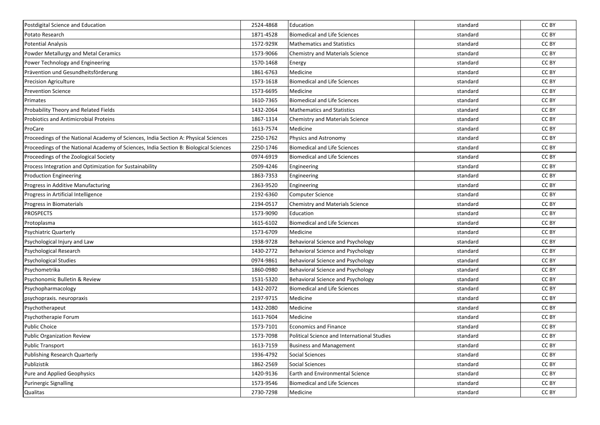| Postdigital Science and Education                                                     | 2524-4868 | Education                                   | standard | CC BY |
|---------------------------------------------------------------------------------------|-----------|---------------------------------------------|----------|-------|
| Potato Research                                                                       | 1871-4528 | <b>Biomedical and Life Sciences</b>         | standard | CC BY |
| <b>Potential Analysis</b>                                                             | 1572-929X | <b>Mathematics and Statistics</b>           | standard | CC BY |
| Powder Metallurgy and Metal Ceramics                                                  | 1573-9066 | Chemistry and Materials Science             | standard | CC BY |
| Power Technology and Engineering                                                      | 1570-1468 | Energy                                      | standard | CC BY |
| Prävention und Gesundheitsförderung                                                   | 1861-6763 | Medicine                                    | standard | CC BY |
| Precision Agriculture                                                                 | 1573-1618 | <b>Biomedical and Life Sciences</b>         | standard | CC BY |
| <b>Prevention Science</b>                                                             | 1573-6695 | Medicine                                    | standard | CC BY |
| Primates                                                                              | 1610-7365 | <b>Biomedical and Life Sciences</b>         | standard | CC BY |
| Probability Theory and Related Fields                                                 | 1432-2064 | <b>Mathematics and Statistics</b>           | standard | CC BY |
| <b>Probiotics and Antimicrobial Proteins</b>                                          | 1867-1314 | Chemistry and Materials Science             | standard | CC BY |
| ProCare                                                                               | 1613-7574 | Medicine                                    | standard | CC BY |
| Proceedings of the National Academy of Sciences, India Section A: Physical Sciences   | 2250-1762 | Physics and Astronomy                       | standard | CC BY |
| Proceedings of the National Academy of Sciences, India Section B: Biological Sciences | 2250-1746 | <b>Biomedical and Life Sciences</b>         | standard | CC BY |
| Proceedings of the Zoological Society                                                 | 0974-6919 | <b>Biomedical and Life Sciences</b>         | standard | CC BY |
| Process Integration and Optimization for Sustainability                               | 2509-4246 | Engineering                                 | standard | CC BY |
| <b>Production Engineering</b>                                                         | 1863-7353 | Engineering                                 | standard | CC BY |
| Progress in Additive Manufacturing                                                    | 2363-9520 | Engineering                                 | standard | CC BY |
| Progress in Artificial Intelligence                                                   | 2192-6360 | Computer Science                            | standard | CC BY |
| Progress in Biomaterials                                                              | 2194-0517 | Chemistry and Materials Science             | standard | CC BY |
| <b>PROSPECTS</b>                                                                      | 1573-9090 | Education                                   | standard | CC BY |
| Protoplasma                                                                           | 1615-6102 | <b>Biomedical and Life Sciences</b>         | standard | CC BY |
| Psychiatric Quarterly                                                                 | 1573-6709 | Medicine                                    | standard | CC BY |
| Psychological Injury and Law                                                          | 1938-9728 | <b>Behavioral Science and Psychology</b>    | standard | CC BY |
| Psychological Research                                                                | 1430-2772 | Behavioral Science and Psychology           | standard | CC BY |
| <b>Psychological Studies</b>                                                          | 0974-9861 | <b>Behavioral Science and Psychology</b>    | standard | CC BY |
| Psychometrika                                                                         | 1860-0980 | <b>Behavioral Science and Psychology</b>    | standard | CC BY |
| Psychonomic Bulletin & Review                                                         | 1531-5320 | Behavioral Science and Psychology           | standard | CC BY |
| Psychopharmacology                                                                    | 1432-2072 | <b>Biomedical and Life Sciences</b>         | standard | CC BY |
| psychopraxis. neuropraxis                                                             | 2197-9715 | Medicine                                    | standard | CC BY |
| Psychotherapeut                                                                       | 1432-2080 | Medicine                                    | standard | CC BY |
| Psychotherapie Forum                                                                  | 1613-7604 | Medicine                                    | standard | CC BY |
| <b>Public Choice</b>                                                                  | 1573-7101 | <b>Economics and Finance</b>                | standard | CC BY |
| <b>Public Organization Review</b>                                                     | 1573-7098 | Political Science and International Studies | standard | CC BY |
| <b>Public Transport</b>                                                               | 1613-7159 | <b>Business and Management</b>              | standard | CC BY |
| Publishing Research Quarterly                                                         | 1936-4792 | Social Sciences                             | standard | CC BY |
| Publizistik                                                                           | 1862-2569 | <b>Social Sciences</b>                      | standard | CC BY |
| Pure and Applied Geophysics                                                           | 1420-9136 | Earth and Environmental Science             | standard | CC BY |
| Purinergic Signalling                                                                 | 1573-9546 | <b>Biomedical and Life Sciences</b>         | standard | CC BY |
| Qualitas                                                                              | 2730-7298 | Medicine                                    | standard | CC BY |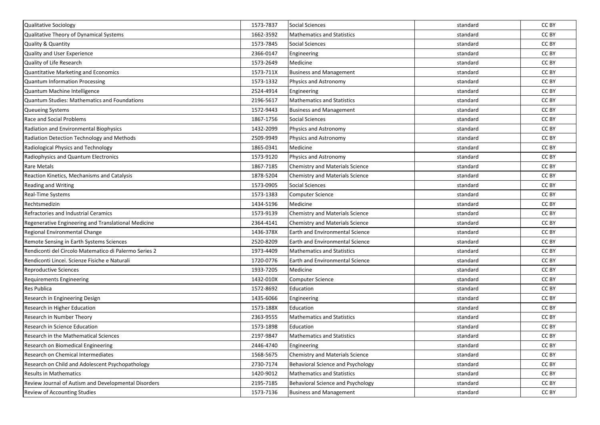| Qualitative Sociology                                 | 1573-7837 | Social Sciences                          | standard | CC BY |
|-------------------------------------------------------|-----------|------------------------------------------|----------|-------|
| Qualitative Theory of Dynamical Systems               | 1662-3592 | <b>Mathematics and Statistics</b>        | standard | CC BY |
| <b>Quality &amp; Quantity</b>                         | 1573-7845 | Social Sciences                          | standard | CC BY |
| Quality and User Experience                           | 2366-0147 | Engineering                              | standard | CC BY |
| Quality of Life Research                              | 1573-2649 | Medicine                                 | standard | CC BY |
| Quantitative Marketing and Economics                  | 1573-711X | <b>Business and Management</b>           | standard | CC BY |
| <b>Quantum Information Processing</b>                 | 1573-1332 | Physics and Astronomy                    | standard | CC BY |
| Quantum Machine Intelligence                          | 2524-4914 | Engineering                              | standard | CC BY |
| Quantum Studies: Mathematics and Foundations          | 2196-5617 | <b>Mathematics and Statistics</b>        | standard | CC BY |
| Queueing Systems                                      | 1572-9443 | <b>Business and Management</b>           | standard | CC BY |
| Race and Social Problems                              | 1867-1756 | Social Sciences                          | standard | CC BY |
| Radiation and Environmental Biophysics                | 1432-2099 | Physics and Astronomy                    | standard | CC BY |
| Radiation Detection Technology and Methods            | 2509-9949 | Physics and Astronomy                    | standard | CC BY |
| Radiological Physics and Technology                   | 1865-0341 | Medicine                                 | standard | CC BY |
| Radiophysics and Quantum Electronics                  | 1573-9120 | Physics and Astronomy                    | standard | CC BY |
| <b>Rare Metals</b>                                    | 1867-7185 | <b>Chemistry and Materials Science</b>   | standard | CC BY |
| Reaction Kinetics, Mechanisms and Catalysis           | 1878-5204 | <b>Chemistry and Materials Science</b>   | standard | CC BY |
| <b>Reading and Writing</b>                            | 1573-0905 | <b>Social Sciences</b>                   | standard | CC BY |
| Real-Time Systems                                     | 1573-1383 | Computer Science                         | standard | CC BY |
| Rechtsmedizin                                         | 1434-5196 | Medicine                                 | standard | CC BY |
| Refractories and Industrial Ceramics                  | 1573-9139 | Chemistry and Materials Science          | standard | CC BY |
| Regenerative Engineering and Translational Medicine   | 2364-4141 | <b>Chemistry and Materials Science</b>   | standard | CC BY |
| Regional Environmental Change                         | 1436-378X | <b>Earth and Environmental Science</b>   | standard | CC BY |
| Remote Sensing in Earth Systems Sciences              | 2520-8209 | Earth and Environmental Science          | standard | CC BY |
| Rendiconti del Circolo Matematico di Palermo Series 2 | 1973-4409 | <b>Mathematics and Statistics</b>        | standard | CC BY |
| Rendiconti Lincei. Scienze Fisiche e Naturali         | 1720-0776 | Earth and Environmental Science          | standard | CC BY |
| <b>Reproductive Sciences</b>                          | 1933-7205 | Medicine                                 | standard | CC BY |
| <b>Requirements Engineering</b>                       | 1432-010X | Computer Science                         | standard | CC BY |
| Res Publica                                           | 1572-8692 | Education                                | standard | CC BY |
| Research in Engineering Design                        | 1435-6066 | Engineering                              | standard | CC BY |
| Research in Higher Education                          | 1573-188X | Education                                | standard | CC BY |
| Research in Number Theory                             | 2363-9555 | <b>Mathematics and Statistics</b>        | standard | CC BY |
| Research in Science Education                         | 1573-1898 | Education                                | standard | CC BY |
| Research in the Mathematical Sciences                 | 2197-9847 | <b>Mathematics and Statistics</b>        | standard | CC BY |
| Research on Biomedical Engineering                    | 2446-4740 | Engineering                              | standard | CC BY |
| Research on Chemical Intermediates                    | 1568-5675 | <b>Chemistry and Materials Science</b>   | standard | CC BY |
| Research on Child and Adolescent Psychopathology      | 2730-7174 | Behavioral Science and Psychology        | standard | CC BY |
| <b>Results in Mathematics</b>                         | 1420-9012 | <b>Mathematics and Statistics</b>        | standard | CC BY |
| Review Journal of Autism and Developmental Disorders  | 2195-7185 | <b>Behavioral Science and Psychology</b> | standard | CC BY |
| Review of Accounting Studies                          | 1573-7136 | <b>Business and Management</b>           | standard | CC BY |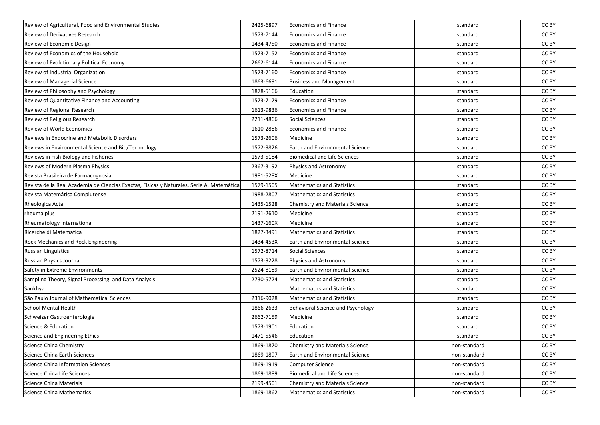| Review of Agricultural, Food and Environmental Studies                                     | 2425-6897 | <b>Economics and Finance</b>           | standard     | CC BY |
|--------------------------------------------------------------------------------------------|-----------|----------------------------------------|--------------|-------|
| Review of Derivatives Research                                                             | 1573-7144 | Economics and Finance                  | standard     | CC BY |
| Review of Economic Design                                                                  | 1434-4750 | <b>Economics and Finance</b>           | standard     | CC BY |
| Review of Economics of the Household                                                       | 1573-7152 | <b>Economics and Finance</b>           | standard     | CC BY |
| Review of Evolutionary Political Economy                                                   | 2662-6144 | <b>Economics and Finance</b>           | standard     | CC BY |
| Review of Industrial Organization                                                          | 1573-7160 | <b>Economics and Finance</b>           | standard     | CC BY |
| Review of Managerial Science                                                               | 1863-6691 | <b>Business and Management</b>         | standard     | CC BY |
| Review of Philosophy and Psychology                                                        | 1878-5166 | Education                              | standard     | CC BY |
| Review of Quantitative Finance and Accounting                                              | 1573-7179 | <b>Economics and Finance</b>           | standard     | CC BY |
| Review of Regional Research                                                                | 1613-9836 | <b>Economics and Finance</b>           | standard     | CC BY |
| Review of Religious Research                                                               | 2211-4866 | <b>Social Sciences</b>                 | standard     | CC BY |
| Review of World Economics                                                                  | 1610-2886 | <b>Economics and Finance</b>           | standard     | CC BY |
| Reviews in Endocrine and Metabolic Disorders                                               | 1573-2606 | Medicine                               | standard     | CC BY |
| Reviews in Environmental Science and Bio/Technology                                        | 1572-9826 | <b>Earth and Environmental Science</b> | standard     | CC BY |
| Reviews in Fish Biology and Fisheries                                                      | 1573-5184 | <b>Biomedical and Life Sciences</b>    | standard     | CC BY |
| Reviews of Modern Plasma Physics                                                           | 2367-3192 | Physics and Astronomy                  | standard     | CC BY |
| Revista Brasileira de Farmacognosia                                                        | 1981-528X | Medicine                               | standard     | CC BY |
| Revista de la Real Academia de Ciencias Exactas, Físicas y Naturales. Serie A. Matemáticas | 1579-1505 | <b>Mathematics and Statistics</b>      | standard     | CC BY |
| Revista Matemática Complutense                                                             | 1988-2807 | <b>Mathematics and Statistics</b>      | standard     | CC BY |
| Rheologica Acta                                                                            | 1435-1528 | Chemistry and Materials Science        | standard     | CC BY |
| rheuma plus                                                                                | 2191-2610 | Medicine                               | standard     | CC BY |
| Rheumatology International                                                                 | 1437-160X | Medicine                               | standard     | CC BY |
| Ricerche di Matematica                                                                     | 1827-3491 | <b>Mathematics and Statistics</b>      | standard     | CC BY |
| <b>Rock Mechanics and Rock Engineering</b>                                                 | 1434-453X | <b>Earth and Environmental Science</b> | standard     | CC BY |
| <b>Russian Linguistics</b>                                                                 | 1572-8714 | Social Sciences                        | standard     | CC BY |
| Russian Physics Journal                                                                    | 1573-9228 | Physics and Astronomy                  | standard     | CC BY |
| Safety in Extreme Environments                                                             | 2524-8189 | Earth and Environmental Science        | standard     | CC BY |
| Sampling Theory, Signal Processing, and Data Analysis                                      | 2730-5724 | <b>Mathematics and Statistics</b>      | standard     | CC BY |
| Sankhya                                                                                    |           | <b>Mathematics and Statistics</b>      | standard     | CC BY |
| São Paulo Journal of Mathematical Sciences                                                 | 2316-9028 | <b>Mathematics and Statistics</b>      | standard     | CC BY |
| <b>School Mental Health</b>                                                                | 1866-2633 | Behavioral Science and Psychology      | standard     | CC BY |
| Schweizer Gastroenterologie                                                                | 2662-7159 | Medicine                               | standard     | CC BY |
| Science & Education                                                                        | 1573-1901 | Education                              | standard     | CC BY |
| Science and Engineering Ethics                                                             | 1471-5546 | Education                              | standard     | CC BY |
| Science China Chemistry                                                                    | 1869-1870 | Chemistry and Materials Science        | non-standard | CC BY |
| Science China Earth Sciences                                                               | 1869-1897 | Earth and Environmental Science        | non-standard | CC BY |
| Science China Information Sciences                                                         | 1869-1919 | Computer Science                       | non-standard | CC BY |
| Science China Life Sciences                                                                | 1869-1889 | <b>Biomedical and Life Sciences</b>    | non-standard | CC BY |
| Science China Materials                                                                    | 2199-4501 | Chemistry and Materials Science        | non-standard | CC BY |
| <b>Science China Mathematics</b>                                                           | 1869-1862 | <b>Mathematics and Statistics</b>      | non-standard | CC BY |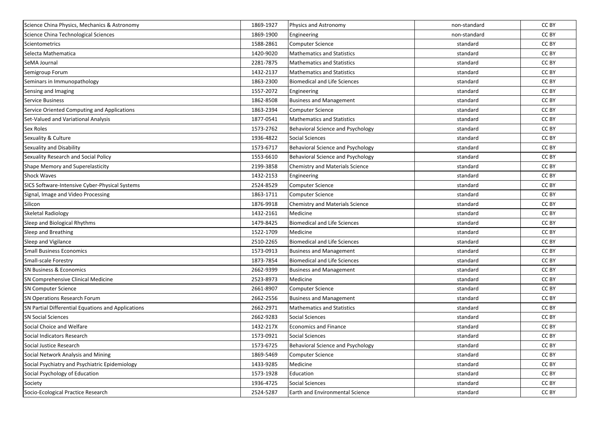| Science China Physics, Mechanics & Astronomy       | 1869-1927 | Physics and Astronomy                  | non-standard | CC BY |
|----------------------------------------------------|-----------|----------------------------------------|--------------|-------|
| Science China Technological Sciences               | 1869-1900 | Engineering                            | non-standard | CC BY |
| Scientometrics                                     | 1588-2861 | <b>Computer Science</b>                | standard     | CC BY |
| Selecta Mathematica                                | 1420-9020 | <b>Mathematics and Statistics</b>      | standard     | CC BY |
| SeMA Journal                                       | 2281-7875 | <b>Mathematics and Statistics</b>      | standard     | CC BY |
| Semigroup Forum                                    | 1432-2137 | <b>Mathematics and Statistics</b>      | standard     | CC BY |
| Seminars in Immunopathology                        | 1863-2300 | <b>Biomedical and Life Sciences</b>    | standard     | CC BY |
| Sensing and Imaging                                | 1557-2072 | Engineering                            | standard     | CC BY |
| <b>Service Business</b>                            | 1862-8508 | <b>Business and Management</b>         | standard     | CC BY |
| Service Oriented Computing and Applications        | 1863-2394 | <b>Computer Science</b>                | standard     | CC BY |
| Set-Valued and Variational Analysis                | 1877-0541 | <b>Mathematics and Statistics</b>      | standard     | CC BY |
| Sex Roles                                          | 1573-2762 | Behavioral Science and Psychology      | standard     | CC BY |
| Sexuality & Culture                                | 1936-4822 | <b>Social Sciences</b>                 | standard     | CC BY |
| Sexuality and Disability                           | 1573-6717 | Behavioral Science and Psychology      | standard     | CC BY |
| Sexuality Research and Social Policy               | 1553-6610 | Behavioral Science and Psychology      | standard     | CC BY |
| Shape Memory and Superelasticity                   | 2199-3858 | Chemistry and Materials Science        | standard     | CC BY |
| <b>Shock Waves</b>                                 | 1432-2153 | Engineering                            | standard     | CC BY |
| SICS Software-Intensive Cyber-Physical Systems     | 2524-8529 | <b>Computer Science</b>                | standard     | CC BY |
| Signal, Image and Video Processing                 | 1863-1711 | <b>Computer Science</b>                | standard     | CC BY |
| Silicon                                            | 1876-9918 | Chemistry and Materials Science        | standard     | CC BY |
| Skeletal Radiology                                 | 1432-2161 | Medicine                               | standard     | CC BY |
| Sleep and Biological Rhythms                       | 1479-8425 | <b>Biomedical and Life Sciences</b>    | standard     | CC BY |
| Sleep and Breathing                                | 1522-1709 | Medicine                               | standard     | CC BY |
| Sleep and Vigilance                                | 2510-2265 | <b>Biomedical and Life Sciences</b>    | standard     | CC BY |
| <b>Small Business Economics</b>                    | 1573-0913 | <b>Business and Management</b>         | standard     | CC BY |
| Small-scale Forestry                               | 1873-7854 | <b>Biomedical and Life Sciences</b>    | standard     | CC BY |
| SN Business & Economics                            | 2662-9399 | <b>Business and Management</b>         | standard     | CC BY |
| SN Comprehensive Clinical Medicine                 | 2523-8973 | Medicine                               | standard     | CC BY |
| <b>SN Computer Science</b>                         | 2661-8907 | <b>Computer Science</b>                | standard     | CC BY |
| SN Operations Research Forum                       | 2662-2556 | <b>Business and Management</b>         | standard     | CC BY |
| SN Partial Differential Equations and Applications | 2662-2971 | <b>Mathematics and Statistics</b>      | standard     | CC BY |
| <b>SN Social Sciences</b>                          | 2662-9283 | <b>Social Sciences</b>                 | standard     | CC BY |
| Social Choice and Welfare                          | 1432-217X | <b>Economics and Finance</b>           | standard     | CC BY |
| Social Indicators Research                         | 1573-0921 | <b>Social Sciences</b>                 | standard     | CC BY |
| Social Justice Research                            | 1573-6725 | Behavioral Science and Psychology      | standard     | CC BY |
| Social Network Analysis and Mining                 | 1869-5469 | <b>Computer Science</b>                | standard     | CC BY |
| Social Psychiatry and Psychiatric Epidemiology     | 1433-9285 | Medicine                               | standard     | CC BY |
| Social Psychology of Education                     | 1573-1928 | Education                              | standard     | CC BY |
| Society                                            | 1936-4725 | <b>Social Sciences</b>                 | standard     | CC BY |
| Socio-Ecological Practice Research                 | 2524-5287 | <b>Earth and Environmental Science</b> | standard     | CC BY |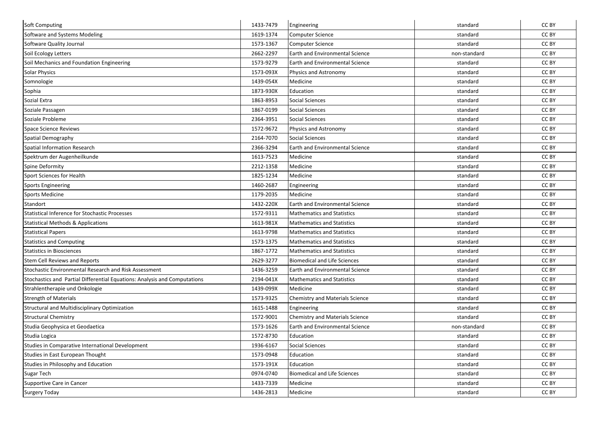| <b>Soft Computing</b>                                                     | 1433-7479 | Engineering                            | standard     | CC BY |
|---------------------------------------------------------------------------|-----------|----------------------------------------|--------------|-------|
| Software and Systems Modeling                                             | 1619-1374 | <b>Computer Science</b>                | standard     | CC BY |
| Software Quality Journal                                                  | 1573-1367 | <b>Computer Science</b>                | standard     | CC BY |
| Soil Ecology Letters                                                      | 2662-2297 | Earth and Environmental Science        | non-standard | CC BY |
| Soil Mechanics and Foundation Engineering                                 | 1573-9279 | Earth and Environmental Science        | standard     | CC BY |
| <b>Solar Physics</b>                                                      | 1573-093X | Physics and Astronomy                  | standard     | CC BY |
| Somnologie                                                                | 1439-054X | Medicine                               | standard     | CC BY |
| Sophia                                                                    | 1873-930X | Education                              | standard     | CC BY |
| Sozial Extra                                                              | 1863-8953 | <b>Social Sciences</b>                 | standard     | CC BY |
| Soziale Passagen                                                          | 1867-0199 | <b>Social Sciences</b>                 | standard     | CC BY |
| Soziale Probleme                                                          | 2364-3951 | <b>Social Sciences</b>                 | standard     | CC BY |
| <b>Space Science Reviews</b>                                              | 1572-9672 | Physics and Astronomy                  | standard     | CC BY |
| Spatial Demography                                                        | 2164-7070 | <b>Social Sciences</b>                 | standard     | CC BY |
| Spatial Information Research                                              | 2366-3294 | Earth and Environmental Science        | standard     | CC BY |
| Spektrum der Augenheilkunde                                               | 1613-7523 | Medicine                               | standard     | CC BY |
| Spine Deformity                                                           | 2212-1358 | Medicine                               | standard     | CC BY |
| Sport Sciences for Health                                                 | 1825-1234 | Medicine                               | standard     | CC BY |
| <b>Sports Engineering</b>                                                 | 1460-2687 | Engineering                            | standard     | CC BY |
| <b>Sports Medicine</b>                                                    | 1179-2035 | Medicine                               | standard     | CC BY |
| Standort                                                                  | 1432-220X | <b>Earth and Environmental Science</b> | standard     | CC BY |
| <b>Statistical Inference for Stochastic Processes</b>                     | 1572-9311 | <b>Mathematics and Statistics</b>      | standard     | CC BY |
| <b>Statistical Methods &amp; Applications</b>                             | 1613-981X | <b>Mathematics and Statistics</b>      | standard     | CC BY |
| <b>Statistical Papers</b>                                                 | 1613-9798 | <b>Mathematics and Statistics</b>      | standard     | CC BY |
| <b>Statistics and Computing</b>                                           | 1573-1375 | <b>Mathematics and Statistics</b>      | standard     | CC BY |
| <b>Statistics in Biosciences</b>                                          | 1867-1772 | <b>Mathematics and Statistics</b>      | standard     | CC BY |
| <b>Stem Cell Reviews and Reports</b>                                      | 2629-3277 | <b>Biomedical and Life Sciences</b>    | standard     | CC BY |
| Stochastic Environmental Research and Risk Assessment                     | 1436-3259 | Earth and Environmental Science        | standard     | CC BY |
| Stochastics and Partial Differential Equations: Analysis and Computations | 2194-041X | <b>Mathematics and Statistics</b>      | standard     | CC BY |
| Strahlentherapie und Onkologie                                            | 1439-099X | Medicine                               | standard     | CC BY |
| <b>Strength of Materials</b>                                              | 1573-9325 | Chemistry and Materials Science        | standard     | CC BY |
| <b>Structural and Multidisciplinary Optimization</b>                      | 1615-1488 | Engineering                            | standard     | CC BY |
| <b>Structural Chemistry</b>                                               | 1572-9001 | <b>Chemistry and Materials Science</b> | standard     | CC BY |
| Studia Geophysica et Geodaetica                                           | 1573-1626 | <b>Earth and Environmental Science</b> | non-standard | CC BY |
| Studia Logica                                                             | 1572-8730 | Education                              | standard     | CC BY |
| Studies in Comparative International Development                          | 1936-6167 | <b>Social Sciences</b>                 | standard     | CC BY |
| Studies in East European Thought                                          | 1573-0948 | Education                              | standard     | CC BY |
| Studies in Philosophy and Education                                       | 1573-191X | Education                              | standard     | CC BY |
| Sugar Tech                                                                | 0974-0740 | <b>Biomedical and Life Sciences</b>    | standard     | CC BY |
| Supportive Care in Cancer                                                 | 1433-7339 | Medicine                               | standard     | CC BY |
| <b>Surgery Today</b>                                                      | 1436-2813 | Medicine                               | standard     | CC BY |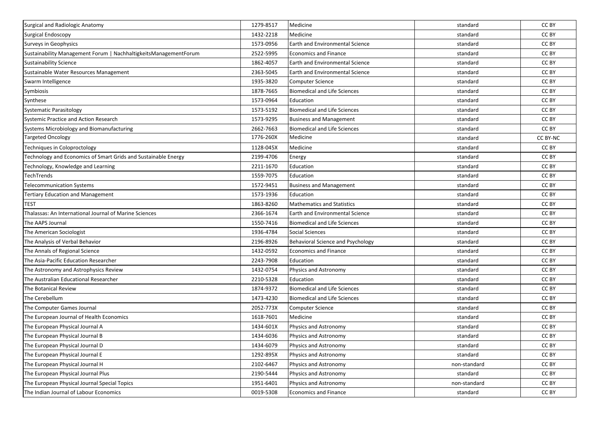| Surgical and Radiologic Anatomy                                  | 1279-8517 | Medicine                               | standard     | CC BY    |
|------------------------------------------------------------------|-----------|----------------------------------------|--------------|----------|
| Surgical Endoscopy                                               | 1432-2218 | Medicine                               | standard     | CC BY    |
| Surveys in Geophysics                                            | 1573-0956 | <b>Earth and Environmental Science</b> | standard     | CC BY    |
| Sustainability Management Forum   NachhaltigkeitsManagementForum | 2522-5995 | <b>Economics and Finance</b>           | standard     | CC BY    |
| <b>Sustainability Science</b>                                    | 1862-4057 | Earth and Environmental Science        | standard     | CC BY    |
| Sustainable Water Resources Management                           | 2363-5045 | <b>Earth and Environmental Science</b> | standard     | CC BY    |
| Swarm Intelligence                                               | 1935-3820 | <b>Computer Science</b>                | standard     | CC BY    |
| Symbiosis                                                        | 1878-7665 | <b>Biomedical and Life Sciences</b>    | standard     | CC BY    |
| Synthese                                                         | 1573-0964 | Education                              | standard     | CC BY    |
| Systematic Parasitology                                          | 1573-5192 | <b>Biomedical and Life Sciences</b>    | standard     | CC BY    |
| Systemic Practice and Action Research                            | 1573-9295 | <b>Business and Management</b>         | standard     | CC BY    |
| Systems Microbiology and Biomanufacturing                        | 2662-7663 | <b>Biomedical and Life Sciences</b>    | standard     | CC BY    |
| <b>Targeted Oncology</b>                                         | 1776-260X | Medicine                               | standard     | CC BY-NC |
| <b>Techniques in Coloproctology</b>                              | 1128-045X | Medicine                               | standard     | CC BY    |
| Technology and Economics of Smart Grids and Sustainable Energy   | 2199-4706 | Energy                                 | standard     | CC BY    |
| Technology, Knowledge and Learning                               | 2211-1670 | Education                              | standard     | CC BY    |
| TechTrends                                                       | 1559-7075 | Education                              | standard     | CC BY    |
| <b>Telecommunication Systems</b>                                 | 1572-9451 | <b>Business and Management</b>         | standard     | CC BY    |
| <b>Tertiary Education and Management</b>                         | 1573-1936 | Education                              | standard     | CC BY    |
| TEST                                                             | 1863-8260 | <b>Mathematics and Statistics</b>      | standard     | CC BY    |
| <b>Thalassas: An International Journal of Marine Sciences</b>    | 2366-1674 | <b>Earth and Environmental Science</b> | standard     | CC BY    |
| The AAPS Journal                                                 | 1550-7416 | <b>Biomedical and Life Sciences</b>    | standard     | CC BY    |
| The American Sociologist                                         | 1936-4784 | <b>Social Sciences</b>                 | standard     | CC BY    |
| The Analysis of Verbal Behavior                                  | 2196-8926 | Behavioral Science and Psychology      | standard     | CC BY    |
| The Annals of Regional Science                                   | 1432-0592 | <b>Economics and Finance</b>           | standard     | CC BY    |
| The Asia-Pacific Education Researcher                            | 2243-7908 | Education                              | standard     | CC BY    |
| The Astronomy and Astrophysics Review                            | 1432-0754 | Physics and Astronomy                  | standard     | CC BY    |
| The Australian Educational Researcher                            | 2210-5328 | Education                              | standard     | CC BY    |
| The Botanical Review                                             | 1874-9372 | <b>Biomedical and Life Sciences</b>    | standard     | CC BY    |
| The Cerebellum                                                   | 1473-4230 | <b>Biomedical and Life Sciences</b>    | standard     | CC BY    |
| The Computer Games Journal                                       | 2052-773X | <b>Computer Science</b>                | standard     | CC BY    |
| The European Journal of Health Economics                         | 1618-7601 | Medicine                               | standard     | CC BY    |
| The European Physical Journal A                                  | 1434-601X | Physics and Astronomy                  | standard     | CC BY    |
| The European Physical Journal B                                  | 1434-6036 | Physics and Astronomy                  | standard     | CC BY    |
| The European Physical Journal D                                  | 1434-6079 | Physics and Astronomy                  | standard     | CC BY    |
| The European Physical Journal E                                  | 1292-895X | Physics and Astronomy                  | standard     | CC BY    |
| The European Physical Journal H                                  | 2102-6467 | Physics and Astronomy                  | non-standard | CC BY    |
| The European Physical Journal Plus                               | 2190-5444 | Physics and Astronomy                  | standard     | CC BY    |
| The European Physical Journal Special Topics                     | 1951-6401 | Physics and Astronomy                  | non-standard | CC BY    |
| The Indian Journal of Labour Economics                           | 0019-5308 | <b>Economics and Finance</b>           | standard     | CC BY    |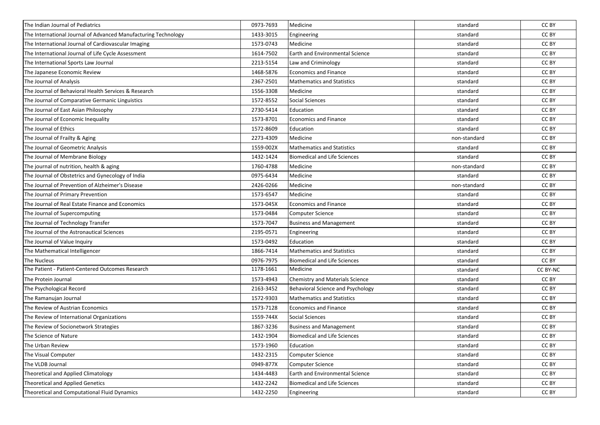| The Indian Journal of Pediatrics                               | 0973-7693 | Medicine                               | standard     | CC BY           |
|----------------------------------------------------------------|-----------|----------------------------------------|--------------|-----------------|
| The International Journal of Advanced Manufacturing Technology | 1433-3015 | Engineering                            | standard     | CC BY           |
| The International Journal of Cardiovascular Imaging            | 1573-0743 | Medicine                               | standard     | CC BY           |
| The International Journal of Life Cycle Assessment             | 1614-7502 | <b>Earth and Environmental Science</b> | standard     | CC BY           |
| The International Sports Law Journal                           | 2213-5154 | Law and Criminology                    | standard     | CC BY           |
| The Japanese Economic Review                                   | 1468-5876 | <b>Economics and Finance</b>           | standard     | CC BY           |
| The Journal of Analysis                                        | 2367-2501 | <b>Mathematics and Statistics</b>      | standard     | CC BY           |
| The Journal of Behavioral Health Services & Research           | 1556-3308 | Medicine                               | standard     | CC BY           |
| The Journal of Comparative Germanic Linguistics                | 1572-8552 | Social Sciences                        | standard     | CC BY           |
| The Journal of East Asian Philosophy                           | 2730-5414 | Education                              | standard     | CC BY           |
| The Journal of Economic Inequality                             | 1573-8701 | <b>Economics and Finance</b>           | standard     | CC BY           |
| The Journal of Ethics                                          | 1572-8609 | Education                              | standard     | CC BY           |
| The Journal of Frailty & Aging                                 | 2273-4309 | Medicine                               | non-standard | CC BY           |
| The Journal of Geometric Analysis                              | 1559-002X | <b>Mathematics and Statistics</b>      | standard     | CC BY           |
| The Journal of Membrane Biology                                | 1432-1424 | <b>Biomedical and Life Sciences</b>    | standard     | CC BY           |
| The journal of nutrition, health & aging                       | 1760-4788 | Medicine                               | non-standard | CC BY           |
| The Journal of Obstetrics and Gynecology of India              | 0975-6434 | Medicine                               | standard     | CC BY           |
| The Journal of Prevention of Alzheimer's Disease               | 2426-0266 | Medicine                               | non-standard | CC BY           |
| The Journal of Primary Prevention                              | 1573-6547 | Medicine                               | standard     | CC BY           |
| The Journal of Real Estate Finance and Economics               | 1573-045X | <b>Economics and Finance</b>           | standard     | CC BY           |
| The Journal of Supercomputing                                  | 1573-0484 | <b>Computer Science</b>                | standard     | CC BY           |
| The Journal of Technology Transfer                             | 1573-7047 | <b>Business and Management</b>         | standard     | CC BY           |
| The Journal of the Astronautical Sciences                      | 2195-0571 | Engineering                            | standard     | CC BY           |
| The Journal of Value Inquiry                                   | 1573-0492 | Education                              | standard     | CC BY           |
| The Mathematical Intelligencer                                 | 1866-7414 | <b>Mathematics and Statistics</b>      | standard     | CC BY           |
| The Nucleus                                                    | 0976-7975 | <b>Biomedical and Life Sciences</b>    | standard     | CC BY           |
| The Patient - Patient-Centered Outcomes Research               | 1178-1661 | Medicine                               | standard     | <b>CC BY-NC</b> |
| The Protein Journal                                            | 1573-4943 | Chemistry and Materials Science        | standard     | CC BY           |
| The Psychological Record                                       | 2163-3452 | Behavioral Science and Psychology      | standard     | CC BY           |
| The Ramanujan Journal                                          | 1572-9303 | <b>Mathematics and Statistics</b>      | standard     | CC BY           |
| The Review of Austrian Economics                               | 1573-7128 | <b>Economics and Finance</b>           | standard     | CC BY           |
| The Review of International Organizations                      | 1559-744X | Social Sciences                        | standard     | CC BY           |
| The Review of Socionetwork Strategies                          | 1867-3236 | <b>Business and Management</b>         | standard     | CC BY           |
| The Science of Nature                                          | 1432-1904 | <b>Biomedical and Life Sciences</b>    | standard     | CC BY           |
| The Urban Review                                               | 1573-1960 | Education                              | standard     | CC BY           |
| The Visual Computer                                            | 1432-2315 | <b>Computer Science</b>                | standard     | CC BY           |
| The VLDB Journal                                               | 0949-877X | <b>Computer Science</b>                | standard     | CC BY           |
| Theoretical and Applied Climatology                            | 1434-4483 | Earth and Environmental Science        | standard     | CC BY           |
| <b>Theoretical and Applied Genetics</b>                        | 1432-2242 | <b>Biomedical and Life Sciences</b>    | standard     | CC BY           |
| Theoretical and Computational Fluid Dynamics                   | 1432-2250 | Engineering                            | standard     | CC BY           |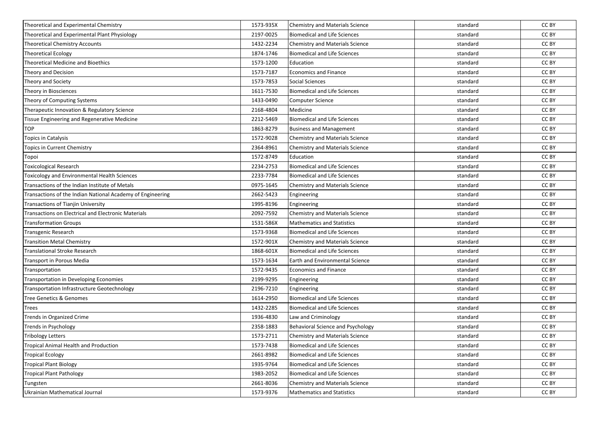| Theoretical and Experimental Chemistry                     | 1573-935X | Chemistry and Materials Science        | standard | CC BY |
|------------------------------------------------------------|-----------|----------------------------------------|----------|-------|
| Theoretical and Experimental Plant Physiology              | 2197-0025 | <b>Biomedical and Life Sciences</b>    | standard | CC BY |
| <b>Theoretical Chemistry Accounts</b>                      | 1432-2234 | Chemistry and Materials Science        | standard | CC BY |
| Theoretical Ecology                                        | 1874-1746 | Biomedical and Life Sciences           | standard | CC BY |
| Theoretical Medicine and Bioethics                         | 1573-1200 | Education                              | standard | CC BY |
| Theory and Decision                                        | 1573-7187 | <b>Economics and Finance</b>           | standard | CC BY |
| Theory and Society                                         | 1573-7853 | <b>Social Sciences</b>                 | standard | CC BY |
| Theory in Biosciences                                      | 1611-7530 | <b>Biomedical and Life Sciences</b>    | standard | CC BY |
| Theory of Computing Systems                                | 1433-0490 | Computer Science                       | standard | CC BY |
| Therapeutic Innovation & Regulatory Science                | 2168-4804 | Medicine                               | standard | CC BY |
| Tissue Engineering and Regenerative Medicine               | 2212-5469 | <b>Biomedical and Life Sciences</b>    | standard | CC BY |
| <b>TOP</b>                                                 | 1863-8279 | <b>Business and Management</b>         | standard | CC BY |
| Topics in Catalysis                                        | 1572-9028 | Chemistry and Materials Science        | standard | CC BY |
| Topics in Current Chemistry                                | 2364-8961 | Chemistry and Materials Science        | standard | CC BY |
| Topoi                                                      | 1572-8749 | Education                              | standard | CC BY |
| Toxicological Research                                     | 2234-2753 | <b>Biomedical and Life Sciences</b>    | standard | CC BY |
| Toxicology and Environmental Health Sciences               | 2233-7784 | <b>Biomedical and Life Sciences</b>    | standard | CC BY |
| Transactions of the Indian Institute of Metals             | 0975-1645 | Chemistry and Materials Science        | standard | CC BY |
| Transactions of the Indian National Academy of Engineering | 2662-5423 | Engineering                            | standard | CC BY |
| <b>Transactions of Tianjin University</b>                  | 1995-8196 | Engineering                            | standard | CC BY |
| <b>Transactions on Electrical and Electronic Materials</b> | 2092-7592 | Chemistry and Materials Science        | standard | CC BY |
| <b>Transformation Groups</b>                               | 1531-586X | <b>Mathematics and Statistics</b>      | standard | CC BY |
| Transgenic Research                                        | 1573-9368 | <b>Biomedical and Life Sciences</b>    | standard | CC BY |
| <b>Transition Metal Chemistry</b>                          | 1572-901X | <b>Chemistry and Materials Science</b> | standard | CC BY |
| Translational Stroke Research                              | 1868-601X | <b>Biomedical and Life Sciences</b>    | standard | CC BY |
| Transport in Porous Media                                  | 1573-1634 | Earth and Environmental Science        | standard | CC BY |
| Transportation                                             | 1572-9435 | <b>Economics and Finance</b>           | standard | CC BY |
| Transportation in Developing Economies                     | 2199-9295 | Engineering                            | standard | CC BY |
| <b>Transportation Infrastructure Geotechnology</b>         | 2196-7210 | Engineering                            | standard | CC BY |
| Tree Genetics & Genomes                                    | 1614-2950 | <b>Biomedical and Life Sciences</b>    | standard | CC BY |
| Trees                                                      | 1432-2285 | <b>Biomedical and Life Sciences</b>    | standard | CC BY |
| Trends in Organized Crime                                  | 1936-4830 | Law and Criminology                    | standard | CC BY |
| Trends in Psychology                                       | 2358-1883 | Behavioral Science and Psychology      | standard | CC BY |
| <b>Tribology Letters</b>                                   | 1573-2711 | <b>Chemistry and Materials Science</b> | standard | CC BY |
| Tropical Animal Health and Production                      | 1573-7438 | <b>Biomedical and Life Sciences</b>    | standard | CC BY |
| <b>Tropical Ecology</b>                                    | 2661-8982 | <b>Biomedical and Life Sciences</b>    | standard | CC BY |
| <b>Tropical Plant Biology</b>                              | 1935-9764 | <b>Biomedical and Life Sciences</b>    | standard | CC BY |
| <b>Tropical Plant Pathology</b>                            | 1983-2052 | <b>Biomedical and Life Sciences</b>    | standard | CC BY |
| Tungsten                                                   | 2661-8036 | Chemistry and Materials Science        | standard | CC BY |
| Ukrainian Mathematical Journal                             | 1573-9376 | <b>Mathematics and Statistics</b>      | standard | CC BY |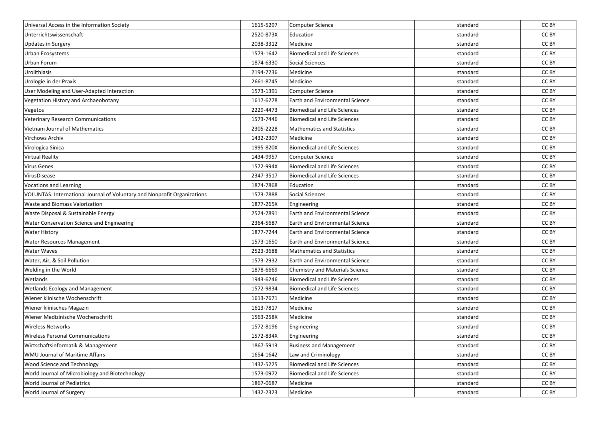| Universal Access in the Information Society                              | 1615-5297 | <b>Computer Science</b>                | standard | CC BY |
|--------------------------------------------------------------------------|-----------|----------------------------------------|----------|-------|
| Unterrichtswissenschaft                                                  | 2520-873X | Education                              | standard | CC BY |
| <b>Updates in Surgery</b>                                                | 2038-3312 | Medicine                               | standard | CC BY |
| Urban Ecosystems                                                         | 1573-1642 | <b>Biomedical and Life Sciences</b>    | standard | CC BY |
| Urban Forum                                                              | 1874-6330 | <b>Social Sciences</b>                 | standard | CC BY |
| Urolithiasis                                                             | 2194-7236 | Medicine                               | standard | CC BY |
| Urologie in der Praxis                                                   | 2661-8745 | Medicine                               | standard | CC BY |
| User Modeling and User-Adapted Interaction                               | 1573-1391 | <b>Computer Science</b>                | standard | CC BY |
| Vegetation History and Archaeobotany                                     | 1617-6278 | Earth and Environmental Science        | standard | CC BY |
| Vegetos                                                                  | 2229-4473 | <b>Biomedical and Life Sciences</b>    | standard | CC BY |
| <b>Veterinary Research Communications</b>                                | 1573-7446 | <b>Biomedical and Life Sciences</b>    | standard | CC BY |
| <b>Vietnam Journal of Mathematics</b>                                    | 2305-2228 | <b>Mathematics and Statistics</b>      | standard | CC BY |
| Virchows Archiv                                                          | 1432-2307 | Medicine                               | standard | CC BY |
| Virologica Sinica                                                        | 1995-820X | <b>Biomedical and Life Sciences</b>    | standard | CC BY |
| <b>Virtual Reality</b>                                                   | 1434-9957 | <b>Computer Science</b>                | standard | CC BY |
| <b>Virus Genes</b>                                                       | 1572-994X | <b>Biomedical and Life Sciences</b>    | standard | CC BY |
| VirusDisease                                                             | 2347-3517 | <b>Biomedical and Life Sciences</b>    | standard | CC BY |
| <b>Vocations and Learning</b>                                            | 1874-7868 | Education                              | standard | CC BY |
| VOLUNTAS: International Journal of Voluntary and Nonprofit Organizations | 1573-7888 | Social Sciences                        | standard | CC BY |
| Waste and Biomass Valorization                                           | 1877-265X | Engineering                            | standard | CC BY |
| Waste Disposal & Sustainable Energy                                      | 2524-7891 | <b>Earth and Environmental Science</b> | standard | CC BY |
| Water Conservation Science and Engineering                               | 2364-5687 | <b>Earth and Environmental Science</b> | standard | CC BY |
| <b>Water History</b>                                                     | 1877-7244 | <b>Earth and Environmental Science</b> | standard | CC BY |
| Water Resources Management                                               | 1573-1650 | Earth and Environmental Science        | standard | CC BY |
| <b>Water Waves</b>                                                       | 2523-3688 | <b>Mathematics and Statistics</b>      | standard | CC BY |
| Water, Air, & Soil Pollution                                             | 1573-2932 | Earth and Environmental Science        | standard | CC BY |
| Welding in the World                                                     | 1878-6669 | <b>Chemistry and Materials Science</b> | standard | CC BY |
| Wetlands                                                                 | 1943-6246 | <b>Biomedical and Life Sciences</b>    | standard | CC BY |
| Wetlands Ecology and Management                                          | 1572-9834 | <b>Biomedical and Life Sciences</b>    | standard | CC BY |
| Wiener klinische Wochenschrift                                           | 1613-7671 | Medicine                               | standard | CC BY |
| Wiener klinisches Magazin                                                | 1613-7817 | Medicine                               | standard | CC BY |
| Wiener Medizinische Wochenschrift                                        | 1563-258X | Medicine                               | standard | CC BY |
| <b>Wireless Networks</b>                                                 | 1572-8196 | Engineering                            | standard | CC BY |
| <b>Wireless Personal Communications</b>                                  | 1572-834X | Engineering                            | standard | CC BY |
| Wirtschaftsinformatik & Management                                       | 1867-5913 | <b>Business and Management</b>         | standard | CC BY |
| WMU Journal of Maritime Affairs                                          | 1654-1642 | Law and Criminology                    | standard | CC BY |
| Wood Science and Technology                                              | 1432-5225 | <b>Biomedical and Life Sciences</b>    | standard | CC BY |
| World Journal of Microbiology and Biotechnology                          | 1573-0972 | <b>Biomedical and Life Sciences</b>    | standard | CC BY |
| World Journal of Pediatrics                                              | 1867-0687 | Medicine                               | standard | CC BY |
| World Journal of Surgery                                                 | 1432-2323 | Medicine                               | standard | CC BY |